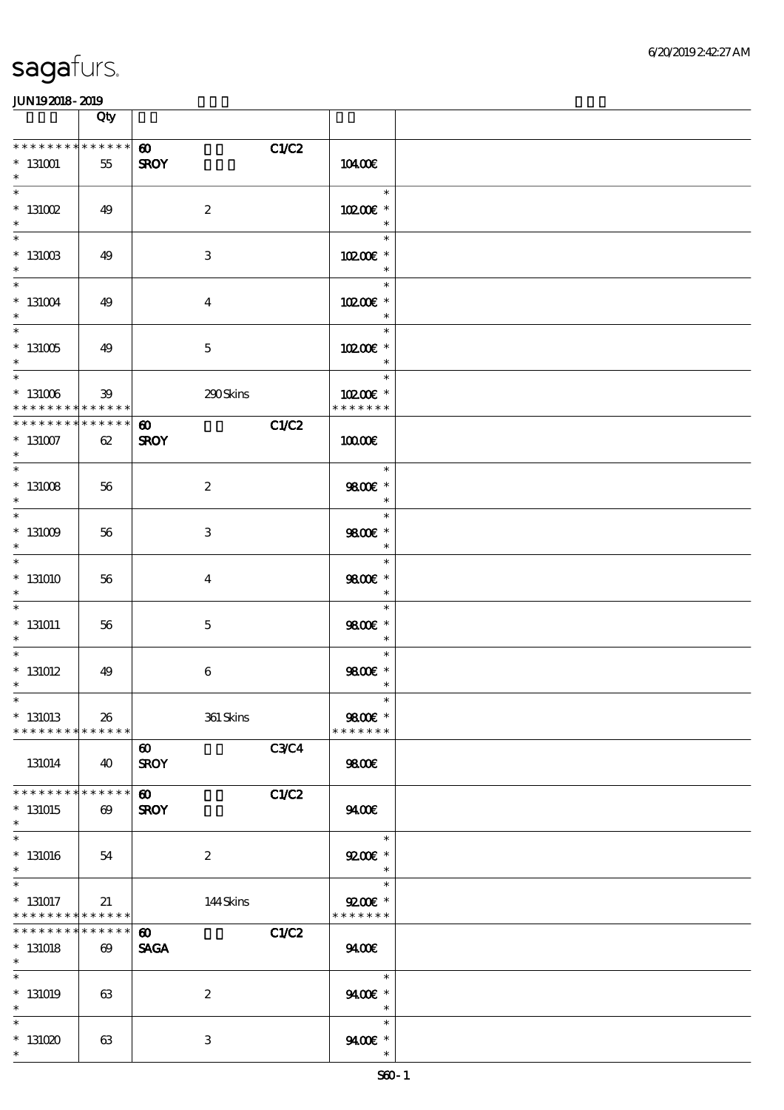|                                                                             | Qty                   |                                                     |                                       |  |
|-----------------------------------------------------------------------------|-----------------------|-----------------------------------------------------|---------------------------------------|--|
| * * * * * * * * * * * * * *<br>$^*$ 131001<br>$\ast$                        | 55                    | C1/C2<br>$\boldsymbol{\omega}$<br><b>SROY</b>       | 10400E                                |  |
| $\ast$<br>$^\ast$ 131002                                                    | 49                    | $\boldsymbol{2}$                                    | $\ast$<br>10200E *<br>$\ast$          |  |
| $\overline{\phantom{0}}$<br>$^*$ 131003<br>$\ast$                           | 49                    | $\,3$                                               | $\ast$<br>10200E *                    |  |
| $\ast$<br>$*131004$<br>$\ast$                                               | 49                    | $\boldsymbol{4}$                                    | $\ast$<br>10200E *                    |  |
| $\overline{\phantom{0}}$<br>$^*$ 131005 $\,$<br>$\ast$                      | 49                    | $\mathbf 5$                                         | $\ast$<br>10200E *<br>$\ast$          |  |
| $\overline{\phantom{0}}$<br>$^*$ 131006 $\,$<br>* * * * * * * * * * * * * * | 39                    | 290Skins                                            | $\ast$<br>10200E *<br>* * * * * * *   |  |
| * * * * * * * * * * * * * *<br>$^\ast$ 131007<br>$\ast$                     | 62                    | C1/C2<br>$\boldsymbol{\omega}$<br><b>SROY</b>       | 10000E                                |  |
| $\ast$<br>$^*$ 131008 $\,$<br>$\ast$                                        | 56                    | $\boldsymbol{2}$                                    | $\ast$<br>9800€ *<br>$\ast$           |  |
| $\overline{\phantom{0}}$<br>$^*$ 131009 $\,$<br>$\ast$                      | 56                    | $\,3$                                               | $\ast$<br>9800€ *<br>$\ast$           |  |
| $\ast$<br>$*131010$<br>$\ast$                                               | 56                    | $\bf{4}$                                            | $\ast$<br>9800€ *<br>$\ast$           |  |
| $\ast$<br>$*131011$<br>$\ast$                                               | 56                    | $\mathbf 5$                                         | $\ast$<br>9800 £*<br>$\ast$           |  |
| $\overline{\ast}$<br>$*131012$<br>$\ast$                                    | 49                    | $\,6\,$                                             | $\ast$<br>9800€ *<br>$\ast$           |  |
| $*$<br>$*$ 131013<br>* * * * * * * * * * * * * *                            | 26                    | $361$ Skins                                         | $\ast$<br>9800€ *<br>* * * * * * *    |  |
| 131014                                                                      | 40                    | <b>C3C4</b><br>$\boldsymbol{\omega}$<br><b>SROY</b> | 9800€                                 |  |
| * * * * * * * * * * * * * *<br>$*131015$<br>$\ast$                          | $\boldsymbol{\omega}$ | C1/C2<br>$\boldsymbol{\omega}$<br><b>SROY</b>       | 9400                                  |  |
| $\overline{\ast}$<br>$*$ 131016<br>$\ast$                                   | 54                    | $\boldsymbol{2}$                                    | $\ast$<br>$9200$ $*$<br>$\ast$        |  |
| $\ast$<br>$*$ 131017<br>* * * * * * * * <mark>* * * * * *</mark>            | 21                    | 144Skins                                            | $\ast$<br>$9200$ $*$<br>* * * * * * * |  |
| * * * * * * * * <mark>* * * * * *</mark><br>$*131018$<br>$*$                | $\boldsymbol{\omega}$ | C1/C2<br>$\boldsymbol{\omega}$<br><b>SAGA</b>       | 9400                                  |  |
| $\overline{\ast}$<br>$*$ 131019<br>$\ast$                                   | 63                    | $\boldsymbol{2}$                                    | $\ast$<br>9400€ *<br>$\ast$           |  |
| $\ast$<br>$*131020$<br>$\ast$                                               | 63                    | $\,3$                                               | $\ast$<br>9400€ *<br>$\ast$           |  |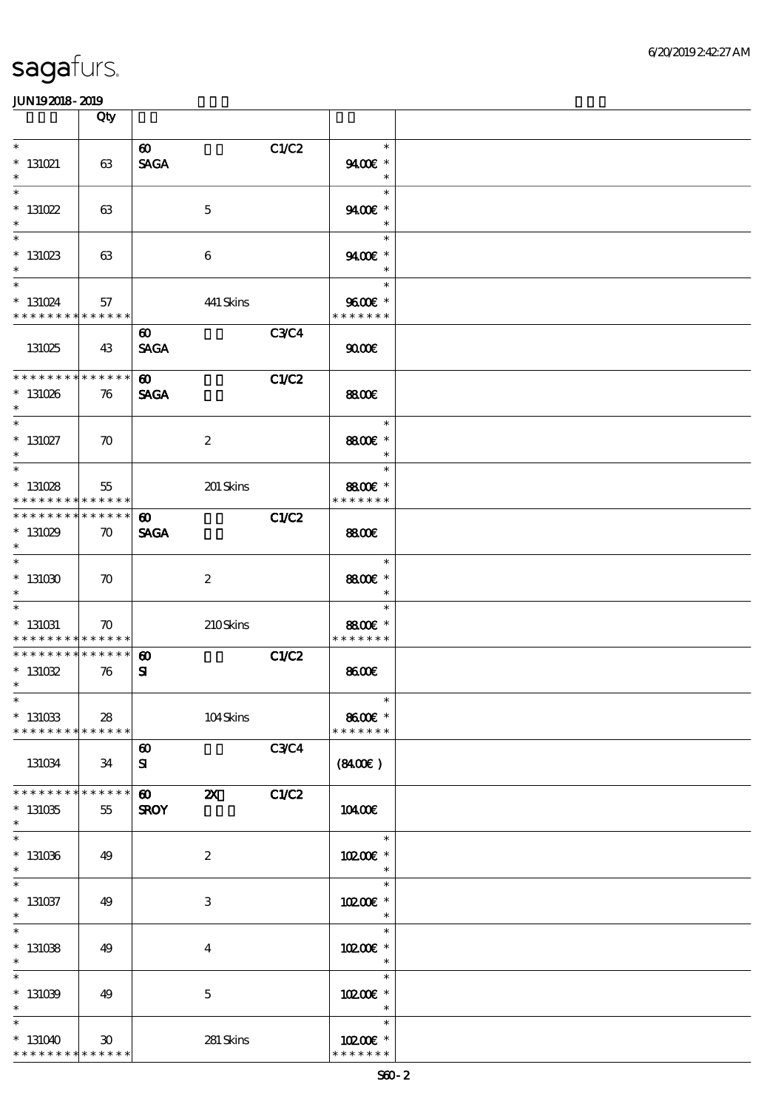|                                                                    | Qty                                   |                                                               |             |                                     |  |
|--------------------------------------------------------------------|---------------------------------------|---------------------------------------------------------------|-------------|-------------------------------------|--|
| $\ast$<br>$* 131021$<br>$\ast$                                     | 63                                    | $\boldsymbol{\omega}$<br><b>SAGA</b>                          | C1/C2       | $\ast$<br>9400€ *<br>$\ast$         |  |
| $\ast$<br>$* 131022$<br>$\ast$                                     | 63                                    | $\mathbf 5$                                                   |             | $\ast$<br>9400€ *<br>$\ast$         |  |
| $\overline{\ast}$<br>$* 131023$<br>$\ast$                          | 63                                    | $\boldsymbol{6}$                                              |             | $\ast$<br>9400€ *<br>$\ast$         |  |
| $\ast$<br>$* 131024$<br>* * * * * * * *                            | 57<br>* * * * * *                     | 441 Skins                                                     |             | $\ast$<br>9600€ *<br>* * * * * * *  |  |
| 131025                                                             | 43                                    | $\boldsymbol{\omega}$<br><b>SAGA</b>                          | <b>C3C4</b> | 9000                                |  |
| * * * * * * * *<br>$*131026$<br>$\ast$                             | * * * * * *<br>76                     | $\boldsymbol{\omega}$<br><b>SAGA</b>                          | C1/C2       | 8800€                               |  |
| $\ast$<br>$*$ 131027<br>$\ast$                                     | $\boldsymbol{\pi}$                    | $\boldsymbol{2}$                                              |             | $\ast$<br>8800€ *<br>$\ast$         |  |
| $\overline{\ast}$<br>$* 131028$<br>* * * * * * * *                 | 55<br>* * * * * *                     |                                                               | 201 Skins   | $\ast$<br>8800€ *<br>* * * * * * *  |  |
| * * * * * * * *<br>$*131029$<br>$\ast$                             | $* * * * * * *$<br>$\boldsymbol{\pi}$ | $\boldsymbol{\omega}$<br><b>SAGA</b>                          | C1/C2       | <b>8800€</b>                        |  |
| $\ast$<br>$^*$ 131030 $\,$<br>$\ast$                               | $\boldsymbol{\pi}$                    | $\boldsymbol{2}$                                              |             | $\ast$<br>8800€ *<br>$\ast$         |  |
| $\ast$<br>$* 131031$<br>* * * * * * * * <mark>* * * * * * *</mark> | $\boldsymbol{\pi}$                    |                                                               | 210Skins    | $\ast$<br>8800€ *<br>* * * * * * *  |  |
| * * * * * * * *<br>$* 131032$<br>$\ast$                            | $\ast\ast\ast\ast\ast\ast$<br>76      | $\boldsymbol{\omega}$<br>${\bf s}$                            | C1/C2       | 8600€                               |  |
| $*$<br>$* 131033$<br>* * * * * * * *                               | 28<br>* * * * * *                     |                                                               | $104S$ kins | $\ast$<br>8600€ *<br>* * * * * * *  |  |
| 131034                                                             | 34                                    | $\boldsymbol{\omega}$<br>${\bf s}$                            | C3C4        | (8400)                              |  |
| * * * * * * *<br>$*131035$<br>$\ast$                               | * * * * * *<br>55                     | $\boldsymbol{\omega}$<br>$\boldsymbol{\alpha}$<br><b>SROY</b> | C1/C2       | 10400E                              |  |
| $\ast$<br>$*131036$<br>$\ast$                                      | 49                                    | $\boldsymbol{2}$                                              |             | $\ast$<br>10200€ *<br>$\ast$        |  |
| $\ast$<br>$* 131037$<br>$\ast$                                     | 49                                    | 3                                                             |             | $\ast$<br>10200E *<br>$\ast$        |  |
| $\ast$<br>$*131038$<br>$\ast$                                      | 49                                    | $\bf{4}$                                                      |             | $\ast$<br>10200E *<br>$\ast$        |  |
| $\ast$<br>$*131039$<br>$\ast$                                      | 49                                    | $\mathbf 5$                                                   |             | $\ast$<br>10200E *<br>$\ast$        |  |
| $\ast$<br>$*131040$<br>* * * * * * * * * * * * * *                 | $30^{\circ}$                          | 281 Skins                                                     |             | $\ast$<br>10200E *<br>* * * * * * * |  |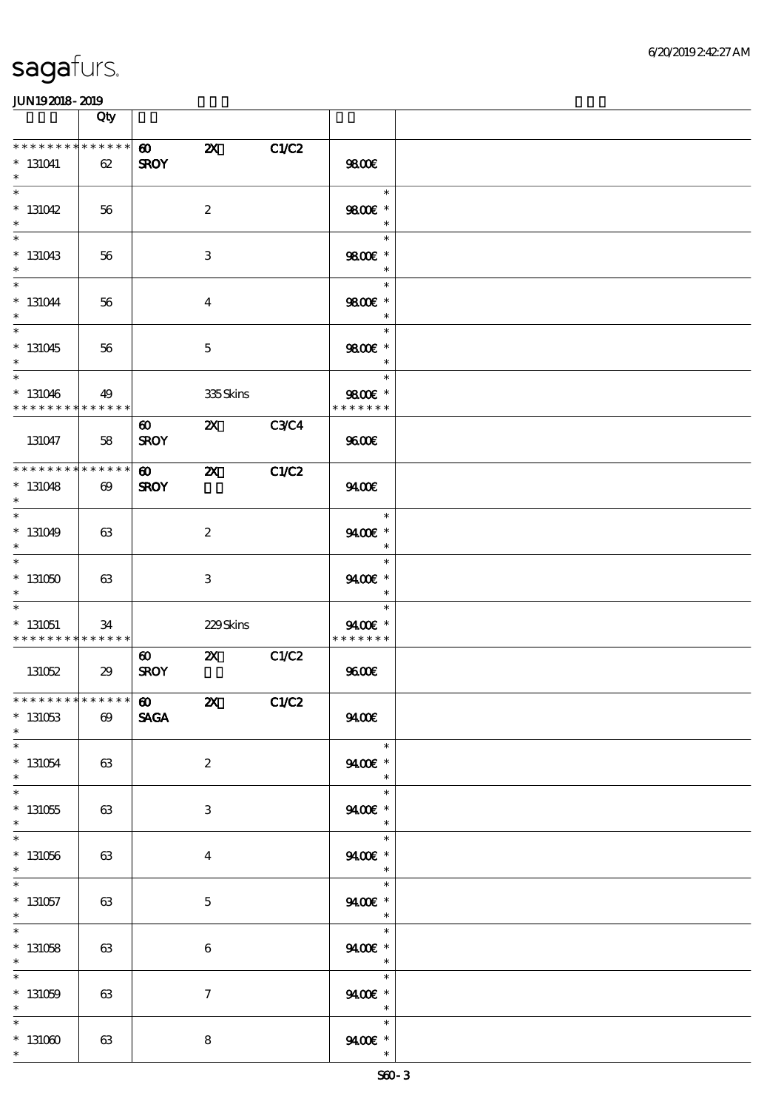|                                                       | Qty                   |                                      |                           |              |                                                 |  |
|-------------------------------------------------------|-----------------------|--------------------------------------|---------------------------|--------------|-------------------------------------------------|--|
| * * * * * * * *<br>$* 131041$<br>$\ast$               | * * * * * *<br>62     | $\boldsymbol{\omega}$<br><b>SROY</b> | $\boldsymbol{\mathsf{z}}$ | C1/C2        | 9800€                                           |  |
| $\ast$<br>$*131042$<br>$\ast$                         | 56                    |                                      | $\boldsymbol{2}$          |              | $\ast$<br>9800€ *<br>$\ast$                     |  |
| $\ast$<br>$*131043$<br>$\ast$                         | 56                    |                                      | 3                         |              | $\ast$<br>9800€ *<br>$\ast$                     |  |
| $\ast$<br>$* 131044$<br>$\ast$                        | 56                    |                                      | $\boldsymbol{4}$          |              | $\ast$<br>9800€ *<br>$\ast$                     |  |
| $\overline{\ast}$<br>$*131045$<br>$\ast$              | 56                    |                                      | $\mathbf 5$               |              | $\ast$<br>9800€ *<br>$\ast$                     |  |
| $\ast$<br>$*131046$<br>* * * * * * * * * * * * * *    | 49                    |                                      | 335Skins                  |              | $\ast$<br>9800€ *<br>* * * * * * *              |  |
| 131047                                                | 58                    | $\boldsymbol{\omega}$<br><b>SROY</b> | $\boldsymbol{\mathsf{Z}}$ | <b>C3C4</b>  | 9600E                                           |  |
| * * * * * * * * * * * * * *<br>$*131048$<br>$\ast$    | $\boldsymbol{\omega}$ | $\boldsymbol{\omega}$<br><b>SROY</b> | $\boldsymbol{\mathsf{X}}$ | <b>C1/C2</b> | 9400                                            |  |
| $\overline{\phantom{0}}$<br>$*131049$<br>$\ast$       | 63                    |                                      | $\boldsymbol{2}$          |              | $\ast$<br>9400€ *<br>$\ast$                     |  |
| $\ast$<br>$*131050$<br>$\ast$                         | 63                    |                                      | 3                         |              | $\ast$<br>9400€ *<br>$\ast$                     |  |
| $*131051$<br>* * * * * * * * <mark>* * * * * *</mark> | 34                    |                                      | 229Skins                  |              | $\ast$<br>9400€ *<br>* * * * * * *              |  |
| 131052                                                | 29                    | $\boldsymbol{\omega}$<br><b>SROY</b> | $\boldsymbol{\mathsf{Z}}$ | C1/C2        | 9600                                            |  |
| ******** <mark>******</mark><br>$* 131053$<br>$\ast$  | $\boldsymbol{\omega}$ | 60 2X<br><b>SAGA</b>                 |                           | <b>C1/C2</b> | 9400                                            |  |
| $\ast$<br>$*131054$<br>$\ast$                         | 63                    |                                      | $\boldsymbol{2}$          |              | $\ast$<br>9400€ *<br>$\ast$                     |  |
| $\overline{\phantom{0}}$<br>$* 131055$<br>$\ast$      | 63                    |                                      | 3                         |              | $\ast$<br>9400€ *<br>$\ast$                     |  |
| $\ast$<br>$*131056$<br>$\ast$                         | 63                    |                                      | $\overline{\mathbf{4}}$   |              | $\ast$<br>9400€ *<br>$\ast$                     |  |
| $\ast$<br>$* 131057$<br>$*$                           | 63                    |                                      | $\overline{5}$            |              | $\ast$<br>$9400E$ *<br>$\overline{\phantom{a}}$ |  |
| $\overline{\ast}$<br>$*$ 131058<br>$\ast$             | 63                    |                                      | $\boldsymbol{6}$          |              | $\ast$<br>9400€ *<br>$\overline{\phantom{a}}$   |  |
| $\ast$<br>$* 131059$<br>$\ast$                        | 63                    |                                      | $\boldsymbol{7}$          |              | $\ast$<br>9400€ *<br>$\ast$                     |  |
| $\ast$<br>$*131000$<br>$\ast$                         | 63                    |                                      | 8                         |              | $\ast$<br>$9400$ *<br>$\ast$                    |  |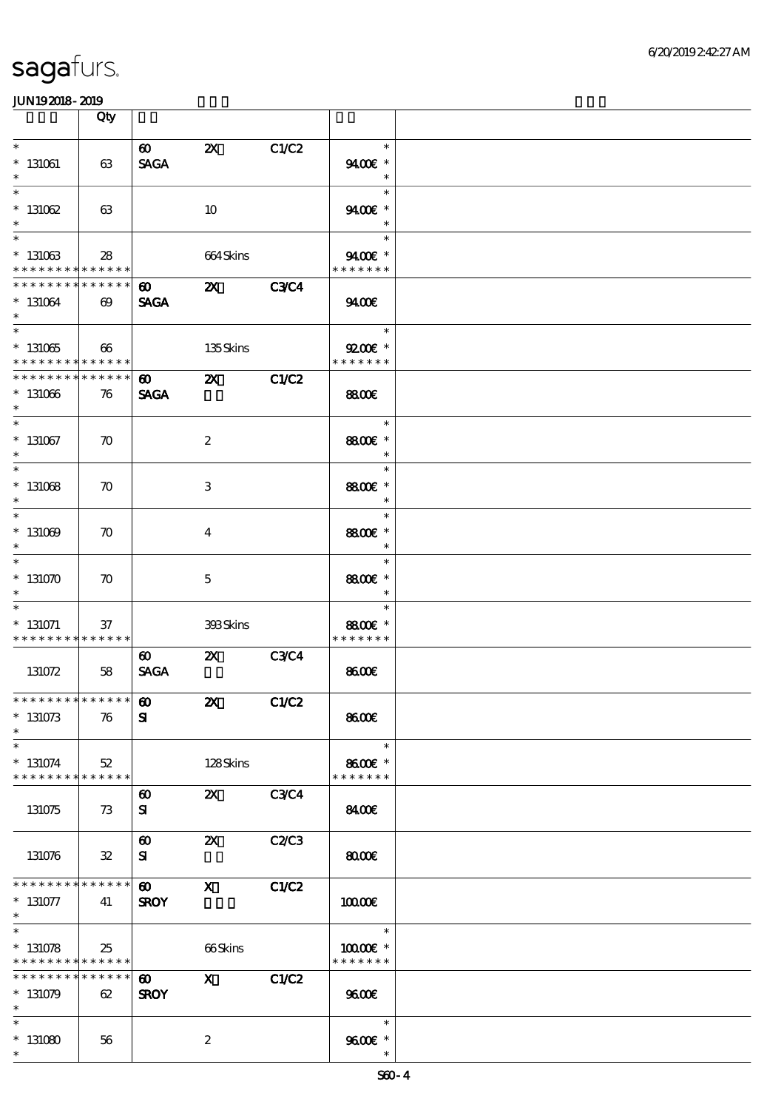|                                                                               | Qty                   |                                       |                           |             |                                              |  |
|-------------------------------------------------------------------------------|-----------------------|---------------------------------------|---------------------------|-------------|----------------------------------------------|--|
| $\ast$<br>$* 131061$<br>$\ast$                                                | 63                    | $\boldsymbol{\omega}$<br><b>SAGA</b>  | $\boldsymbol{\mathsf{Z}}$ | C1/C2       | $\ast$<br>9400€ *<br>$\ast$                  |  |
| $\ast$<br>$* 131062$<br>$\ast$                                                | 63                    |                                       | 10                        |             | $\ast$<br>9400€ *<br>$\ast$                  |  |
| $\overline{\ast}$<br>$*131063$<br>* * * * * * * * * * * * * *                 | 28                    |                                       | 664Skins                  |             | $\ast$<br>9400€ *<br>* * * * * * *           |  |
| * * * * * * * * * * * * * *<br>$* 131064$<br>$\ast$                           | $\boldsymbol{\omega}$ | $\boldsymbol{\omega}$<br><b>SAGA</b>  | $\boldsymbol{\alpha}$     | <b>C3C4</b> | 9400                                         |  |
| $\overline{\phantom{0}}$<br>$^\ast$ 131065<br>* * * * * * * * * * * * * *     | 66                    |                                       | 135Skins                  |             | e e<br>$\ast$<br>$9200$ $*$<br>* * * * * * * |  |
| * * * * * * * * * * * * * *<br>$*131066$<br>$\ast$                            | 76                    | $\boldsymbol{\omega}$<br><b>SAGA</b>  | $\boldsymbol{\mathsf{z}}$ | C1/C2       | 8800                                         |  |
| $\ast$<br>$*$ 131067<br>$\ast$                                                | $\boldsymbol{\pi}$    |                                       | $\boldsymbol{2}$          |             | $\ast$<br>8800€ *<br>$\ast$                  |  |
| $\overline{\ast}$<br>$*$ 131068<br>$\ast$                                     | $\boldsymbol{\pi}$    |                                       | 3                         |             | $\ast$<br>8800€ *<br>$\ast$                  |  |
| $\ast$<br>$* 131009$<br>$\ast$                                                | $\boldsymbol{\pi}$    |                                       | $\bf{4}$                  |             | $\ast$<br>8800€ *<br>$\ast$                  |  |
| $\ast$<br>$*131070$<br>$\ast$                                                 | $\boldsymbol{\pi}$    |                                       | $\mathbf 5$               |             | $\ast$<br>8800€ *<br>$\ast$                  |  |
| $\ast$<br>$*$ 131071<br>* * * * * * * * <mark>* * * * * *</mark> *            | $37\,$                |                                       | 393Skins                  |             | $\ast$<br>8800€ *<br>* * * * * * *           |  |
| 131072                                                                        | 58                    | $\boldsymbol{\omega}$<br><b>SAGA</b>  | $\boldsymbol{\mathsf{z}}$ | <b>C3C4</b> | 8600                                         |  |
| ******** <mark>******</mark><br>$*131073$<br>$\ast$                           | 76                    | $\boldsymbol{\omega}$<br>$\mathbf{S}$ | $\boldsymbol{\mathsf{z}}$ | C1/C2       | 8600                                         |  |
| $\ast$<br>$* 131074$<br>* * * * * * * * <mark>* * * * * * *</mark>            | 52                    |                                       | 128Skins                  |             | $\ast$<br>8600€ *<br>* * * * * * *           |  |
| 131075                                                                        | 73                    | $\boldsymbol{\omega}$<br>${\bf s}$    | $\mathbf{X}$              | <b>C3C4</b> | 8400                                         |  |
| 131076                                                                        | $\mathfrak{B}$        | $\boldsymbol{\omega}$<br>${\bf s}$    | $\boldsymbol{\mathsf{z}}$ | C2C3        | 8000                                         |  |
| * * * * * * * * * * * * * *<br>$* 131077$<br>$*$                              | 41                    | $\boldsymbol{\omega}$<br><b>SROY</b>  | $\mathbf{x}$              | C1/C2       | 10000E                                       |  |
| $\overline{\ast}$<br>$* 131078$<br>* * * * * * * * <mark>* * * * * * *</mark> | 25                    |                                       | 66Skins                   |             | $\ast$<br>10000€ *<br>* * * * * * *          |  |
| * * * * * * * * <mark>* * * * * *</mark> *<br>$*131079$<br>$\ast$             | 62                    | $\boldsymbol{\omega}$<br><b>SROY</b>  | $\mathbf{x}$              | C1/C2       | 9600                                         |  |
| $\ast$<br>$*131080$<br>$\ast$                                                 | 56                    |                                       | $\boldsymbol{2}$          |             | $\ast$<br>9600E *                            |  |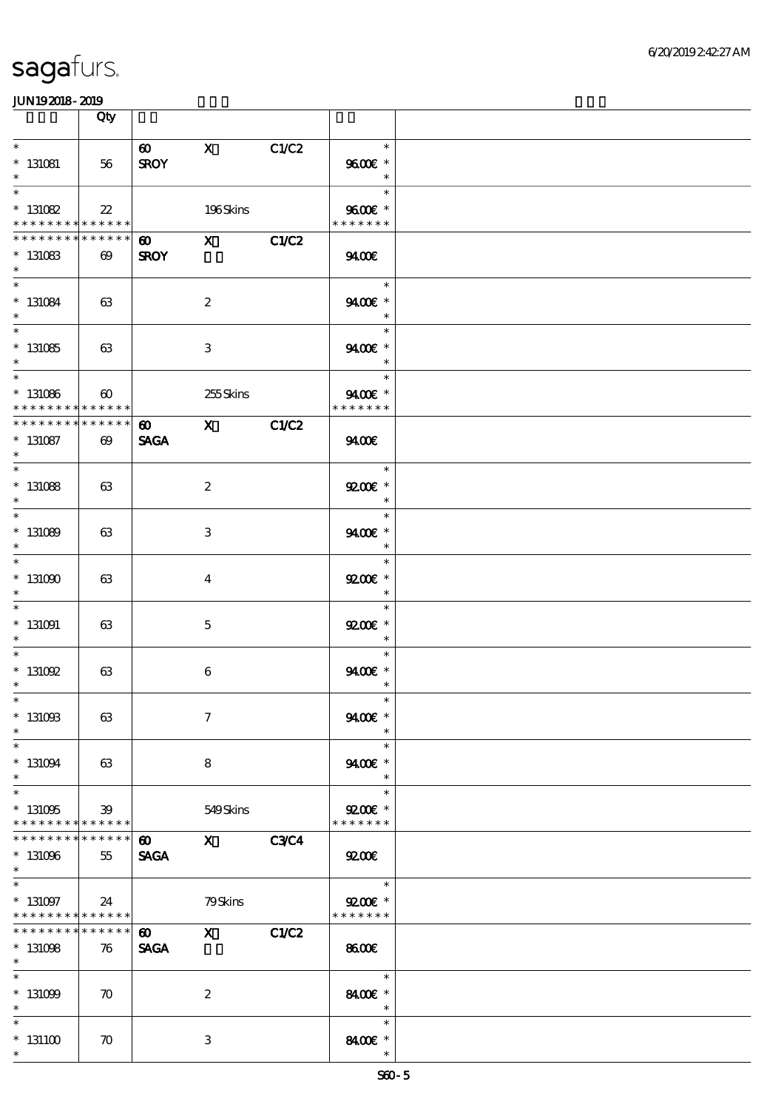|                                                                            | Qty                                      |                                      |                                                                                                                                                                                                                                                                                                                                             |             |                                       |  |
|----------------------------------------------------------------------------|------------------------------------------|--------------------------------------|---------------------------------------------------------------------------------------------------------------------------------------------------------------------------------------------------------------------------------------------------------------------------------------------------------------------------------------------|-------------|---------------------------------------|--|
| $\ast$<br>$* 131081$<br>$\ast$                                             | 56                                       | $\boldsymbol{\omega}$<br><b>SROY</b> | $\mathbf{X}$                                                                                                                                                                                                                                                                                                                                | C1/C2       | $\ast$<br>9600€ *<br>$\ast$           |  |
| $\ast$<br>$* 131082$<br>* * * * * * * * * * * * * * *                      | $22\,$                                   |                                      | 196Skins                                                                                                                                                                                                                                                                                                                                    |             | $\ast$<br>9600€ *<br>* * * * * * *    |  |
| * * * * * * * *<br>$* 131083$<br>$\ast$                                    | $* * * * * * *$<br>$\boldsymbol{\omega}$ | 60 X<br><b>SROY</b>                  |                                                                                                                                                                                                                                                                                                                                             | C1/C2       | 940E                                  |  |
| $\overline{\phantom{0}}$<br>$* 131084$<br>$\ast$                           | 63                                       |                                      | $\boldsymbol{2}$                                                                                                                                                                                                                                                                                                                            |             | $\ast$<br>9400€ *<br>$\ast$           |  |
| $* 131085$<br>$\ast$                                                       | 63                                       |                                      | 3                                                                                                                                                                                                                                                                                                                                           |             | $\ast$<br>9400€ *<br>$\ast$           |  |
| $\ast$<br>$* 131086$<br>* * * * * * * *                                    | $\boldsymbol{\omega}$<br>* * * * * *     |                                      | 255Skins                                                                                                                                                                                                                                                                                                                                    |             | $\ast$<br>9400€ *<br>* * * * * * *    |  |
| ********<br>$* 131087$<br>$\ast$<br>$\ast$                                 | $* * * * * * *$<br>$\boldsymbol{\omega}$ | $\boldsymbol{\omega}$<br><b>SAGA</b> | $\mathbf{x}$                                                                                                                                                                                                                                                                                                                                | C1/C2       | 9400                                  |  |
| $* 131088$<br>$\ast$<br>$\overline{\ast}$                                  | 63                                       |                                      | $\boldsymbol{2}$                                                                                                                                                                                                                                                                                                                            |             | $\ast$<br>$9200$ $*$<br>$\ast$        |  |
| $*131089$<br>$\ast$<br>$\overline{\ast}$                                   | 63                                       |                                      | 3                                                                                                                                                                                                                                                                                                                                           |             | $\ast$<br>9400€ *<br>$\ast$<br>$\ast$ |  |
| $*131000$<br>$\ast$<br>$\ast$                                              | 63                                       |                                      | $\overline{4}$                                                                                                                                                                                                                                                                                                                              |             | $Q200E$ *<br>$\ast$<br>$\ast$         |  |
| $* 131091$<br>$\ast$<br>$\ast$                                             | 63                                       |                                      | $\mathbf{5}$                                                                                                                                                                                                                                                                                                                                |             | $9200$ $*$<br>$\ast$<br>$\ast$        |  |
| $*$ 131092<br>$\ast$<br>$*$                                                | 63                                       |                                      | $\boldsymbol{6}$                                                                                                                                                                                                                                                                                                                            |             | 9400€ *<br>$\ast$<br>$\ast$           |  |
| $*$ 131008<br>$\ast$<br>$\ast$                                             | 63                                       |                                      | $\mathcal I$                                                                                                                                                                                                                                                                                                                                |             | 9400€ *<br>$\ast$<br>$\ast$           |  |
| $* 131094$<br>$\ast$<br>$\ast$                                             | 63                                       |                                      | 8                                                                                                                                                                                                                                                                                                                                           |             | 9400€ *<br>$\ast$<br>$\ast$           |  |
| $*131005$<br>* * * * * * * * <mark>* * * * * * *</mark><br>* * * * * * * * | 39<br>* * * * * *                        | $\boldsymbol{\omega}$                | 549Skins<br>$\mathbf X$ and $\mathbf X$ and $\mathbf X$ and $\mathbf X$ and $\mathbf X$ and $\mathbf X$ and $\mathbf X$ and $\mathbf X$ and $\mathbf X$ and $\mathbf X$ and $\mathbf X$ and $\mathbf X$ and $\mathbf X$ and $\mathbf X$ and $\mathbf X$ and $\mathbf X$ and $\mathbf X$ and $\mathbf X$ and $\mathbf X$ and $\mathbf X$ and | <b>C3C4</b> | $Q200E$ *<br>* * * * * * *            |  |
| $* 131096$<br>$*$<br>$\ast$                                                | 55                                       | <b>SAGA</b>                          |                                                                                                                                                                                                                                                                                                                                             |             | 9200<br>$\overline{\phantom{0}}$      |  |
| $* 131097$<br>* * * * * * * * * * * * * * *<br>* * * * * * * *             | 24<br>******                             | $\boldsymbol{\omega}$                | 79Skins<br>$\mathbf x$ and $\mathbf x$ and $\mathbf x$ and $\mathbf x$ and $\mathbf x$ and $\mathbf x$ and $\mathbf x$ and $\mathbf x$ and $\mathbf x$ and $\mathbf x$ and $\mathbf x$ and $\mathbf x$ and $\mathbf x$ and $\mathbf x$ and $\mathbf x$ and $\mathbf x$ and $\mathbf x$ and $\mathbf x$ and $\mathbf x$ and $\mathbf x$ and  | C1/C2       | $9200$ $*$<br>* * * * * * *           |  |
| $*131098$<br>$*$<br>$\overline{\ast}$                                      | 76                                       | <b>SAGA</b>                          |                                                                                                                                                                                                                                                                                                                                             |             | 8600<br>$\ast$                        |  |
| $* 131009$<br>$\ast$<br>$\ast$                                             | $\boldsymbol{\pi}$                       |                                      | $\boldsymbol{z}$                                                                                                                                                                                                                                                                                                                            |             | 8400€ *<br>$\ast$<br>$\ast$           |  |
| $*131100$<br>$\ast$                                                        | $\boldsymbol{\pi}$                       |                                      | 3                                                                                                                                                                                                                                                                                                                                           |             | 8400€ *<br>$\ast$                     |  |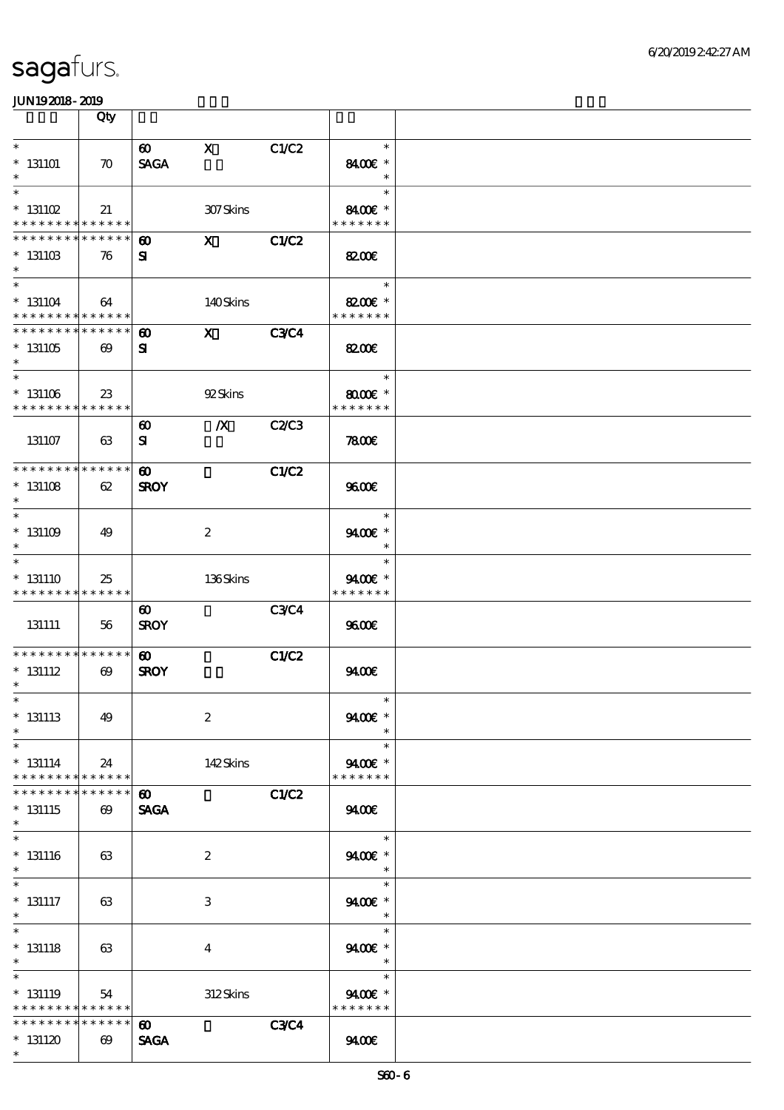|                                                                    | Qty                                  |                                      |                         |              |                                                   |  |
|--------------------------------------------------------------------|--------------------------------------|--------------------------------------|-------------------------|--------------|---------------------------------------------------|--|
| $\ast$<br>$*131101$<br>$\ast$                                      | $\boldsymbol{\pi}$                   | $\boldsymbol{\omega}$<br><b>SAGA</b> | $\mathbf{x}$            | C1/C2        | $\ast$<br>8400€ *<br>$\ast$                       |  |
| $\ast$<br>$*$ 131102<br>* * * * * * * * <mark>* * * * * *</mark>   | 21                                   |                                      | 307Skins                |              | $\ast$<br>8400€ *<br>* * * * * * *                |  |
| * * * * * * * *<br>$* 13110B$<br>$\ast$                            | * * * * * *<br>76                    | $\boldsymbol{\omega}$<br>${\bf s}$   | $\mathbf{X}$            | C1/C2        | 8200€                                             |  |
| $\ast$<br>$^*$ 131104 $\,$<br>* * * * * * * * * * * * * *          | 64                                   |                                      | 140Skins                |              | $\ast$<br>8200€ *<br>* * * * * * *                |  |
| * * * * * * * * * * * * * *<br>$^*$ 131105<br>$\ast$               | $\boldsymbol{\omega}$                | $\boldsymbol{\omega}$<br>${\bf s}$   | $\mathbf{x}$            | <b>C3C4</b>  | 8200E                                             |  |
| $\ast$<br>$*$ 131106<br>* * * * * * * * * * * * * *                | 23                                   |                                      | 92Skins                 |              | $\ast$<br>$8000$ $\varepsilon$ *<br>* * * * * * * |  |
| 131107                                                             | 63                                   | $\boldsymbol{\omega}$<br>${\bf s}$   | $\boldsymbol{X}$        | C2/C3        | 7800                                              |  |
| * * * * * * * * * * * * * *<br>$* 131108$<br>$\ast$                | 62                                   | $\boldsymbol{\omega}$<br><b>SROY</b> |                         | C1/C2        | 9600E                                             |  |
| $\ast$<br>$* 131109$<br>$\ast$                                     | 49                                   |                                      | $\boldsymbol{2}$        |              | $\ast$<br>$9400$ $*$<br>$\ast$                    |  |
| $\ast$<br>$* 131110$<br>* * * * * * * * <mark>* * * * * *</mark> * | 25                                   |                                      | 136Skins                |              | $\ast$<br>9400€ *<br>* * * * * * *                |  |
| 131111                                                             | 56                                   | $\boldsymbol{\omega}$<br><b>SROY</b> |                         | <b>C3C4</b>  | 9600                                              |  |
| * * * * * * * * * * * * * *<br>$* 131112$<br>$\ast$                | $\boldsymbol{\omega}$                | $\boldsymbol{\omega}$<br><b>SROY</b> |                         | <b>C1/C2</b> | 9400                                              |  |
| $*$<br>$*$ 131113<br>$\ast$                                        | 49                                   |                                      | $\boldsymbol{2}$        |              | $\ast$<br>9400€ *                                 |  |
| $\ast$<br>$* 131114$<br>* * * * * * * * <mark>* * * * * * *</mark> | 24                                   |                                      | 142Skins                |              | $\ast$<br>9400€ *<br>* * * * * * *                |  |
| * * * * * * *<br>$* 131115$<br>$\ast$                              | * * * * * *<br>$\boldsymbol{\omega}$ | $\boldsymbol{\omega}$<br><b>SAGA</b> |                         | <b>C1/C2</b> | 9400                                              |  |
| $\ast$<br>$*$ 131116<br>$\ast$                                     | 63                                   |                                      | $\boldsymbol{2}$        |              | $\ast$<br>9400€ *<br>$\ast$                       |  |
| $\ast$<br>$*$ 131117<br>$*$                                        | 63                                   |                                      | 3                       |              | $\ast$<br>9400€ *<br>$\ast$                       |  |
| $\overline{\ast}$<br>$*$ 131118<br>$*$                             | 63                                   |                                      | $\overline{\mathbf{4}}$ |              | $\ast$<br>9400€ *<br>$\ast$                       |  |
| $\ast$<br>$*131119$<br>* * * * * * * * <mark>* * * * * * *</mark>  | 54                                   |                                      | 312Skins                |              | $\ast$<br>9400€ *<br>* * * * * * *                |  |
| * * * * * * * *<br>$*131120$<br>$\ast$                             | * * * * * *<br>$\boldsymbol{\omega}$ | $\boldsymbol{\omega}$<br><b>SAGA</b> |                         | <b>C3C4</b>  | 9400                                              |  |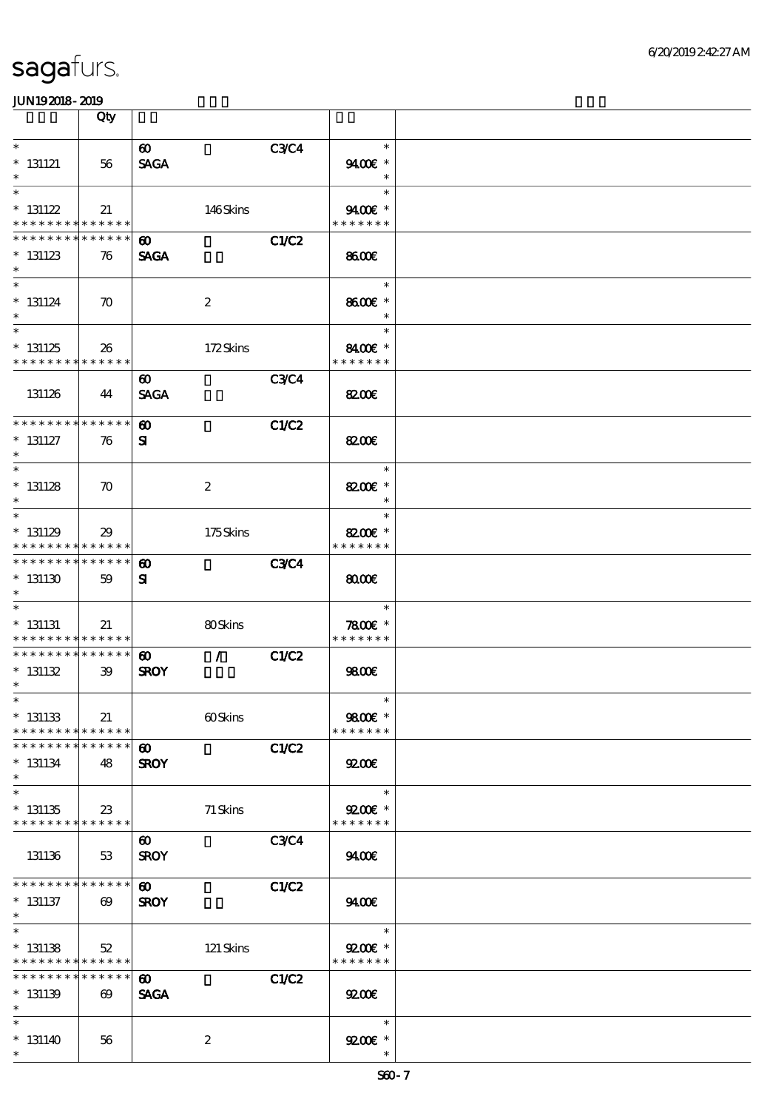|                                                                    | Qty                                  |                                                       |              |                                       |  |
|--------------------------------------------------------------------|--------------------------------------|-------------------------------------------------------|--------------|---------------------------------------|--|
| $\ast$<br>$* 131121$<br>$\ast$                                     | 56                                   | $\boldsymbol{\omega}$<br><b>SAGA</b>                  | <b>C3C4</b>  | $\ast$<br>9400€ *<br>$\ast$           |  |
| $\ast$<br>$* 131122$<br>* * * * * * * * <mark>* * * * * *</mark> * | 21                                   | 146Skins                                              |              | $\ast$<br>9400€ *<br>* * * * * * *    |  |
| * * * * * * * *<br>$* 131123$<br>$\ast$                            | * * * * * *<br>76                    | $\boldsymbol{\omega}$<br><b>SAGA</b>                  | C1/C2        | 8600                                  |  |
| $\overline{\ast}$<br>$* 131124$<br>$\ast$                          | $\boldsymbol{\pi}$                   | $\boldsymbol{2}$                                      |              | $\ast$<br>8600€ *<br>$\ast$           |  |
| $\ast$<br>$*131125$<br>* * * * * * * * * * * * * *                 | 26                                   | 172Skins                                              |              | $\ast$<br>8400€ *<br>* * * * * * *    |  |
| 131126                                                             | 44                                   | $\boldsymbol{\omega}$<br><b>SAGA</b>                  | <b>C3C4</b>  | 8200€                                 |  |
| * * * * * * * * * * * * * *<br>$* 131127$<br>$\ast$                | 76                                   | $\boldsymbol{\omega}$<br>${\bf s}$                    | <b>C1/C2</b> | 8200E                                 |  |
| $\ast$<br>$* 131128$<br>$\ast$                                     | $\boldsymbol{\pi}$                   | $\boldsymbol{2}$                                      |              | $\ast$<br>8200€ *<br>$\ast$           |  |
| $\ast$<br>$* 131129$<br>* * * * * * * *                            | 29<br>* * * * * *                    | 175Skins                                              |              | $\ast$<br>8200€ *<br>* * * * * * *    |  |
| * * * * * * * * * * * * * *<br>$*131130$<br>$\ast$                 | 59                                   | $\boldsymbol{\omega}$<br>$\mathbf{S}$                 | <b>C3C4</b>  | 8000                                  |  |
| $* 131131$<br>* * * * * * * * * * * * * *                          | 21                                   | 80Skins                                               |              | $\ast$<br>$7800$ $*$<br>* * * * * * * |  |
| * * * * * * * * * * * * * *<br>$* 131132$<br>$\ast$                | 39                                   | $\mathcal{L}$<br>$\boldsymbol{\omega}$<br><b>SROY</b> | <b>C1/C2</b> | 9800€                                 |  |
| $*$<br>$* 131133$<br>* * * * * * * * * * * * * *                   | 21                                   | 60Skins                                               |              | $\ast$<br>9800€ *<br>* * * * * * *    |  |
| * * * * * * * *<br>$* 131134$<br>$\ast$                            | * * * * * *<br>48                    | $\boldsymbol{\omega}$<br><b>SROY</b>                  | C1/C2        | 9200                                  |  |
| $\ast$<br>$*131135$<br>* * * * * * * * <mark>* * * * * * *</mark>  | 23                                   | $71$ Skins                                            |              | $\ast$<br>$9200$ £ *<br>* * * * * * * |  |
| 131136                                                             | 53                                   | $\boldsymbol{\omega}$<br><b>SROY</b>                  | <b>C3C4</b>  | 9400                                  |  |
| * * * * * * * *<br>$* 131137$<br>$*$                               | * * * * * *<br>$\boldsymbol{\omega}$ | $\boldsymbol{\omega}$<br><b>SROY</b>                  | C1/C2        | 940E                                  |  |
| $\ast$<br>$* 131138$<br>* * * * * * * * <mark>* * * * * *</mark> * | 52                                   | 121 Skins                                             |              | $\ast$<br>$Q200E$ *<br>* * * * * * *  |  |
| * * * * * * * * * * * * * *<br>$* 131139$<br>$\ast$                | $\boldsymbol{\omega}$                | $\boldsymbol{\omega}$<br><b>SAGA</b>                  | C1/C2        | 9200                                  |  |
| $\ast$<br>$*131140$<br>$\ast$                                      | 56                                   | $\boldsymbol{2}$                                      |              | $\ast$<br>$9200$ $*$<br>$\ast$        |  |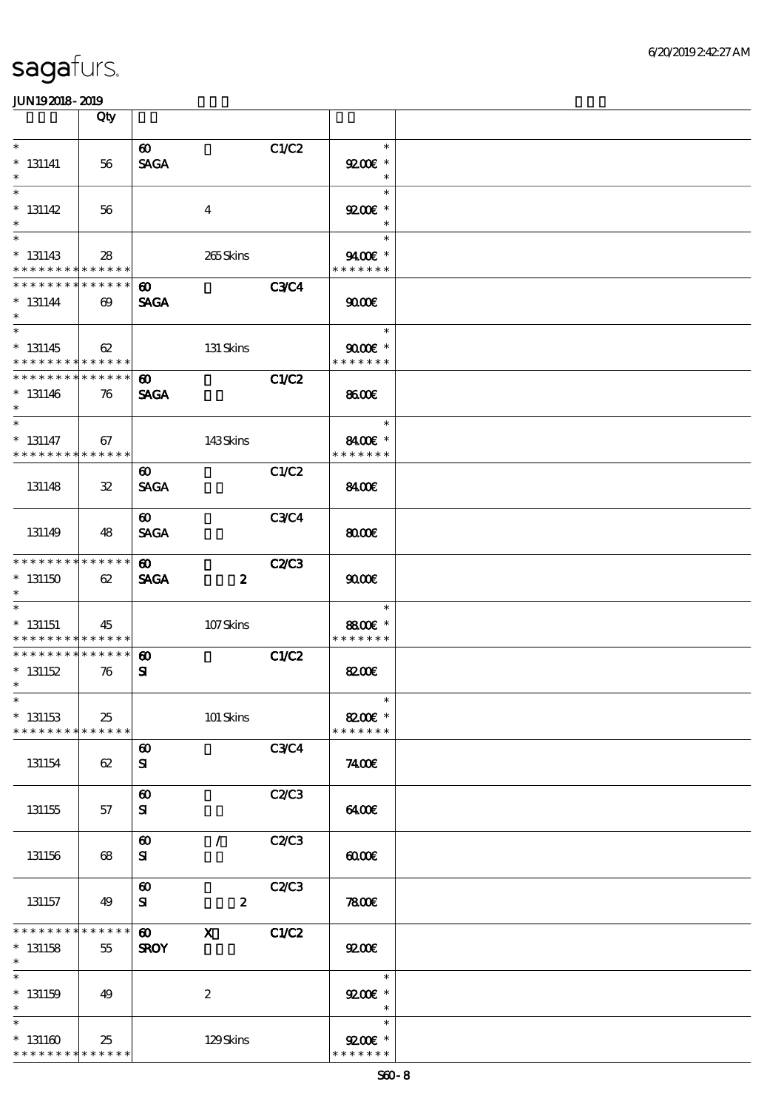|                                                                       | Qty                   |                                      |                           |              |                                       |  |
|-----------------------------------------------------------------------|-----------------------|--------------------------------------|---------------------------|--------------|---------------------------------------|--|
| $\ast$<br>$* 131141$<br>$\ast$                                        | 56                    | $\boldsymbol{\omega}$<br><b>SAGA</b> |                           | C1/C2        | $\ast$<br>$Q200E$ *<br>$\ast$         |  |
| $\overline{\ast}$<br>$* 131142$<br>$\ast$                             | 56                    |                                      | $\bf{4}$                  |              | $\ast$<br>$9200$ $*$<br>$\ast$        |  |
| $\overline{\ast}$<br>$* 131143$<br>* * * * * * * * * * * * * *        | 28                    |                                      | 265Skins                  |              | $\ast$<br>9400€ *<br>* * * * * * *    |  |
| * * * * * * * * * * * * * *<br>$* 131144$<br>$\ast$                   | $\boldsymbol{\omega}$ | $\boldsymbol{\omega}$<br><b>SAGA</b> |                           | <b>C3C4</b>  | 9000                                  |  |
| $\overline{\phantom{0}}$<br>$* 131145$<br>* * * * * * * * * * * * * * | 62                    |                                      | 131 Skins                 |              | $\ast$<br>$9000E$ *<br>* * * * * * *  |  |
| * * * * * * * * * * * * * *<br>$* 131146$<br>$\ast$                   | 76                    | $\boldsymbol{\omega}$<br><b>SAGA</b> |                           | C1/C2        | 8600                                  |  |
| $\ast$<br>$* 131147$<br>* * * * * * * * * * * * * *                   | 67                    |                                      | 143Skins                  |              | $\ast$<br>8400€ *<br>* * * * * * *    |  |
| 131148                                                                | $\mathbf{32}$         | $\boldsymbol{\omega}$<br><b>SAGA</b> |                           | C1/C2        | 8400E                                 |  |
| 131149                                                                | 48                    | $\boldsymbol{\omega}$<br><b>SAGA</b> |                           | <b>C3C4</b>  | 8000                                  |  |
| * * * * * * * * * * * * * *<br>$*131150$<br>$\ast$                    | 62                    | $\boldsymbol{\omega}$<br><b>SAGA</b> | $\boldsymbol{z}$          | <b>C2/C3</b> | 9000                                  |  |
| $\ast$<br>$* 131151$<br>* * * * * * * * * * * * * *                   | 45                    |                                      | 107Skins                  |              | $\ast$<br>8800€ *<br>* * * * * * *    |  |
| * * * * * * * * * * * * * *<br>$* 131152$<br>$*$                      | 76                    | $\boldsymbol{\omega}$<br>${\bf s}$   |                           | C1/C2        | 8200E                                 |  |
| $*$ $\qquad$<br>$* 131153$<br>* * * * * * * *                         | 25<br>* * * * * *     |                                      | 101 Skins                 |              | $\ast$<br>8200€ *<br>* * * * * * *    |  |
| 131154                                                                | 62                    | $\boldsymbol{\omega}$<br>${\bf s}$   |                           | <b>C3C4</b>  | 7400E                                 |  |
| 131155                                                                | 57                    | $\boldsymbol{\omega}$<br>${\bf s}$   |                           | <b>C2/C3</b> | 6400                                  |  |
| 131156                                                                | 68                    | $\boldsymbol{\omega}$<br>${\bf s}$   | $\sqrt{2}$                | C2/C3        | 0000                                  |  |
| 131157                                                                | 49                    | $\boldsymbol{\omega}$<br>${\bf s}$   | $\boldsymbol{z}$          | C2C3         | 7800E                                 |  |
| * * * * * * * *<br>$* 131158$<br>$\ast$                               | * * * * * *<br>55     | $\boldsymbol{\omega}$<br><b>SROY</b> | $\boldsymbol{\mathrm{X}}$ | <b>C1/C2</b> | 9200                                  |  |
| $\ast$<br>$*$ 131159<br>$\ast$                                        | 49                    |                                      | $\boldsymbol{2}$          |              | $\ast$<br>$9200$ $*$<br>$\ast$        |  |
| $\ast$<br>$*131160$<br>* * * * * * * * * * * * * *                    | 25                    |                                      | 129Skins                  |              | $\ast$<br>$9200$ $*$<br>* * * * * * * |  |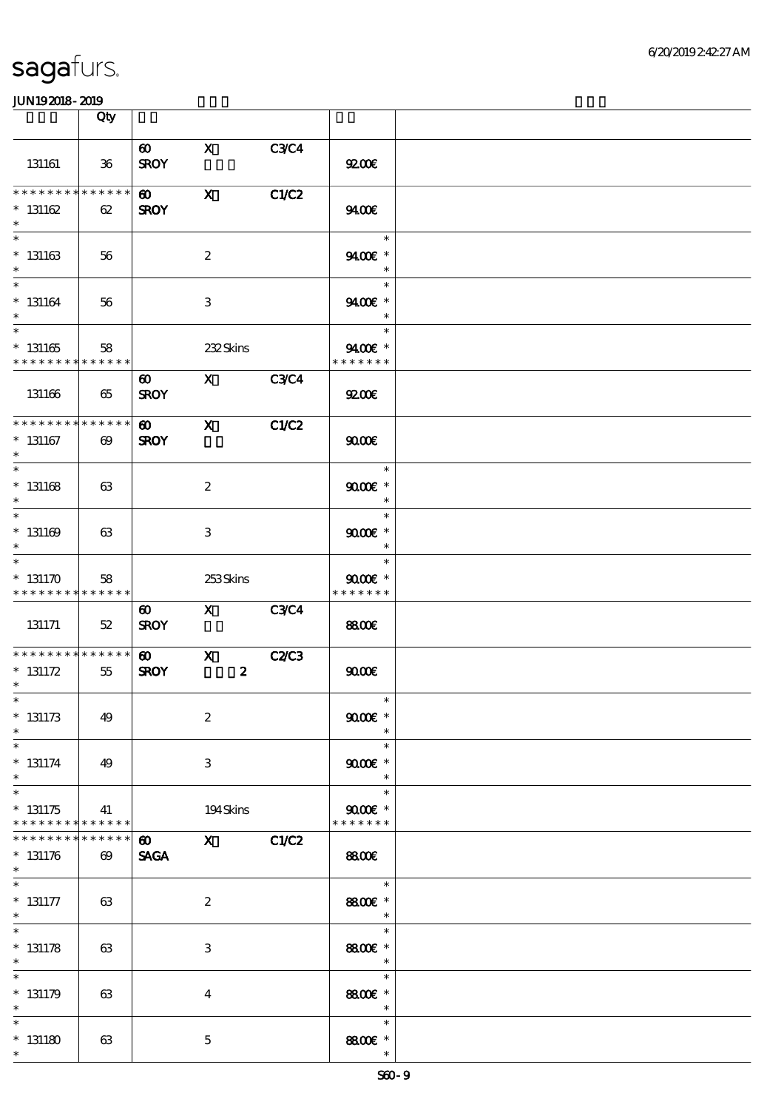|                                                       | Qty                                  |                                      |                                  |              |                                                                 |  |
|-------------------------------------------------------|--------------------------------------|--------------------------------------|----------------------------------|--------------|-----------------------------------------------------------------|--|
| 131161                                                | $36\,$                               | $\boldsymbol{\omega}$<br><b>SROY</b> | $\mathbf x$                      | <b>C3C4</b>  | 92006                                                           |  |
| * * * * * * * *<br>$* 131162$<br>$\ast$               | * * * * * *<br>62                    | $\boldsymbol{\omega}$<br><b>SROY</b> | $\mathbf{x}$                     | C1/C2        | 9400€                                                           |  |
| $\ast$<br>$* 131163$<br>$\ast$                        | 56                                   |                                      | $\boldsymbol{2}$                 |              | $\ast$<br>9400E *<br>$\ast$                                     |  |
| $\ast$<br>$* 131164$<br>$\ast$                        | 56                                   |                                      | 3                                |              | $\ast$<br>9400€ *<br>$\ast$                                     |  |
| $\overline{\phantom{0}}$<br>$* 131165$<br>$*********$ | 58<br>* * * * * *                    |                                      | 232Skins                         |              | $\ast$<br>9400€ *<br>* * * * * * *                              |  |
| 131166                                                | 65                                   | $\boldsymbol{\omega}$<br><b>SROY</b> | X C3C4                           |              | 9200                                                            |  |
| ********<br>$* 131167$<br>$\ast$                      | * * * * * *<br>$\boldsymbol{\omega}$ | $\boldsymbol{\omega}$<br><b>SROY</b> | $\mathbf{x}$                     | C1/C2        | 9000                                                            |  |
| $\overline{\phantom{0}}$<br>$^\ast$ 131168<br>$\ast$  | 63                                   |                                      | $\boldsymbol{2}$                 |              | $\ast$<br>$9000$ $*$<br>$\ast$                                  |  |
| $\ast$<br>$* 131169$<br>$\ast$                        | 63                                   |                                      | 3                                |              | $\ast$<br>$9000$ $*$<br>$\ast$                                  |  |
| $\ast$<br>$* 131170$<br>* * * * * * * *               | 58<br>* * * * * *                    |                                      | 253Skins                         |              | $\ast$<br>$9000$ $*$<br>* * * * * * *                           |  |
| 131171                                                | 52                                   | $\boldsymbol{\omega}$<br><b>SROY</b> | $\overline{X}$ C3C4              |              | <b>8800€</b>                                                    |  |
| * * * * * * * * * * * * * *<br>$* 131172$<br>$\ast$   | $55\,$                               | $\boldsymbol{\omega}$<br><b>SROY</b> | $\mathbf{X}$<br>$\boldsymbol{z}$ | <b>C2/C3</b> | 9000                                                            |  |
| $*$<br>$* 131173$<br>$\ast$                           | 49                                   |                                      | $\boldsymbol{2}$                 |              | $\ast$<br>$9000$ $*$<br>$\ast$                                  |  |
| $\ast$<br>$* 131174$<br>$\ast$                        | 49                                   |                                      | 3                                |              | $\ast$<br>$9000$ $*$<br>$\ast$                                  |  |
| $\ast$<br>$* 131175$<br>* * * * * * * * * * * * * *   | 41                                   |                                      | 194Skins                         |              | $\ast$<br>$9000$ $*$<br>* * * * * * *                           |  |
| * * * * * * *<br>$* 131176$<br>$\ast$                 | * * * * * *<br>$\Theta$              | $\boldsymbol{\omega}$<br><b>SAGA</b> | $X$ $C1/C2$                      |              | <b>8800€</b>                                                    |  |
| $* 131177$<br>$\ast$                                  | 63                                   |                                      | $\boldsymbol{z}$                 |              | $\overline{\phantom{a}}$<br>8800€ *<br>$\overline{\phantom{a}}$ |  |
| $\ast$<br>$* 131178$<br>$\ast$                        | 63                                   |                                      | 3                                |              | $\ast$<br>8800€ *<br>$\overline{\phantom{a}}$                   |  |
| $\ast$<br>$* 131179$<br>$\ast$                        | 63                                   |                                      | $\overline{4}$                   |              | $\ast$<br>8800€ *<br>$\overline{\phantom{a}}$                   |  |
| $\ast$<br>$*131180$<br>$*$                            | 63                                   |                                      | $\mathbf{5}$                     |              | $\ast$<br>8800€ *<br>$\ast$                                     |  |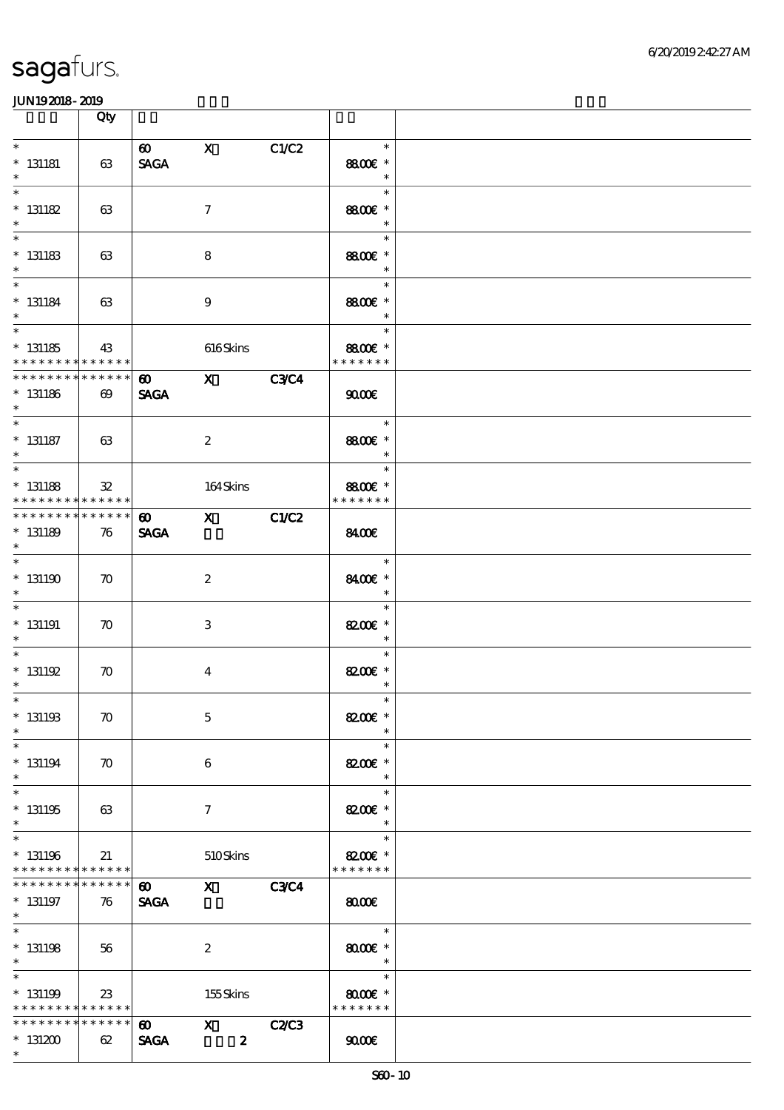|                                                                    | Qty                           |                                      |                                                                                                                                                                                                                                                                                                                                                                                                                                                               |              |                                            |  |
|--------------------------------------------------------------------|-------------------------------|--------------------------------------|---------------------------------------------------------------------------------------------------------------------------------------------------------------------------------------------------------------------------------------------------------------------------------------------------------------------------------------------------------------------------------------------------------------------------------------------------------------|--------------|--------------------------------------------|--|
| $\ast$<br>$* 131181$<br>$\ast$                                     | 63                            | $\boldsymbol{\omega}$<br><b>SAGA</b> | $\mathbf{X}$                                                                                                                                                                                                                                                                                                                                                                                                                                                  | C1/C2        | $\ast$<br>8800€ *<br>$\ast$                |  |
| $\ast$<br>$* 131182$<br>$\ast$                                     | 63                            |                                      | $\mathcal I$                                                                                                                                                                                                                                                                                                                                                                                                                                                  |              | $\ast$<br>8800€ *<br>$\ast$                |  |
| $\overline{\phantom{0}}$<br>$* 131183$<br>$\ast$                   | 63                            |                                      | 8                                                                                                                                                                                                                                                                                                                                                                                                                                                             |              | $\ast$<br>8800€ *<br>$\ast$                |  |
| $\ast$<br>$* 131184$<br>$\ast$                                     | 63                            |                                      | $\boldsymbol{9}$                                                                                                                                                                                                                                                                                                                                                                                                                                              |              | $\ast$<br>8800€ *<br>$\ast$                |  |
| $\overline{\ast}$<br>$*$ 131185<br>* * * * * * * * * * * * * *     | 43                            |                                      | 616Skins                                                                                                                                                                                                                                                                                                                                                                                                                                                      |              | $\ast$<br>8800€ *<br>* * * * * * *         |  |
| * * * * * * * * * * * * * *<br>$* 131186$<br>$\ast$                | $\boldsymbol{\omega}$         | $\boldsymbol{\omega}$<br><b>SAGA</b> | $X$ $C3C4$                                                                                                                                                                                                                                                                                                                                                                                                                                                    |              | 9000                                       |  |
| $\ast$<br>$*$ 131187<br>$\ast$                                     | 63                            |                                      | $\boldsymbol{2}$                                                                                                                                                                                                                                                                                                                                                                                                                                              |              | $\ast$<br>8800€ *<br>$\ast$                |  |
| $\overline{\ast}$<br>$* 131188$<br>* * * * * * * *                 | $\mathfrak{B}$<br>* * * * * * |                                      | 164Skins                                                                                                                                                                                                                                                                                                                                                                                                                                                      |              | $\ast$<br>8800€ *<br>* * * * * * *         |  |
| * * * * * * * * * * * * * * *<br>$* 131189$<br>$\ast$              | 76                            | $\boldsymbol{\omega}$<br><b>SAGA</b> | $X$ $C1/C2$                                                                                                                                                                                                                                                                                                                                                                                                                                                   |              | 8400€                                      |  |
| $\ast$<br>$*131190$                                                | $\boldsymbol{\pi}$            |                                      | $\boldsymbol{2}$                                                                                                                                                                                                                                                                                                                                                                                                                                              |              | $\ast$<br>8400€ *<br>$\ast$                |  |
| $\ast$<br>$* 131191$<br>$\ast$                                     | $\boldsymbol{\pi}$            |                                      | 3                                                                                                                                                                                                                                                                                                                                                                                                                                                             |              | $\ast$<br>8200€ *<br>$\ast$                |  |
| $\ast$<br>$* 131192$<br>$\ast$                                     | $\boldsymbol{\pi}$            |                                      | $\overline{\mathbf{4}}$                                                                                                                                                                                                                                                                                                                                                                                                                                       |              | $\ast$<br>8200 £*<br>$\ast$                |  |
| $*$<br>$* 131193$<br>$\ast$                                        | $\boldsymbol{\pi}$            |                                      | $\mathbf 5$                                                                                                                                                                                                                                                                                                                                                                                                                                                   |              | $\ast$<br>8200€ *<br>$\ast$                |  |
| $\ast$<br>$* 131194$<br>$\ast$                                     | $\boldsymbol{\pi}$            |                                      | 6                                                                                                                                                                                                                                                                                                                                                                                                                                                             |              | $\ast$<br>8200€ *<br>$\ast$                |  |
| $\ast$<br>$* 131195$<br>$\ast$                                     | 63                            |                                      | $\tau$                                                                                                                                                                                                                                                                                                                                                                                                                                                        |              | $\ast$<br>8200€ *<br>$\ast$                |  |
| $\ast$<br>$* 131196$<br>* * * * * * * * * * * * * *                | 21                            |                                      | 510Skins                                                                                                                                                                                                                                                                                                                                                                                                                                                      |              | $\ast$<br>8200€ *<br>* * * * * * *         |  |
| * * * * * * *<br>$* 131197$<br>$*$                                 | * * * * * *  <br>76           | $\boldsymbol{\omega}$<br><b>SAGA</b> | $\boldsymbol{\mathrm{X}}$ and $\boldsymbol{\mathrm{X}}$ and $\boldsymbol{\mathrm{X}}$ and $\boldsymbol{\mathrm{X}}$ and $\boldsymbol{\mathrm{X}}$ and $\boldsymbol{\mathrm{X}}$ and $\boldsymbol{\mathrm{X}}$ and $\boldsymbol{\mathrm{X}}$ and $\boldsymbol{\mathrm{X}}$ and $\boldsymbol{\mathrm{X}}$ and $\boldsymbol{\mathrm{X}}$ and $\boldsymbol{\mathrm{X}}$ and $\boldsymbol{\mathrm{X}}$ and $\boldsymbol{\mathrm{X}}$ and $\boldsymbol{\mathrm{X}}$ | <b>C3C4</b>  | 8000                                       |  |
| $\overline{\ast}$<br>$*$ 131198<br>$\ast$                          | 56                            |                                      | $\boldsymbol{2}$                                                                                                                                                                                                                                                                                                                                                                                                                                              |              | $\ast$<br>$8000$ $\varepsilon$ *<br>$\ast$ |  |
| $\ast$<br>$* 131199$<br>* * * * * * * * <mark>* * * * * * *</mark> | 23                            |                                      | 155Skins                                                                                                                                                                                                                                                                                                                                                                                                                                                      |              | $\ast$<br>$8000$ $*$<br>* * * * * * *      |  |
| * * * * * * * *<br>$*131200$<br>$\ast$                             | * * * * * *<br>62             | $\boldsymbol{\omega}$<br><b>SAGA</b> | $\mathbf{x}$<br>$\boldsymbol{z}$                                                                                                                                                                                                                                                                                                                                                                                                                              | <b>C2/C3</b> | 9000                                       |  |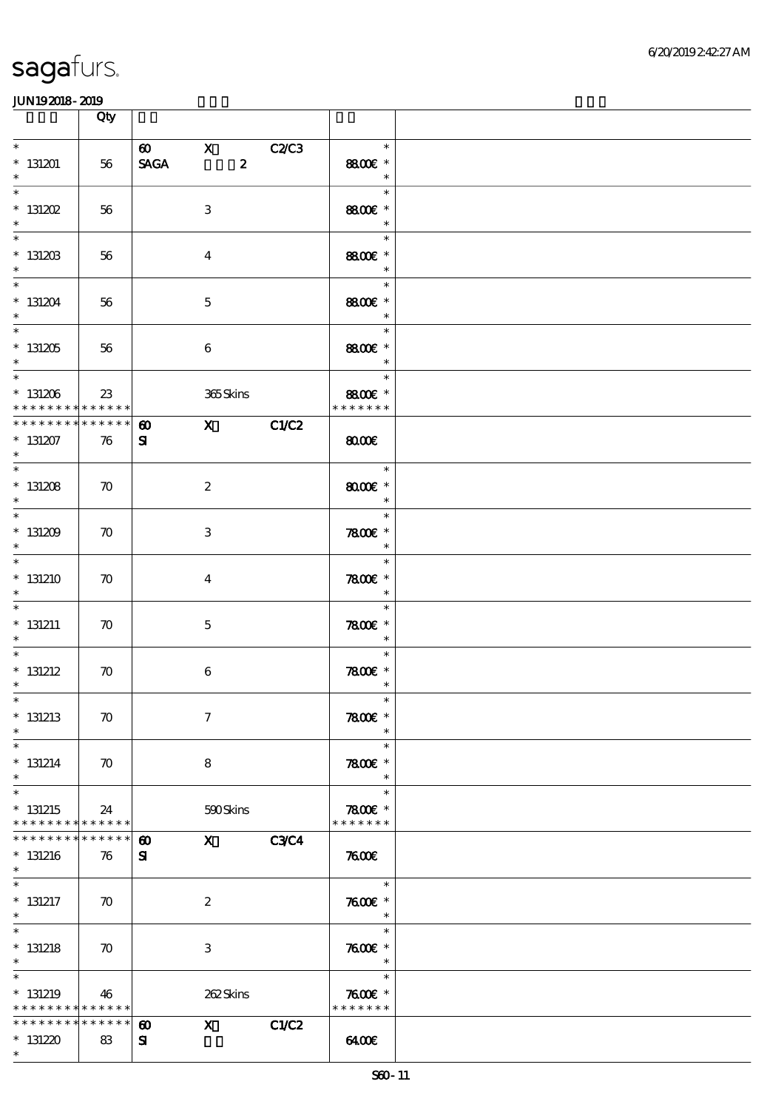|                                                                      | Qty                |                                    |                                                                                                                     |                  |             |                                          |  |
|----------------------------------------------------------------------|--------------------|------------------------------------|---------------------------------------------------------------------------------------------------------------------|------------------|-------------|------------------------------------------|--|
| $\ast$<br>$*131201$<br>$\ast$                                        | 56                 | $\omega$ x<br><b>SAGA</b>          |                                                                                                                     | $\boldsymbol{z}$ | C2/C3       | $\ast$<br>8800€ *<br>$\ast$              |  |
| $\ast$<br>$*$ 131202<br>$\ast$                                       | 56                 |                                    | $\,3$                                                                                                               |                  |             | $\ast$<br>8800€ *<br>$\ast$              |  |
| $\overline{\phantom{0}}$<br>$* 13120B$<br>$\ast$                     | 56                 |                                    | $\boldsymbol{4}$                                                                                                    |                  |             | $\ast$<br>8800€ *<br>$\ast$              |  |
| $* 131204$<br>$\ast$                                                 | 56                 |                                    | $\mathbf 5$                                                                                                         |                  |             | The Co<br>$\ast$<br>8800€ *<br>$\ast$    |  |
| $\overline{\phantom{0}}$<br>$*131205$<br>$*$                         | 56                 |                                    | $\boldsymbol{6}$                                                                                                    |                  |             | $\ast$<br>8800€ *<br>$\ast$              |  |
| $\overline{\phantom{0}}$<br>$*131206$<br>* * * * * * * * * * * * * * | 23                 |                                    | 365Skins                                                                                                            |                  |             | $\ast$<br>8800€ *<br>* * * * * * *       |  |
| ******** <mark>*******</mark><br>$* 131207$<br>$\ast$                | 76                 | $\boldsymbol{\omega}$<br>${\bf s}$ |                                                                                                                     |                  | $X$ C1/C2   | 8000                                     |  |
| $\ast$<br>$* 131208$<br>$\ast$                                       | $\boldsymbol{\pi}$ |                                    | $\boldsymbol{2}$                                                                                                    |                  |             | $\ast$<br>$8000$ $*$<br>$\ast$           |  |
| $\ast$<br>$*131209$<br>$\ast$                                        | $\boldsymbol{\pi}$ |                                    | 3                                                                                                                   |                  |             | $\ast$<br>$7800$ $*$<br>$\ast$           |  |
| $\ast$<br>$*131210$<br>$\ast$                                        | $\boldsymbol{\pi}$ |                                    | $\bf{4}$                                                                                                            |                  |             | $\ast$<br>7800 £*<br>$\ast$              |  |
| $\ast$<br>$* 131211$<br>$\ast$                                       | $\boldsymbol{\pi}$ |                                    | $\mathbf{5}$                                                                                                        |                  |             | $\ast$<br>7800 $\varepsilon$ *<br>$\ast$ |  |
| $\ast$<br>$*$ 131212<br>$\ast$                                       | $\boldsymbol{\pi}$ |                                    | $\boldsymbol{6}$                                                                                                    |                  |             | $\ast$<br>7800 $\varepsilon$ *<br>$\ast$ |  |
| $*$<br>$*$ 131213<br>$\ast$                                          | $\boldsymbol{\pi}$ |                                    | $\tau$                                                                                                              |                  |             | $\ast$<br>7800€ *<br>$\ast$              |  |
| $\ast$<br>$* 131214$<br>$\ast$                                       | $\boldsymbol{\pi}$ |                                    | 8                                                                                                                   |                  |             | $\ast$<br>$7800$ £ *<br>$\ast$           |  |
| $\ast$<br>$*131215$<br>* * * * * * * * <mark>* * * * * * *</mark>    | 24                 |                                    | 590Skins                                                                                                            |                  |             | $\ast$<br>$7800$ £ *<br>* * * * * * *    |  |
| * * * * * * * * * * * * * * *<br>$*131216$<br>$\ast$                 | 76                 | $\boldsymbol{\omega}$<br>${\bf s}$ | $\boldsymbol{\mathrm{X}}$ and $\boldsymbol{\mathrm{X}}$ and $\boldsymbol{\mathrm{X}}$ and $\boldsymbol{\mathrm{X}}$ |                  | <b>C3C4</b> | 7600                                     |  |
| $\ast$<br>$*$ 131217<br>$\ast$                                       | $\boldsymbol{\pi}$ |                                    | $\boldsymbol{2}$                                                                                                    |                  |             | $\ast$<br>$7600$ $*$<br>$\ast$           |  |
| $\ast$<br>$*$ 131218<br>$\ast$                                       | $\boldsymbol{\pi}$ |                                    | 3                                                                                                                   |                  |             | $\ast$<br>$7600$ $*$<br>$\ast$           |  |
| $\ast$<br>$*131219$<br>* * * * * * * * <mark>* * * * * * *</mark>    | 46                 |                                    | 262Skins                                                                                                            |                  |             | $\ast$<br>$7600$ $*$<br>* * * * * * *    |  |
| * * * * * * * *<br>$* 131220$<br>$\ast$                              | * * * * * *<br>83  | $\boldsymbol{\omega}$<br>${\bf s}$ | $\mathbf{X}$                                                                                                        |                  | C1/C2       | 6400                                     |  |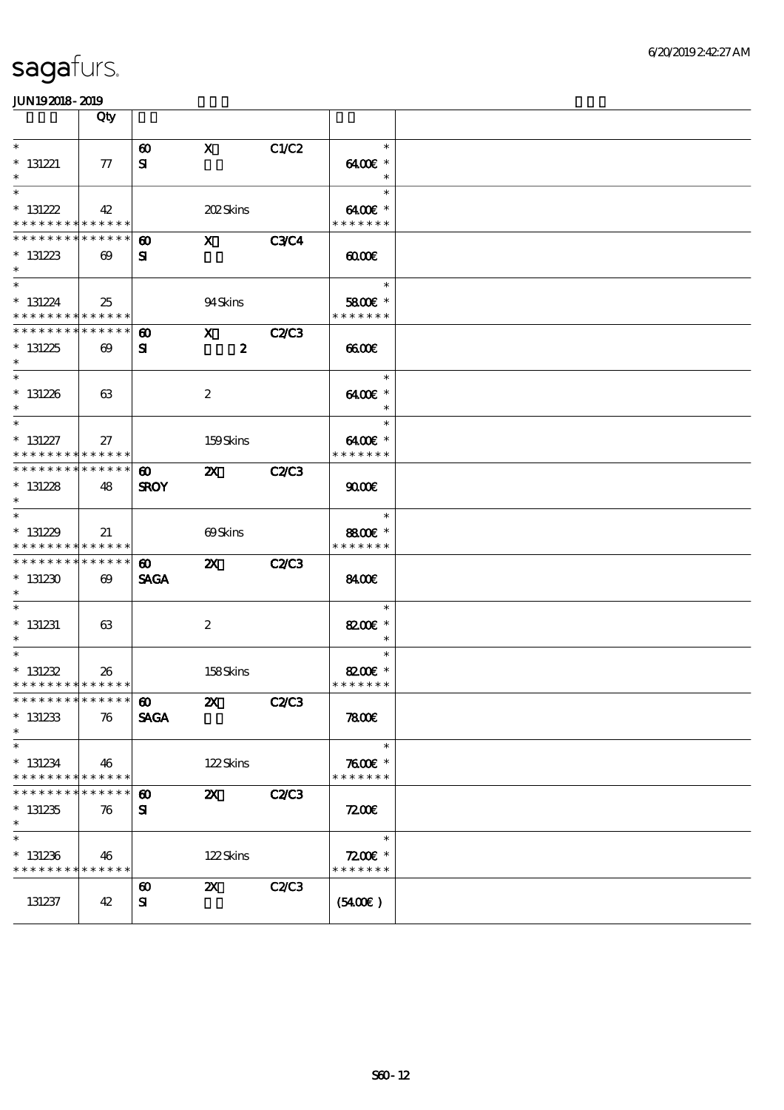|                                                                      | Qty                             |                                      |                             |              |                                                   |  |
|----------------------------------------------------------------------|---------------------------------|--------------------------------------|-----------------------------|--------------|---------------------------------------------------|--|
| $\ast$<br>$*$ 131221<br>$\ast$                                       | $\tau$                          | $\boldsymbol{\omega}$<br>${\bf s}$   | $\mathbf{x}$                | C1/C2        | $\ast$<br>6400€ *<br>$\ast$                       |  |
| $\ast$<br>$* 131222$<br>* * * * * * * * * * * * * * *                | 42                              |                                      | <b>202Skins</b>             |              | $\ast$<br>$6400$ $\varepsilon$ *<br>* * * * * * * |  |
| * * * * * * * *<br>$*131223$<br>$\ast$                               | ******<br>$\boldsymbol{\omega}$ | ⊕<br>${\bf s}$                       | $\mathbf{x}$                | <b>C3C4</b>  | 0000                                              |  |
| $* 131224$<br>* * * * * * * * * * * * * *                            | 25                              |                                      | 94Skins                     |              | $\ast$<br>5800€ *<br>* * * * * * *                |  |
| * * * * * * * * * * * * * *<br>$*131225$<br>$*$                      | $\boldsymbol{\omega}$           | $\boldsymbol{\omega}$<br>${\bf s}$   | X C2/C3<br>$\boldsymbol{z}$ |              | 6600                                              |  |
| $\overline{\ast}$<br>$*131226$<br>$*$                                | 63                              |                                      | $\boldsymbol{2}$            |              | $\ast$<br>6400€ *<br>$\ast$                       |  |
| $\overline{\ast}$<br>$* 131227$<br>* * * * * * * * * * * * * * *     | 27                              |                                      | 159Skins                    |              | $\ast$<br>6400€ *<br>* * * * * * *                |  |
| * * * * * * * * * * * * * *<br>$* 131228$<br>$*$                     | 48                              | $\boldsymbol{\omega}$<br><b>SROY</b> | $\boldsymbol{\mathsf{Z}}$   | <b>C2/C3</b> | 9000                                              |  |
| $\overline{\phantom{0}}$<br>$*131229$<br>* * * * * * * * * * * * * * | 21                              |                                      | 69Skins                     |              | $\ast$<br>8800€ *<br>* * * * * * *                |  |
| ******** <mark>******</mark><br>$*131230$<br>$\ast$                  | $\boldsymbol{\omega}$           | $\boldsymbol{\omega}$<br><b>SAGA</b> | $\boldsymbol{\mathsf{Z}}$   | <b>C2/C3</b> | <b>8400E</b>                                      |  |
| $\ast$<br>$*$ 131231<br>$*$                                          | 63                              |                                      | $\boldsymbol{2}$            |              | $\ast$<br>8200€ *<br>$\ast$                       |  |
| $*$<br>$* 131232$<br>* * * * * * * * * * * * * * *                   | 26                              |                                      | 158Skins                    |              | $\ast$<br>8200€ *<br>* * * * * * *                |  |
| *************** 100<br>$*$ 131233<br>$\ast$                          | 76                              | <b>SAGA</b>                          | <b>2X</b> C2/C3             |              | 7800€                                             |  |
| $\ast$<br>$* 131234$<br>* * * * * * * *                              | 46<br>******                    |                                      | 122Skins                    |              | $\ast$<br>$7600$ $*$<br>* * * * * * *             |  |
| * * * * * * *<br>$*131235$<br>$\ast$                                 | * * * * * *<br>76               | $\boldsymbol{\omega}$<br>${\bf s}$   | $\mathbf{X}$                | <b>C2/C3</b> | 7200                                              |  |
| $\ast$<br>$*131236$<br>* * * * * * * * <mark>* * * * * * *</mark>    | 46                              |                                      | 122Skins                    |              | $\ast$<br>$7200$ £ *<br>* * * * * * *             |  |
| 131237                                                               | 42                              | $\boldsymbol{\omega}$<br>${\bf s}$   | $\mathbf{X}$                | C2C3         | (5400)                                            |  |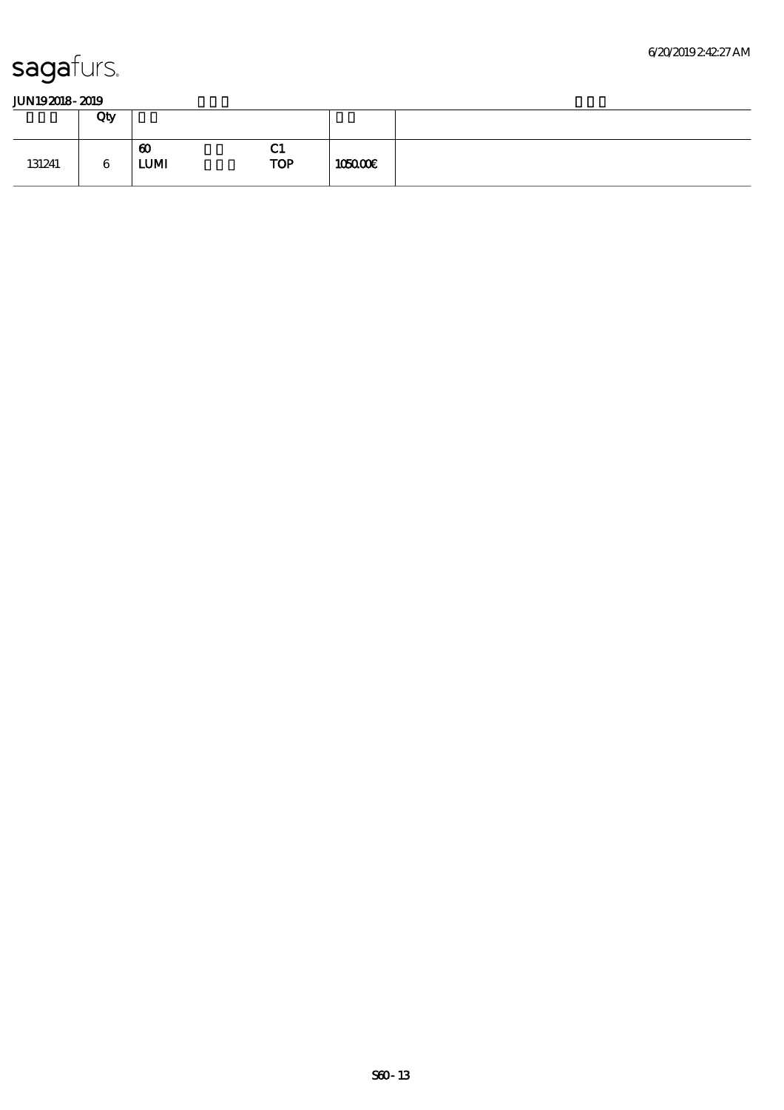|        | Qty |                                      |                           |         |  |
|--------|-----|--------------------------------------|---------------------------|---------|--|
| 131241 | 6   | $\boldsymbol{\omega}$<br><b>LUMI</b> | $\sim$<br>u<br><b>TOP</b> | 105000E |  |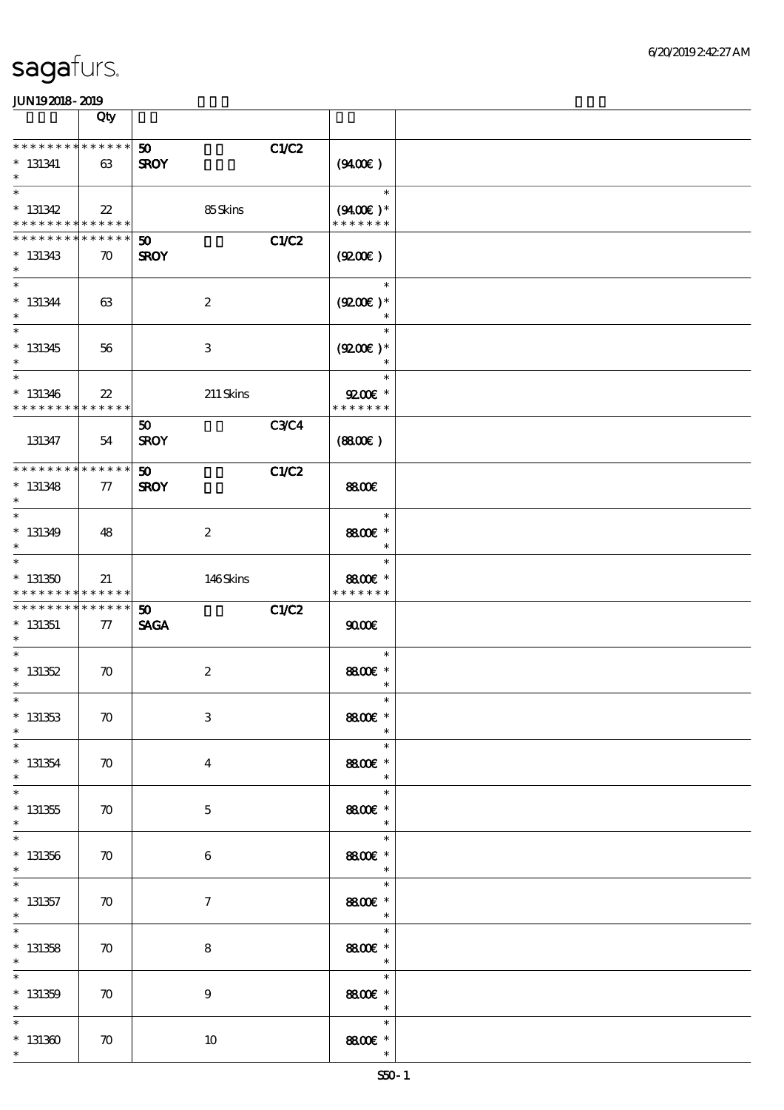|                                                                    | Qty                               |                                                            |                                                   |  |
|--------------------------------------------------------------------|-----------------------------------|------------------------------------------------------------|---------------------------------------------------|--|
| * * * * * * * * * * * * * *<br>$*$ 131341<br>$\ast$                | 63                                | C1/C2<br>50 <sub>1</sub><br><b>SROY</b>                    | (940E)                                            |  |
| $\ast$<br>$* 131342$<br>* * * * * * * * <mark>* * * * * * *</mark> | $22\,$                            | 85Skins                                                    | $\ast$<br>$(9400)$ *<br>* * * * * * *             |  |
| * * * * * * * *<br>$* 131343$<br>$\ast$                            | * * * * * *<br>$\boldsymbol{\pi}$ | C1/C2<br>$\boldsymbol{\mathfrak{D}}$<br><b>SROY</b>        | (Q200E)                                           |  |
| $\overline{\ast}$<br>$* 131344$<br>$\ast$                          | 63                                | $\boldsymbol{z}$                                           | $\ast$<br>$(9200)$ *                              |  |
| $\overline{\ast}$<br>$* 131345$<br>$\ast$                          | 56                                | $\,3\,$                                                    | $\ast$<br>$(9200E)*$<br>$\ast$                    |  |
| $\ast$<br>$* 131346$<br>* * * * * * * * <mark>* * * * * *</mark>   | $2\!2$                            | $211$ Skins                                                | $\ast$<br>$9200$ $\varepsilon$ *<br>* * * * * * * |  |
| 131347                                                             | 54                                | <b>C3C4</b><br>50<br><b>SROY</b>                           | (880)                                             |  |
| * * * * * * * * * * * * * *<br>$* 131348$<br>$\ast$                | 77                                | <b>C1/C2</b><br>50<br><b>SROY</b>                          | <b>8800€</b>                                      |  |
| $\overline{\ast}$<br>$* 131349$<br>$\ast$                          | 48                                | $\boldsymbol{z}$                                           | $\ast$<br>8800€ *<br>$\ast$                       |  |
| $\ast$<br>$*131350$<br>* * * * * * * * * * * * * *                 | 21                                | 146Skins                                                   | $\ast$<br>8800€ *<br>* * * * * * *                |  |
| * * * * * * * *<br>$* 131351$<br>$\ast$                            | $* * * * * * *$<br>77             | <b>C1/C2</b><br>$\boldsymbol{\mathfrak{D}}$<br><b>SAGA</b> | 9000                                              |  |
| $\ast$<br>$* 131352$<br>$\ast$                                     | $\boldsymbol{\pi}$                | $\boldsymbol{2}$                                           | $\ast$<br>8800€ *<br>$\ast$                       |  |
| $*$<br>$*$ 131353<br>$\ast$                                        | $\boldsymbol{\pi}$                | $\,3$                                                      | $\ast$<br>8800€ *                                 |  |
| $\ast$<br>$* 131354$<br>$\ast$                                     | $\boldsymbol{\pi}$                | $\bf{4}$                                                   | $\ast$<br>8800€ *<br>$\ast$                       |  |
| $\overline{\ast}$<br>$* 131355$<br>$\ast$                          | $\boldsymbol{\pi}$                | $\mathbf{5}$                                               | $\ast$<br>8800€ *<br>$\ast$                       |  |
| $\ast$<br>$* 131356$<br>$\ast$                                     | $\boldsymbol{\pi}$                | 6                                                          | $\ast$<br>8800€ *<br>$\ast$                       |  |
| $\overline{\phantom{0}}$<br>$* 131357$<br>$\ast$                   | $\boldsymbol{\pi}$                | $\boldsymbol{\tau}$                                        | $\ast$<br>8800€ *<br>$\overline{\phantom{a}}$     |  |
| $\overline{\ast}$<br>$*$ 131358<br>$\ast$                          | $\boldsymbol{\pi}$                | $\bf 8$                                                    | $\ast$<br>8800€ *<br>$\overline{\phantom{a}}$     |  |
| $\ast$<br>$* 131359$<br>$\ast$                                     | $\boldsymbol{\pi}$                | $\boldsymbol{9}$                                           | $\ast$<br>8800€ *<br>$\ast$                       |  |
| $\ast$<br>$*131300$<br>$\ast$                                      | $\boldsymbol{\pi}$                | $10\,$                                                     | $\ast$<br>8800€ *<br>$\ast$                       |  |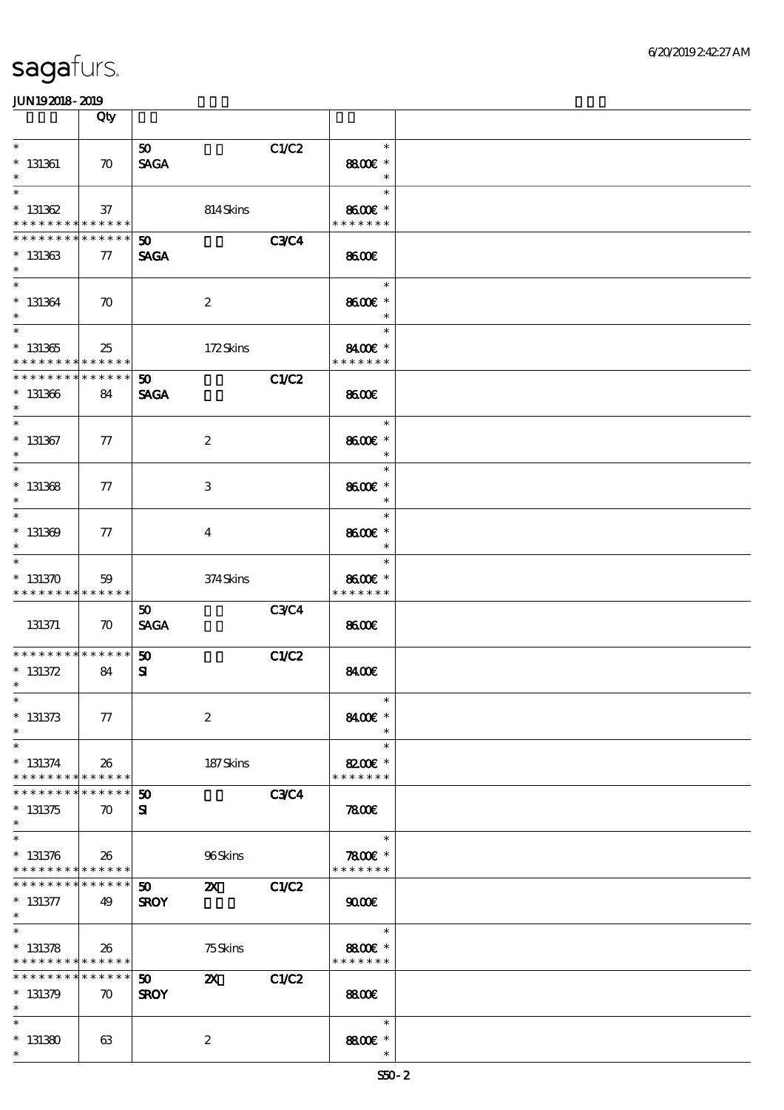|                                                                    | Qty                               |                                |                           |              |                                    |  |
|--------------------------------------------------------------------|-----------------------------------|--------------------------------|---------------------------|--------------|------------------------------------|--|
| $\ast$<br>$*$ 131361<br>$\ast$                                     | $\boldsymbol{\pi}$                | 50 <sub>1</sub><br><b>SAGA</b> |                           | C1/C2        | $\ast$<br>8800€ *<br>$\ast$        |  |
| $\ast$<br>$* 131362$<br>* * * * * * * * <mark>* * * * * * *</mark> | 37                                |                                | 814Skins                  |              | $\ast$<br>8600€ *<br>* * * * * * * |  |
| * * * * * * * *<br>$* 131363$<br>$\ast$                            | * * * * * *<br>77                 | 50 <sub>o</sub><br><b>SAGA</b> |                           | <b>C3C4</b>  | 8600                               |  |
| $\ast$<br>$* 131364$<br>$\ast$<br>$\overline{\phantom{0}}$         | $\boldsymbol{\pi}$                |                                | $\boldsymbol{2}$          |              | $\ast$<br>8600€ *<br>$\ast$        |  |
| $^\ast$ 131365<br>* * * * * * * * <mark>* * * * * * *</mark>       | 25                                |                                | 172Skins                  |              | $\ast$<br>8400€ *<br>* * * * * * * |  |
| * * * * * * * * * * * * * *<br>$* 131366$<br>$\ast$                | 84                                | 50 <sub>o</sub><br><b>SAGA</b> |                           | C1/C2        | 8600                               |  |
| $\ast$<br>$*$ 131367<br>$\ast$                                     | 77                                |                                | $\boldsymbol{2}$          |              | $\ast$<br>8600€ *<br>$\ast$        |  |
| $\ast$<br>$*$ 131368<br>$\ast$                                     | $\tau$                            |                                | 3                         |              | $\ast$<br>8600€ *<br>$\ast$        |  |
| $\ast$<br>$* 131309$<br>$\ast$                                     | 77                                |                                | $\overline{4}$            |              | $\ast$<br>8600€ *<br>$\ast$        |  |
| $\ast$<br>$* 131370$<br>* * * * * * * * * * * * * *                | 59                                |                                | 374Skins                  |              | $\ast$<br>8600€ *<br>* * * * * * * |  |
| 131371                                                             | $\boldsymbol{\pi}$                | 50<br><b>SAGA</b>              |                           | <b>C3C4</b>  | 8600                               |  |
| * * * * * * * * * * * * * *<br>$* 131372$<br>$\ast$                | 84                                | 50<br>${\bf s}$                |                           | <b>C1/C2</b> | 8400€                              |  |
| $*$<br>$* 131373$<br>$\ast$                                        | 77                                |                                | $\boldsymbol{2}$          |              | $\ast$<br>8400€ *                  |  |
| $\ast$<br>$* 131374$<br>* * * * * * * * <mark>* * * * * *</mark>   | 26                                |                                | 187Skins                  |              | $\ast$<br>8200 £*<br>* * * * * * * |  |
| * * * * * * *<br>$*131375$<br>$\ast$                               | * * * * * *<br>$\boldsymbol{\pi}$ | $50^{\circ}$<br>${\bf s}$      |                           | <b>C3C4</b>  | 7800                               |  |
| $\ast$<br>$* 131376$<br>* * * * * * * * * * * * * *                | 26                                |                                | 96Skins                   |              | $\ast$<br>7800€ *<br>* * * * * * * |  |
| * * * * * * * *<br>$* 131377$<br>$*$                               | * * * * * *<br>49                 | 50 <sub>o</sub><br><b>SROY</b> | $\boldsymbol{\mathsf{Z}}$ | C1/C2        | 9000                               |  |
| $\ast$<br>$* 131378$<br>* * * * * * * * * * * * * *                | 26                                |                                | 75Skins                   |              | $\ast$<br>8800€ *<br>* * * * * * * |  |
| * * * * * * * * <mark>* * * * * * *</mark><br>$* 131379$<br>$\ast$ | $\boldsymbol{\pi}$                | 50 <sub>1</sub><br><b>SROY</b> | $\boldsymbol{\mathsf{Z}}$ | <b>C1/C2</b> | 8800€                              |  |
| $\ast$<br>$*131380$<br>$\ast$                                      | 63                                |                                | $\boldsymbol{2}$          |              | $\ast$<br>8800 £*                  |  |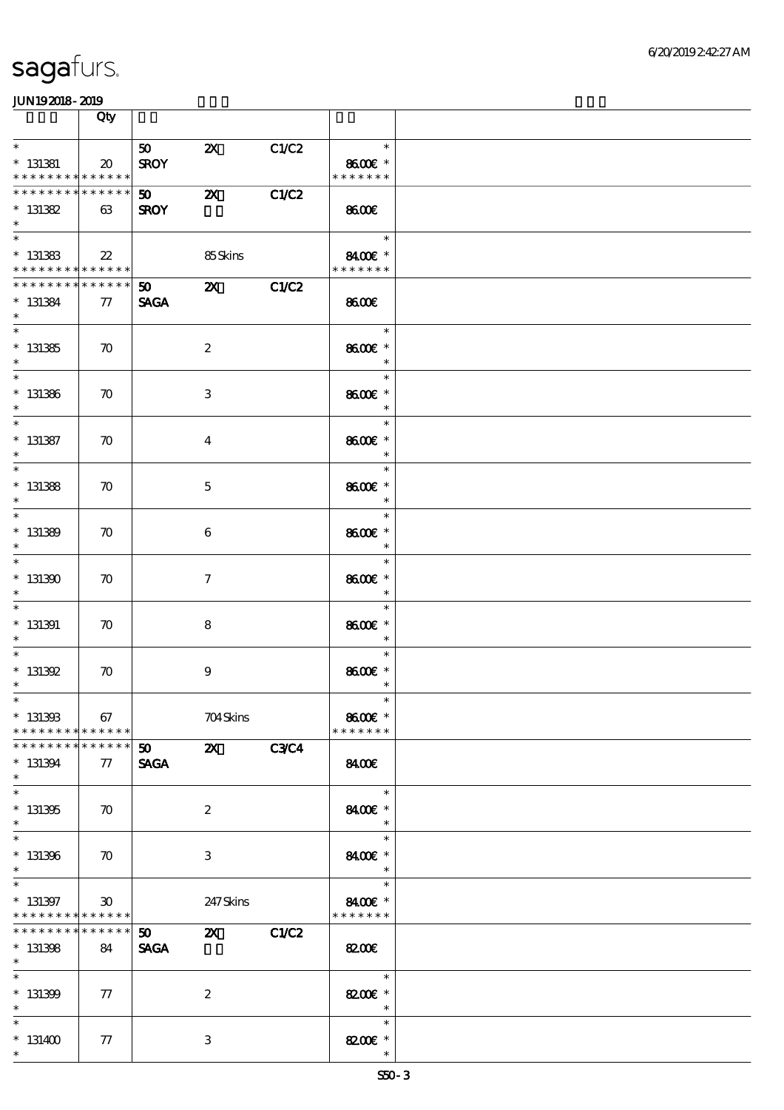|                                                        | Qty                         |                   |                           |             |                                                   |  |
|--------------------------------------------------------|-----------------------------|-------------------|---------------------------|-------------|---------------------------------------------------|--|
| $\ast$                                                 |                             | 50                | $\boldsymbol{\mathsf{Z}}$ | C1/C2       | $\ast$                                            |  |
| $*$ 131381<br>* * * * * * * * * * * * * *              | $\boldsymbol{\mathfrak{D}}$ | <b>SROY</b>       |                           |             | 8600€ *<br>* * * * * * *                          |  |
| ***************<br>$* 131382$<br>$\ast$                | 63                          | 50<br><b>SROY</b> | $\boldsymbol{\mathsf{z}}$ | C1/C2       | <b>8600€</b>                                      |  |
| $*$ 131383<br>* * * * * * * * <mark>* * * * * *</mark> | 22                          |                   | 85Skins                   |             | $\ast$<br>$8400$ $\varepsilon$ *<br>* * * * * * * |  |
| * * * * * * * *<br>$* 131384$<br>$\ast$                | $* * * * * * *$<br>77       | <b>SAGA</b>       | $50 \quad x$              | C1/C2       | 8600                                              |  |
| $\overline{\phantom{0}}$<br>$* 131385$<br>$*$          | $\boldsymbol{\pi}$          |                   | $\boldsymbol{2}$          |             | $\ast$<br>8600€ *<br>$\ast$                       |  |
| $*$<br>$*$ 131386<br>$\ast$                            | $\boldsymbol{\pi}$          |                   | $\,3\,$                   |             | $\ast$<br>8600€ *<br>$\ast$                       |  |
| $\ast$<br>$* 131387$<br>$\ast$                         | $\boldsymbol{\pi}$          |                   | $\overline{\mathbf{4}}$   |             | $\ast$<br>8600€ *<br>$\ast$                       |  |
| $\ast$<br>$*$ 131388<br>$\ast$                         | $\boldsymbol{\pi}$          |                   | $\mathbf{5}$              |             | $\ast$<br>8600€ *<br>$\ast$                       |  |
| $\ast$<br>$* 131389$<br>$\ast$                         | $\boldsymbol{\pi}$          |                   | 6                         |             | $\ast$<br>8600€ *<br>$\ast$                       |  |
| $\overline{\ast}$<br>$*131300$<br>$\ast$               | $\boldsymbol{\pi}$          |                   | $\boldsymbol{\tau}$       |             | $\ast$<br>8600€ *<br>$\ast$                       |  |
| $\ast$<br>$*$ 131391<br>$\ast$                         | $\boldsymbol{\pi}$          |                   | 8                         |             | $\ast$<br>8600€ *<br>$\ast$                       |  |
| $\overline{\ast}$<br>$* 131392$<br>$\ast$              | $\boldsymbol{\pi}$          |                   | $\boldsymbol{9}$          |             | $\ast$<br>8600€ *<br>$\ast$                       |  |
| $*$<br>$* 13130B$<br>* * * * * * * * * * * * * * *     | 67                          |                   | 704Skins                  |             | $\ast$<br>8600€ *<br>* * * * * * *                |  |
| * * * * * * *<br>$* 131394$<br>$\ast$                  | * * * * * *<br>77           | 50<br><b>SAGA</b> | $\mathbf{Z}$              | <b>C3C4</b> | 8400                                              |  |
| $\ast$<br>$* 131305$<br>$\ast$<br>$\overline{\ast}$    | $\boldsymbol{\pi}$          |                   | $\boldsymbol{2}$          |             | $\ast$<br>8400€ *<br>$\ast$                       |  |
| $* 131306$<br>$\ast$                                   | $\boldsymbol{\pi}$          |                   | 3                         |             | $\ast$<br>8400€ *<br>$\ast$                       |  |
| $\ast$<br>$* 131397$<br>* * * * * * * *                | 30<br>* * * * * *           |                   | 247 Skins                 |             | $\ast$<br>8400€ *<br>* * * * * * *                |  |
| * * * * * * * *<br>$* 131308$<br>$*$                   | * * * * * *  <br>84         | 50<br><b>SAGA</b> | $\mathbf{z}$              | C1/C2       | 8200€                                             |  |
| $\overline{\ast}$<br>$* 131309$<br>$\ast$              | 77                          |                   | $\boldsymbol{z}$          |             | $\ast$<br>8200€ *<br>$\ast$                       |  |
| $\ast$<br>$*131400$<br>$\ast$                          | 77                          |                   | $\,3$                     |             | $\ast$<br>8200 £*<br>$\ast$                       |  |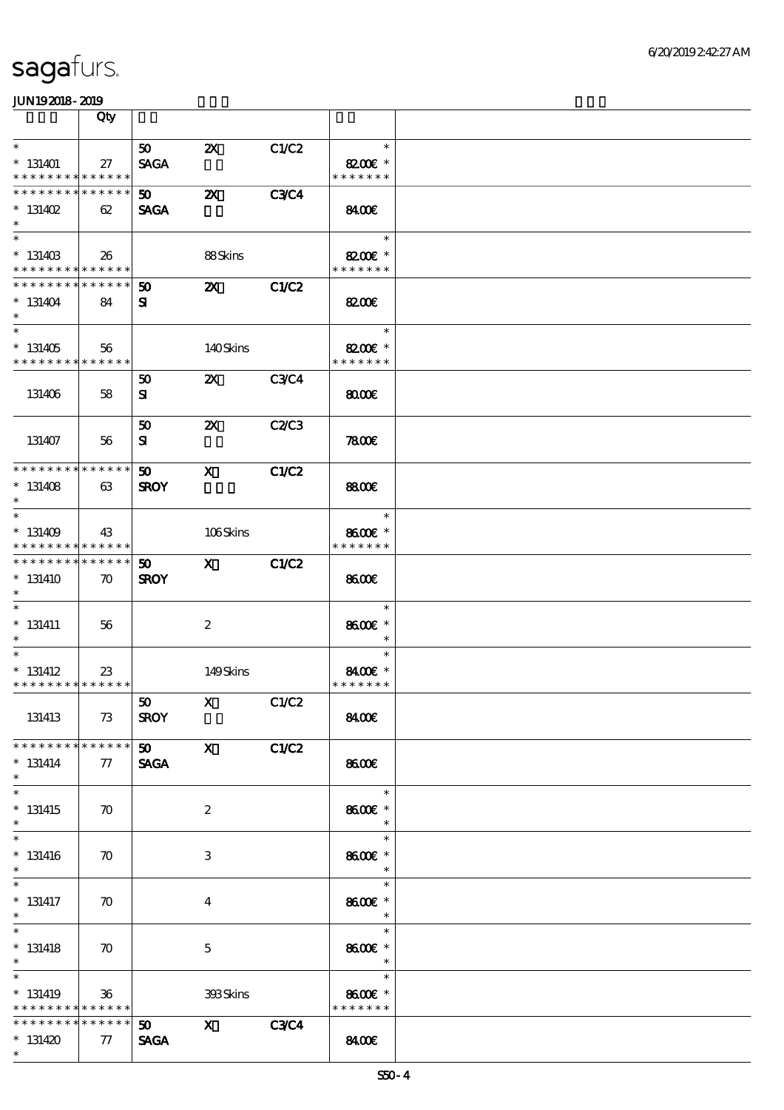|                                                                               | Qty                   |                                            |                           |              |                                                   |  |
|-------------------------------------------------------------------------------|-----------------------|--------------------------------------------|---------------------------|--------------|---------------------------------------------------|--|
| $\ast$                                                                        |                       | 50 <sub>1</sub>                            | $\boldsymbol{\mathsf{z}}$ | C1/C2        | $\ast$                                            |  |
| $* 131401$<br>* * * * * * * * * * * * * *                                     | 27                    | <b>SAGA</b>                                |                           |              | 8200€ *<br>* * * * * * *                          |  |
| * * * * * * * * * * * * * *<br>$* 131402$<br>$\ast$                           | 62                    | 50<br><b>SAGA</b>                          | $\boldsymbol{\mathsf{z}}$ | <b>C3C4</b>  | 8400€                                             |  |
| $\overline{\phantom{0}}$<br>$* 13140B$<br>* * * * * * * * * * * * * *         | 26                    |                                            | 88Skins                   |              | $\ast$<br>$8200$ $\varepsilon$ *<br>* * * * * * * |  |
| * * * * * * * * * * * * * *<br>$* 131404$<br>$\ast$                           | 84                    | 50<br>${\bf s}$                            | $\boldsymbol{\mathsf{z}}$ | <b>C1/C2</b> | 8200E                                             |  |
| $\overline{\phantom{0}}$<br>$*131405$<br>* * * * * * * * * * * * * *          | 56                    |                                            | 140Skins                  |              | $\ast$<br>8200€ *<br>* * * * * * *                |  |
| 131406                                                                        | 58                    | 50<br>${\bf s}$                            | $\boldsymbol{\mathsf{Z}}$ | <b>C3C4</b>  | 8000                                              |  |
| 131407                                                                        | 56                    | 50<br>${\bf s}$                            | $\boldsymbol{\mathsf{Z}}$ | C2/C3        | <b>7800€</b>                                      |  |
| * * * * * * * * * * * * * *<br>$* 131408$<br>$\ast$                           | 63                    | $\boldsymbol{\omega}$<br><b>SROY</b>       | $\mathbf{x}$              | <b>C1/C2</b> | <b>8800€</b>                                      |  |
| $\overline{\ast}$<br>$* 131409$<br>* * * * * * * * * * * * * *                | 43                    |                                            | 106Skins                  |              | $\ast$<br>8600€ *<br>* * * * * * *                |  |
| * * * * * * * * * * * * * *<br>$*131410$<br>$\ast$                            | $\boldsymbol{\pi}$    | 50<br><b>SROY</b>                          | $\mathbf{x}$              | <b>C1/C2</b> | 8600                                              |  |
| $\ast$<br>$* 131411$<br>$\ast$                                                | 56                    |                                            | $\boldsymbol{2}$          |              | $\ast$<br>8600€ *<br>$\ast$                       |  |
| $\overline{\ast}$<br>$* 131412$<br>* * * * * * * * * * * * * *                | 23                    |                                            | 149Skins                  |              | $\ast$<br>8400€ *<br>* * * * * * *                |  |
| 131413                                                                        | 73                    | 50<br><b>SROY</b>                          | $X$ $C1/C2$               |              | 8400€                                             |  |
| * * * * * * * * * * * * * *<br>$* 131414$<br>$*$                              | 77                    | $\mathbf{50}$ X<br><b>SAGA</b>             |                           | C1/C2        | 8600                                              |  |
| $\overline{\ast}$<br>$*131415$<br>$\ast$                                      | $\boldsymbol{\pi}$    |                                            | $\boldsymbol{2}$          |              | $\ast$<br>8600€ *                                 |  |
| $\overline{\ast}$<br>$* 131416$<br>$\ast$                                     | $\boldsymbol{\pi}$    |                                            | 3                         |              | $\ast$<br>8600€ *<br>$\ast$                       |  |
| $\ast$<br>$*$ 131417<br>$*$                                                   | $\boldsymbol{\pi}$    |                                            | $\bf{4}$                  |              | $\ast$<br>8600€ *<br>$\ast$                       |  |
| $\overline{\ast}$<br>$* 131418$<br>$*$                                        | $\boldsymbol{\pi}$    |                                            | $\mathbf{5}$              |              | $\ast$<br>8600€ *<br>$\ast$                       |  |
| $\overline{\ast}$<br>$* 131419$<br>* * * * * * * * <mark>* * * * * * *</mark> | $36\,$                |                                            | 393Skins                  |              | $\ast$<br>8600€ *<br>* * * * * * *                |  |
| ********<br>$*131420$<br>$\ast$                                               | * * * * * *<br>$77\,$ | $\boldsymbol{\mathfrak{D}}$<br><b>SAGA</b> | $\mathbf{X}$              | <b>C3C4</b>  | 8400                                              |  |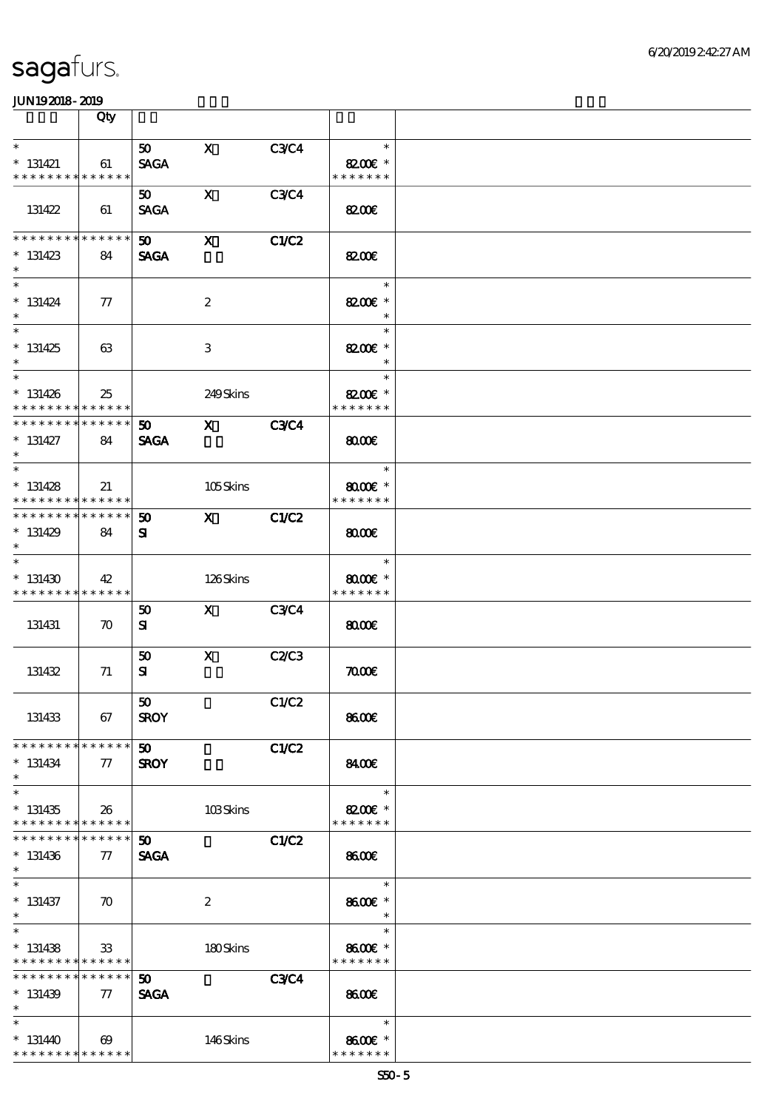|                                                                               | Qty                   |                                            |                                                                                                                                                                                                                                                                                                                                 |              |                                                   |  |
|-------------------------------------------------------------------------------|-----------------------|--------------------------------------------|---------------------------------------------------------------------------------------------------------------------------------------------------------------------------------------------------------------------------------------------------------------------------------------------------------------------------------|--------------|---------------------------------------------------|--|
| $\ast$                                                                        |                       | 50                                         | $\mathbf{x}$                                                                                                                                                                                                                                                                                                                    | C3C4         | $\ast$                                            |  |
| $* 131421$<br>* * * * * * * *                                                 | 61<br>* * * * * *     | <b>SAGA</b>                                |                                                                                                                                                                                                                                                                                                                                 |              | 8200 $\varepsilon$ *<br>* * * * * * *             |  |
| 131422                                                                        | 61                    | 50<br><b>SAGA</b>                          | $\mathbf{x}$                                                                                                                                                                                                                                                                                                                    | <b>C3C4</b>  | 8200€                                             |  |
| * * * * * * * * * * * * * *<br>$* 131423$<br>$\ast$                           | 84                    | 50<br><b>SAGA</b>                          | $\mathbf{x}$                                                                                                                                                                                                                                                                                                                    | <b>C1/C2</b> | 8200E                                             |  |
| $\ast$<br>$* 131424$<br>$\ast$                                                | $\pi$                 |                                            | $\boldsymbol{2}$                                                                                                                                                                                                                                                                                                                |              | $\ast$<br>8200€ *<br>$\ast$                       |  |
| $\overline{\phantom{0}}$<br>$*131425$<br>$\ast$                               | 63                    |                                            | 3                                                                                                                                                                                                                                                                                                                               |              | $\ast$<br>8200€ *<br>$\ast$                       |  |
| $\ast$<br>$* 131426$<br>* * * * * * * * * * * * * *                           | 25                    |                                            | 249Skins                                                                                                                                                                                                                                                                                                                        |              | $\ast$<br>8200€ *<br>* * * * * * *                |  |
| * * * * * * * * * * * * * *<br>$* 131427$<br>$\ast$                           | 84                    | 50 <sub>2</sub><br><b>SAGA</b>             | $\mathbf x$ and $\mathbf x$ and $\mathbf x$ and $\mathbf x$ and $\mathbf x$ and $\mathbf x$ and $\mathbf x$ and $\mathbf x$ and $\mathbf x$ and $\mathbf x$ and $\mathbf x$ and $\mathbf x$ and $\mathbf x$ and $\mathbf x$ and $\mathbf x$ and $\mathbf x$ and $\mathbf x$ and $\mathbf x$ and $\mathbf x$ and $\mathbf x$ and | <b>C3C4</b>  | 8000                                              |  |
| $\overline{\ast}$<br>$* 131428$<br>* * * * * * * * <mark>* * * * * * *</mark> | 21                    |                                            | 105Skins                                                                                                                                                                                                                                                                                                                        |              | $\ast$<br>$8000$ $\varepsilon$ *<br>* * * * * * * |  |
| * * * * * * * * * * * * * * *<br>$*131429$<br>$\ast$                          | 84                    | $\boldsymbol{50}$<br>${\bf s}$             | X C1/C2                                                                                                                                                                                                                                                                                                                         |              | $\omega$                                          |  |
| $\ast$<br>$*131430$<br>* * * * * * * * * * * * * *                            | 42                    |                                            | 126Skins                                                                                                                                                                                                                                                                                                                        |              | $\ast$<br>$8000$ $*$<br>* * * * * * *             |  |
| 131431                                                                        | $\boldsymbol{\pi}$    | 50<br>${\bf s}$                            | X C3C4                                                                                                                                                                                                                                                                                                                          |              | $\omega$                                          |  |
| 131432                                                                        | 71                    | 50<br>${\bf s}$                            | $\mathbf{X}$                                                                                                                                                                                                                                                                                                                    | C2C3         | $\pi$                                             |  |
| 131433                                                                        | 67                    | 50<br><b>SROY</b>                          |                                                                                                                                                                                                                                                                                                                                 | C1/C2        | 8600€                                             |  |
| * * * * * * * * * * * * * *<br>$* 131434$<br>$\ast$                           | $\tau$                | 50 <sub>o</sub><br><b>SROY</b>             |                                                                                                                                                                                                                                                                                                                                 | C1/C2        | 840C                                              |  |
| $\overline{\ast}$<br>$*131435$<br>* * * * * * * * * * * * * *                 | 26                    |                                            | 103Skins                                                                                                                                                                                                                                                                                                                        |              | $\ast$<br>8200€ *<br>* * * * * * *                |  |
| * * * * * * * * <mark>* * * * * * *</mark><br>$* 131436$<br>$\ast$            | $\pi$                 | $\boldsymbol{\mathfrak{D}}$<br><b>SAGA</b> |                                                                                                                                                                                                                                                                                                                                 | <b>C1/C2</b> | 8600€                                             |  |
| $\ast$<br>$* 131437$<br>$*$                                                   | $\boldsymbol{\pi}$    |                                            | $\boldsymbol{2}$                                                                                                                                                                                                                                                                                                                |              | $\ast$<br>8600€ *<br>$\ast$                       |  |
| $\overline{\ast}$<br>$* 131438$<br>* * * * * * * * <mark>* * * * * * *</mark> | 33 <sup>°</sup>       |                                            | 180Skins                                                                                                                                                                                                                                                                                                                        |              | $\ast$<br>8600€ *<br>* * * * * * *                |  |
| * * * * * * * * * * * * * *<br>$* 131439$<br>$\ast$                           | $\tau$                | $\boldsymbol{\omega}$<br><b>SAGA</b>       |                                                                                                                                                                                                                                                                                                                                 | <b>C3C4</b>  | 8600                                              |  |
| $\ast$<br>$*131440$<br>* * * * * * * * * * * * * *                            | $\boldsymbol{\omega}$ |                                            | 146Skins                                                                                                                                                                                                                                                                                                                        |              | $\ast$<br>8600 £*<br>* * * * * * *                |  |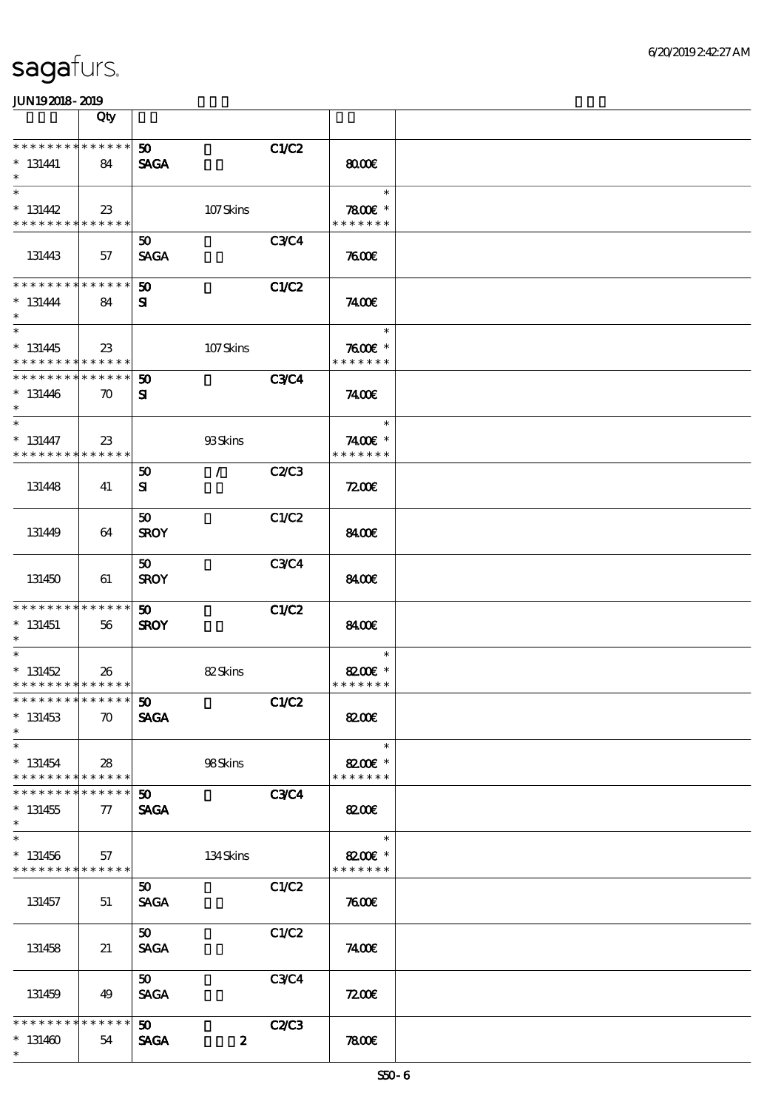|                                                                               | Qty                   |                                |                  |              |                                       |  |
|-------------------------------------------------------------------------------|-----------------------|--------------------------------|------------------|--------------|---------------------------------------|--|
| * * * * * * * * * * * * * *<br>$* 131441$<br>$\ast$                           | 84                    | 50 <sub>o</sub><br><b>SAGA</b> |                  | C1/C2        | 8000                                  |  |
| $\ast$<br>$* 131442$                                                          | 23                    |                                | 107Skins         |              | $\ast$<br>$7800$ $*$                  |  |
| * * * * * * * * * * * * * * *<br>131443                                       | 57                    | $50^{\circ}$<br><b>SAGA</b>    |                  | <b>C3C4</b>  | * * * * * * *<br>7600                 |  |
| * * * * * * * *<br>$* 131444$<br>$\ast$                                       | $* * * * * * *$<br>84 | 50<br>${\bf s}$                |                  | <b>C1/C2</b> | 7400E                                 |  |
| $\overline{\phantom{0}}$<br>$* 131445$<br>* * * * * * * * * * * * * * *       | 23                    |                                | 107Skins         |              | $\ast$<br>$7600$ $*$<br>* * * * * * * |  |
| * * * * * * * * * * * * * * *<br>$* 131446$<br>$\ast$                         | $\boldsymbol{\pi}$    | 50<br>${\bf s}$                |                  | <b>C3C4</b>  | 7400E                                 |  |
| $\ast$<br>$* 131447$<br>* * * * * * * * * * * * * * *                         | $23\,$                |                                | 93Skins          |              | $\ast$<br>7400€ *<br>* * * * * * *    |  |
| 131448                                                                        | 41                    | 50<br>${\bf s}$                | $\mathcal{L}$    | <b>C2/C3</b> | 7200                                  |  |
| 131449                                                                        | 64                    | $50^{\circ}$<br><b>SROY</b>    |                  | C1/C2        | 8400                                  |  |
| 131450                                                                        | 61                    | 50<br><b>SROY</b>              |                  | <b>C3C4</b>  | 8400                                  |  |
| * * * * * * * *<br>$* 131451$<br>$*$                                          | ******<br>56          | $50^{\circ}$<br><b>SROY</b>    |                  | C1/C2        | 8400€                                 |  |
| $\ast$<br>$* 131452$<br>* * * * * * * * * * * * * * *                         | 26                    |                                | 82Skins          |              | $\ast$<br>8200€ *<br>* * * * * * *    |  |
| ***************** 50<br>$*131453$<br>$\ast$                                   | $\boldsymbol{\pi}$    | <b>SAGA</b>                    |                  | C1/C2        | 8200€                                 |  |
| $\ast$<br>$* 131454$<br>* * * * * * * *                                       | 28<br>$* * * * * * *$ |                                | 98Skins          |              | $\ast$<br>8200€ *<br>* * * * * * *    |  |
| * * * * * * *<br>$*131455$<br>$\ast$                                          | * * * * * *<br>77     | 50 <sub>o</sub><br><b>SAGA</b> |                  | <b>C3C4</b>  | <b>82006</b>                          |  |
| $\overline{\ast}$<br>$* 131456$<br>* * * * * * * * <mark>* * * * * * *</mark> | 57                    |                                | $134$ Skins      |              | $\ast$<br>8200€ *<br>* * * * * * *    |  |
| 131457                                                                        | 51                    | $50^{\circ}$<br><b>SAGA</b>    |                  | C1/C2        | 7600                                  |  |
| 131458                                                                        | 21                    | 50 <sub>1</sub><br><b>SAGA</b> |                  | C1/C2        | 74.00E                                |  |
| 131459                                                                        | 49                    | 50<br><b>SAGA</b>              |                  | <b>C3C4</b>  | 7200E                                 |  |
| * * * * * * * *<br>$*131460$<br>$\ast$                                        | * * * * * *<br>54     | 50<br><b>SAGA</b>              | $\boldsymbol{z}$ | <b>C2/C3</b> | 7800                                  |  |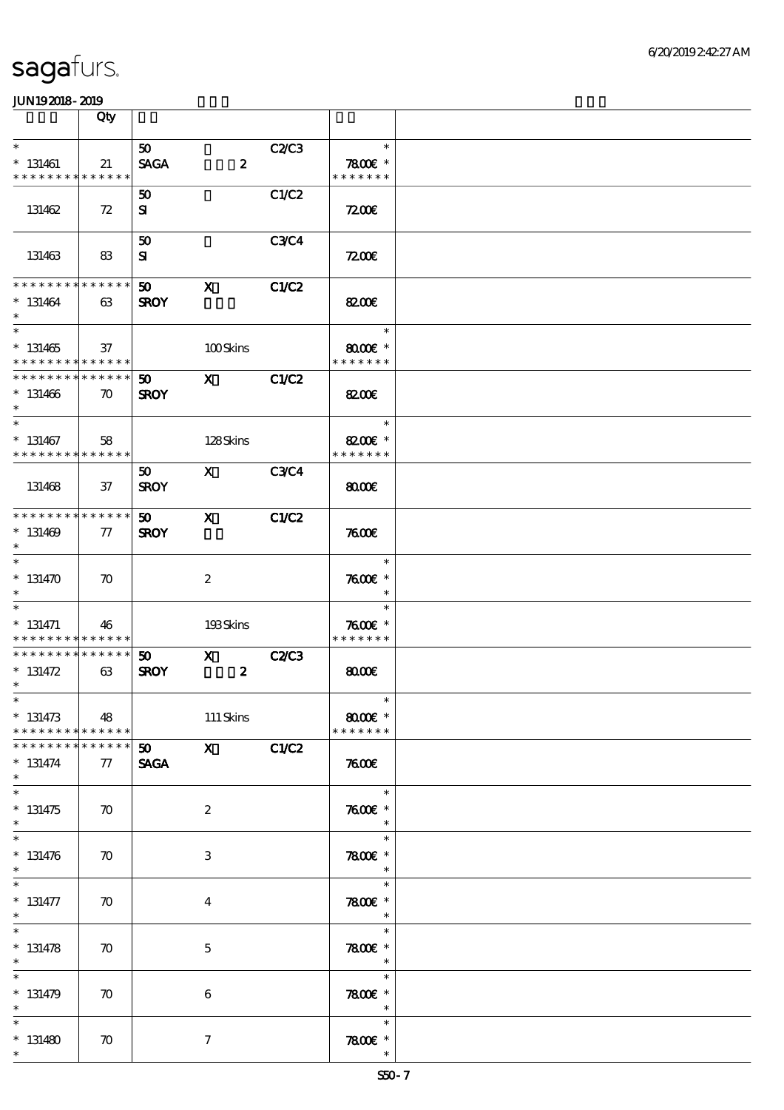|                                                                  | Qty                |                                |                                  |              |                                       |  |
|------------------------------------------------------------------|--------------------|--------------------------------|----------------------------------|--------------|---------------------------------------|--|
| $\ast$                                                           |                    | 50 <sub>o</sub>                |                                  | C2/C3        | $\ast$                                |  |
| $*$ 131461<br>* * * * * * * *                                    | 21<br>* * * * * *  | <b>SAGA</b>                    | $\boldsymbol{z}$                 |              | 7800 £*<br>* * * * * * *              |  |
| 131462                                                           | 72                 | 50<br>$\mathbf{S}$             |                                  | C1/C2        | 7200                                  |  |
| 131463                                                           | 83                 | 50<br>${\bf s}$                |                                  | <b>C3C4</b>  | 7200E                                 |  |
| * * * * * * * *<br>$* 131464$<br>$\ast$                          | * * * * * *<br>63  | 50<br><b>SROY</b>              | $\mathbf x$                      | <b>C1/C2</b> | 8200€                                 |  |
| $\overline{\ast}$<br>$* 131465$<br>* * * * * * * *               | 37<br>******       |                                | 100Skins                         |              | $\ast$<br>$8000$ $*$<br>* * * * * * * |  |
| * * * * * * * * * * * * * *<br>$* 131466$<br>$\ast$              | $\boldsymbol{\pi}$ | 50 <sub>o</sub><br><b>SROY</b> | $\mathbf{X}$                     | C1/C2        | 8200€                                 |  |
| $\ast$<br>$* 131467$<br>* * * * * * * * * * * * * *              | 58                 |                                | 128Skins                         |              | $\ast$<br>8200€ *<br>* * * * * * *    |  |
| 131468                                                           | $37\,$             | 50<br><b>SROY</b>              | $\mathbf{x}$                     | <b>C3C4</b>  | 8000                                  |  |
| * * * * * * * * * * * * * *<br>$* 131469$<br>$\ast$              | ${\it 77}$         | 50<br><b>SROY</b>              | $\mathbf{x}$                     | <b>C1/C2</b> | 7600                                  |  |
| $\overline{\ast}$<br>$* 131470$<br>$\ast$                        | $\boldsymbol{\pi}$ |                                | $\boldsymbol{2}$                 |              | $\ast$<br>$7600$ $*$<br>$\ast$        |  |
| $\ast$<br>$* 131471$<br>* * * * * * * * <mark>* * * * * *</mark> | 46                 |                                | 193Skins                         |              | $\ast$<br>$7600$ $*$<br>* * * * * * * |  |
| * * * * * * * *<br>$* 131472$<br>$\ast$                          | * * * * * *<br>63  | 50 <sub>o</sub><br><b>SROY</b> | $\mathbf{x}$<br>$\boldsymbol{z}$ | <b>C2/C3</b> | 8000                                  |  |
| $*$<br>$* 131473$<br>* * * * * * * * * * * * * * *               | 48                 |                                | $111$ Skins                      |              | $\ast$<br>$8000$ $*$<br>* * * * * * * |  |
| * * * * * * *<br>$* 131474$<br>$*$                               | * * * * * *<br>77  | 50<br><b>SAGA</b>              | $\mathbf x$                      | C1/C2        | 7600                                  |  |
| $\overline{\ast}$<br>$* 131475$<br>$\ast$                        | $\boldsymbol{\pi}$ |                                | $\boldsymbol{z}$                 |              | $\ast$<br>$7600$ $*$<br>$\ast$        |  |
| $\overline{\ast}$<br>$* 131476$<br>$\ast$                        | $\boldsymbol{\pi}$ |                                | 3                                |              | $\ast$<br>$7800$ $*$<br>$\ast$        |  |
| $\ast$<br>$* 131477$<br>$\ast$                                   | $\boldsymbol{\pi}$ |                                | $\boldsymbol{4}$                 |              | $\ast$<br>$7800$ $*$<br>$\ast$        |  |
| $\overline{\ast}$<br>$* 131478$<br>$\ast$                        | $\boldsymbol{\pi}$ |                                | $\mathbf 5$                      |              | $\ast$<br>$7800$ $*$<br>$\ast$        |  |
| $\ast$<br>$* 131479$<br>$\ast$                                   | $\boldsymbol{\pi}$ |                                | 6                                |              | $\ast$<br>$7800$ $*$<br>$\ast$        |  |
| $\ast$<br>$*131480$<br>$\ast$                                    | $\boldsymbol{\pi}$ |                                | $\tau$                           |              | $\ast$<br>$7800$ $*$<br>$\ast$        |  |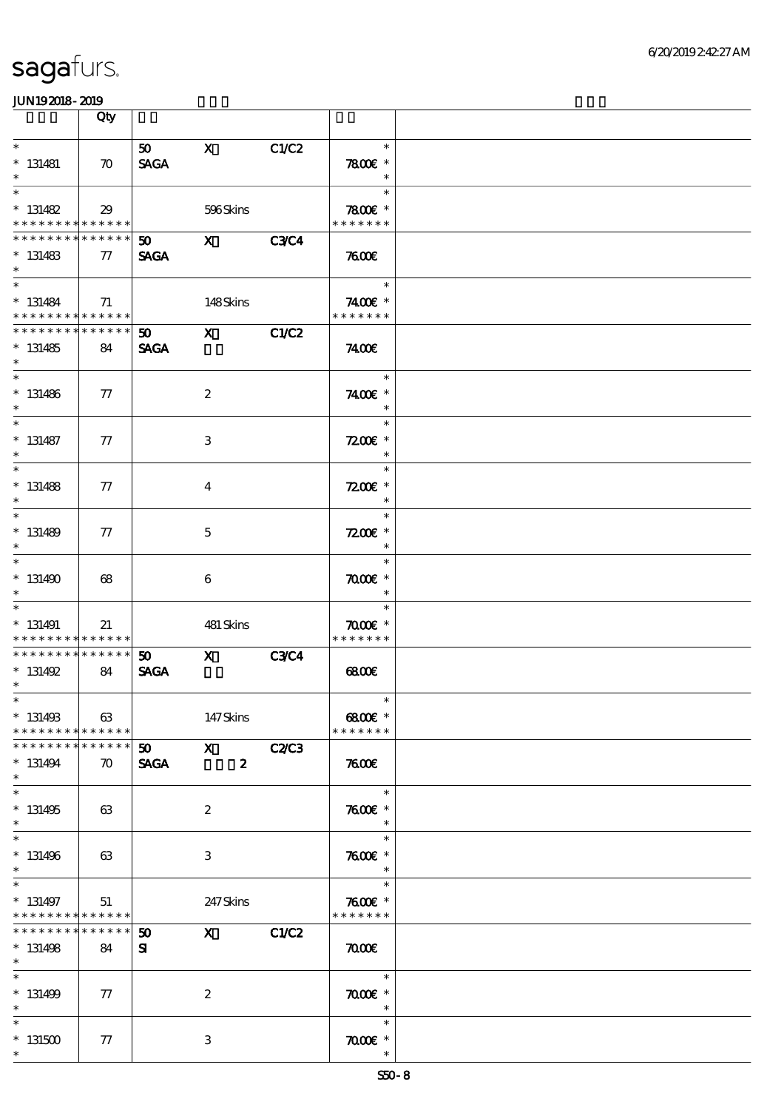|                                                                    | Qty                               |                                |                                                                                                                                                                                                                                                                                                                                 |              |                                                      |  |
|--------------------------------------------------------------------|-----------------------------------|--------------------------------|---------------------------------------------------------------------------------------------------------------------------------------------------------------------------------------------------------------------------------------------------------------------------------------------------------------------------------|--------------|------------------------------------------------------|--|
| $\ast$<br>$* 131481$<br>$\ast$                                     | $\boldsymbol{\pi}$                | 50<br><b>SAGA</b>              | $\mathbf{X}$                                                                                                                                                                                                                                                                                                                    | C1/C2        | $\ast$<br>$7800$ $*$<br>$\ast$                       |  |
| $\ast$<br>$* 131482$<br>* * * * * * * * <mark>* * * * * * *</mark> | 29                                |                                | 596Skins                                                                                                                                                                                                                                                                                                                        |              | $\ast$<br>$7800$ $*$<br>* * * * * * *                |  |
| * * * * * * * * * * * * * * *<br>$* 131483$<br>$\ast$              | $\pi$                             | $\mathbf{50}$ X<br><b>SAGA</b> |                                                                                                                                                                                                                                                                                                                                 | <b>C3C4</b>  | 7600                                                 |  |
| $* 131484$<br>* * * * * * * * * * * * * *                          | 71                                |                                | 148Skins                                                                                                                                                                                                                                                                                                                        |              | $\overline{\phantom{a}}$<br>7400€ *<br>* * * * * * * |  |
| * * * * * * * *<br>$*131485$<br>$\ast$                             | $* * * * * * *$<br>84             | 50<br><b>SAGA</b>              | $\mathbf{x}$                                                                                                                                                                                                                                                                                                                    | C1/C2        | 7400E                                                |  |
| $*$<br>$* 131486$<br>$\ast$                                        | $\tau$                            |                                | $\boldsymbol{2}$                                                                                                                                                                                                                                                                                                                |              | $\ast$<br>7400 £*<br>$\ast$                          |  |
| $\ast$<br>$* 131487$<br>$\ast$                                     | 77                                |                                | $\,3$                                                                                                                                                                                                                                                                                                                           |              | $\ast$<br>$7200$ £ $*$<br>$\ast$                     |  |
| $\ast$<br>$* 131488$<br>$\ast$                                     | 77                                |                                | $\bf{4}$                                                                                                                                                                                                                                                                                                                        |              | $\ast$<br>$7200$ £ *<br>$\ast$                       |  |
| $\ast$<br>$* 131489$<br>$\ast$                                     | $\tau$                            |                                | 5                                                                                                                                                                                                                                                                                                                               |              | $\ast$<br>$7200$ £ *<br>$\ast$                       |  |
| $\overline{\ast}$<br>$*131490$<br>$\ast$                           | 68                                |                                | 6                                                                                                                                                                                                                                                                                                                               |              | $\ast$<br>$\pi$ $\infty$<br>$\ast$                   |  |
| $\ast$<br>$* 131491$<br>* * * * * * * * * * * * * *                | 21                                |                                | 481 Skins                                                                                                                                                                                                                                                                                                                       |              | $\ast$<br>$\pi$ and $*$<br>* * * * * * *             |  |
| * * * * * * * * * * * * * * *<br>$* 131492$<br>$\ast$              | 84                                | 50<br><b>SAGA</b>              | $\mathbf x$                                                                                                                                                                                                                                                                                                                     | <b>C3C4</b>  | 68000                                                |  |
| $*$<br>$* 131493$<br>* * * * * * * * * * * * * * *                 | 63                                |                                | 147Skins                                                                                                                                                                                                                                                                                                                        |              | $*$<br>6800€ *<br>* * * * * * *                      |  |
| * * * * * * * *<br>$* 131494$<br>$\ast$                            | * * * * * *<br>$\boldsymbol{\pi}$ | 50<br><b>SAGA</b>              | $\boldsymbol{\mathrm{X}}$ and $\boldsymbol{\mathrm{X}}$ and $\boldsymbol{\mathrm{X}}$<br>$\boldsymbol{z}$                                                                                                                                                                                                                       | <b>C2/C3</b> | 7600                                                 |  |
| $\ast$<br>$* 131495$<br>$\ast$                                     | 63                                |                                | $\boldsymbol{2}$                                                                                                                                                                                                                                                                                                                |              | $\ast$<br>$7600$ $*$<br>$\ast$                       |  |
| $\overline{\ast}$<br>$* 131496$<br>$\ast$                          | 63                                |                                | 3                                                                                                                                                                                                                                                                                                                               |              | $\ast$<br>$7600$ $*$<br>$\ast$                       |  |
| $\ast$<br>$* 131497$<br>* * * * * * * * * * * * * *                | 51                                |                                | 247 Skins                                                                                                                                                                                                                                                                                                                       |              | $\ast$<br>$7600$ $*$<br>* * * * * * *                |  |
| * * * * * * * *<br>$* 131498$<br>$*$                               | ******<br>84                      | $50^{\circ}$<br>${\bf s}$      | $\mathbf x$ and $\mathbf x$ and $\mathbf x$ and $\mathbf x$ and $\mathbf x$ and $\mathbf x$ and $\mathbf x$ and $\mathbf x$ and $\mathbf x$ and $\mathbf x$ and $\mathbf x$ and $\mathbf x$ and $\mathbf x$ and $\mathbf x$ and $\mathbf x$ and $\mathbf x$ and $\mathbf x$ and $\mathbf x$ and $\mathbf x$ and $\mathbf x$ and | C1/C2        | $\pi$                                                |  |
| $\overline{\ast}$<br>$* 131499$<br>$\ast$                          | 77                                |                                | $\boldsymbol{z}$                                                                                                                                                                                                                                                                                                                |              | $\ast$<br>$\pi$ $\sigma$<br>$\ast$                   |  |
| $\ast$<br>$^\ast$ 131500<br>$\ast$                                 | 77                                |                                | $\ensuremath{\mathbf{3}}$                                                                                                                                                                                                                                                                                                       |              | $\ast$<br>$\pi$ and $*$<br>$\ast$                    |  |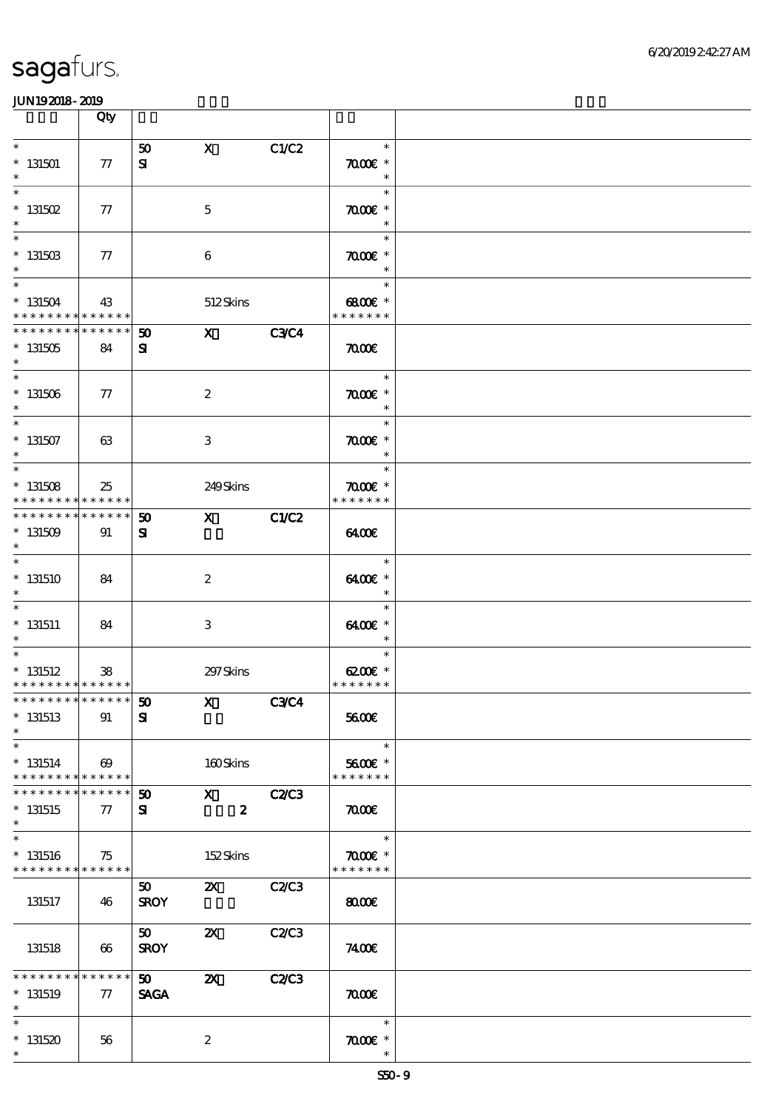|                                                                  | Qty                              |                                          |                                 |              |                                                            |  |
|------------------------------------------------------------------|----------------------------------|------------------------------------------|---------------------------------|--------------|------------------------------------------------------------|--|
| $\ast$<br>$*$ 131501<br>$\ast$                                   | 77                               | 50<br>${\bf s}$                          | $\mathbf x$                     | C1/C2        | $\ast$<br>$\pi$ and $*$<br>$\ast$                          |  |
| $\ast$<br>$*$ 131502<br>$\ast$                                   | $77\,$                           |                                          | $\mathbf 5$                     |              | $\ast$<br>$\pi$ $\alpha$ $\alpha$ $\epsilon$ $*$<br>$\ast$ |  |
| $\ast$<br>$*$ 131503                                             | $\tau$                           |                                          | 6                               |              | $\ast$<br>$\pi$ and $*$<br>$\ast$                          |  |
| $\overline{\ast}$<br>$* 131504$<br>* * * * * * * * * * * * * *   | 43                               |                                          | 512Skins                        |              | $\ast$<br>6800€ *<br>* * * * * * *                         |  |
| * * * * * * * *<br>$*131505$<br>$\ast$                           | $\ast\ast\ast\ast\ast\ast$<br>84 | $\boldsymbol{\mathfrak{D}}$<br>${\bf s}$ | $\mathbf{x}$                    | <b>C3C4</b>  | $\pi$                                                      |  |
| $\overline{\phantom{0}}$<br>$^*$ 131506 $\,$<br>$\ast$           | $\tau$                           |                                          | $\boldsymbol{2}$                |              | $\ast$<br>$\pi$ and $*$<br>$\ast$                          |  |
| $\overline{\ast}$<br>$^\ast$ 131507<br>$\ast$                    | 63                               |                                          | $\,3\,$                         |              | $\ast$<br>$\pi$ and $*$<br>$\ast$                          |  |
| $\ast$<br>$* 131508$<br>* * * * * * * *                          | 25<br>* * * * * *                |                                          | 249Skins                        |              | $\ast$<br>$\pi$ and $*$<br>* * * * * * *                   |  |
| * * * * * * * * * * * * * * *<br>$*131509$<br>$\ast$             | 91                               | 50<br>${\bf s}$                          | $\mathbf{X}$                    | C1/C2        | 6400                                                       |  |
| $\ast$<br>$*131510$<br>$\ast$                                    | 84                               |                                          | $\boldsymbol{2}$                |              | $\ast$<br>6400€ *<br>$\ast$                                |  |
| $\ast$<br>$*$ 131511<br>$\ast$                                   | 84                               |                                          | $\,3$                           |              | $\ast$<br>6400€ *<br>$\ast$                                |  |
| $\overline{\ast}$<br>$*$ 131512<br>* * * * * * * * * * * * * * * | 38                               |                                          | 297 Skins                       |              | $\ast$<br>$6200$ $\varepsilon$ *<br>* * * * * * *          |  |
| *************** 50<br>$*$ 131513<br>$\ast$                       | 91                               | $\mathbf{S}$                             | $\mathbf{x}$                    | C3C4         | 5600E                                                      |  |
| $\ast$<br>$* 131514$<br>* * * * * * * * * * * * * * *            | $\boldsymbol{\omega}$            |                                          | 160Skins                        |              | $\ast$<br>5600€ *<br>* * * * * * *                         |  |
| * * * * * * * *<br>$*131515$<br>$\ast$                           | $* * * * * * *$<br>$\tau$        | 50<br>${\bf s}$                          | $\mathbf X$<br>$\boldsymbol{z}$ | <b>C2/C3</b> | $\pi$                                                      |  |
| $\ast$<br>$*131516$<br>* * * * * * * * <mark>* * * * * *</mark>  | 75                               |                                          | 152Skins                        |              | $\overline{\phantom{a}}$<br>$\pi$ and $*$<br>* * * * * * * |  |
| 131517                                                           | 46                               | $50^{\circ}$<br><b>SROY</b>              | $\mathbf{X}$                    | C2C3         | 8000                                                       |  |
| 131518                                                           | 66                               | 50<br><b>SROY</b>                        | $\boldsymbol{\mathsf{Z}}$       | C2C3         | 7400E                                                      |  |
| * * * * * * * *<br>$*131519$<br>$\ast$                           | * * * * * *<br>77                | 50<br><b>SAGA</b>                        | $\boldsymbol{\mathsf{X}}$       | C2/C3        | $\pi$                                                      |  |
| $\ast$<br>$*131520$<br>$\ast$                                    | 56                               |                                          | $\boldsymbol{2}$                |              | $\ast$<br>$\pi$ and $*$<br>$\ast$                          |  |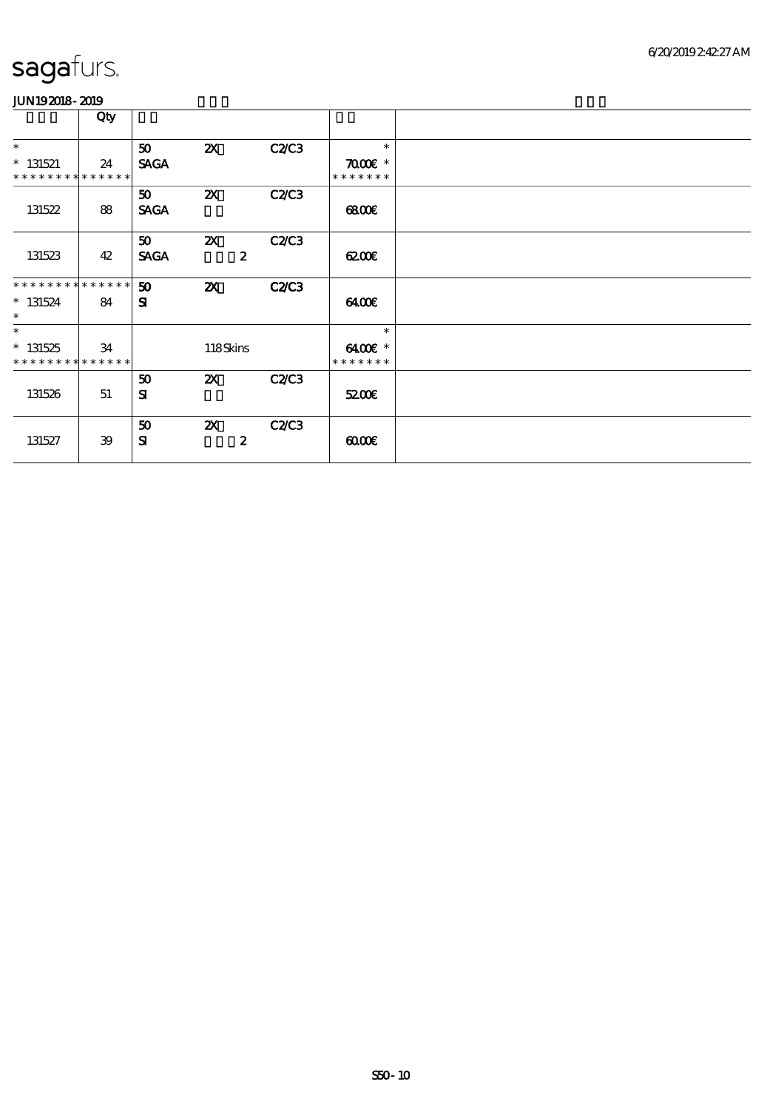|                             | Qty |             |                           |              |                                           |  |
|-----------------------------|-----|-------------|---------------------------|--------------|-------------------------------------------|--|
| $\ast$                      |     | 50          | $\boldsymbol{\mathsf{Z}}$ | <b>C2/C3</b> | $\ast$                                    |  |
| $* 131521$                  | 24  | <b>SAGA</b> |                           |              | $\pi$ $\alpha$ $\alpha$ $\epsilon$ $\ast$ |  |
| * * * * * * * * * * * * * * |     |             |                           |              | * * * * * * *                             |  |
|                             |     | 50          | $\boldsymbol{\mathsf{Z}}$ | C2C3         |                                           |  |
| 131522                      | 88  | <b>SAGA</b> |                           |              | 68000                                     |  |
|                             |     |             |                           |              |                                           |  |
|                             |     | 50          | $\boldsymbol{\alpha}$     | C2C3         |                                           |  |
| 131523                      | 42  | <b>SAGA</b> | $\boldsymbol{z}$          |              | 6200E                                     |  |
|                             |     |             |                           |              |                                           |  |
| * * * * * * * * * * * * * * |     | 50          | $\boldsymbol{\mathsf{z}}$ | <b>C2/C3</b> |                                           |  |
| $* 131524$                  | 84  | ${\bf s}$   |                           |              | 6400                                      |  |
| $\ast$                      |     |             |                           |              |                                           |  |
| $\ast$                      |     |             |                           |              | $\ast$                                    |  |
| $* 131525$                  | 34  |             | 118Skins                  |              | 6400€ *                                   |  |
| * * * * * * * * * * * * * * |     |             |                           |              | * * * * * * *                             |  |
|                             |     | 50          | $\boldsymbol{\alpha}$     | <b>C2/C3</b> |                                           |  |
| 131526                      | 51  | ${\bf s}$   |                           |              | 5200E                                     |  |
|                             |     |             |                           |              |                                           |  |
|                             |     | 50          | $\boldsymbol{\mathsf{Z}}$ | C2C3         |                                           |  |
| 131527                      | 39  | ${\bf s}$   | $\boldsymbol{z}$          |              | 0000                                      |  |
|                             |     |             |                           |              |                                           |  |
|                             |     |             |                           |              |                                           |  |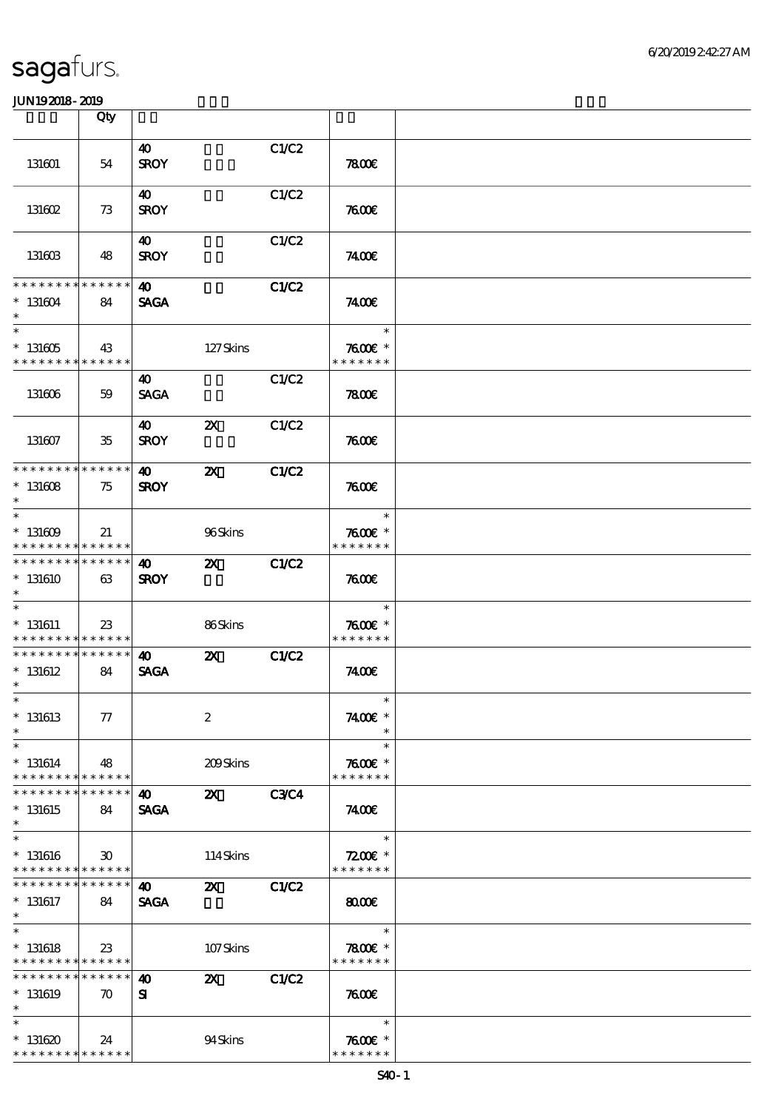|                                                                             | Qty                               |                                      |                           |              |                                       |  |
|-----------------------------------------------------------------------------|-----------------------------------|--------------------------------------|---------------------------|--------------|---------------------------------------|--|
|                                                                             |                                   | 40                                   |                           | C1/C2        |                                       |  |
| 131601                                                                      | 54                                | <b>SROY</b>                          |                           |              | 7800E                                 |  |
| 131602                                                                      | 73                                | 40<br><b>SROY</b>                    |                           | C1/C2        | 7600E                                 |  |
| 131603                                                                      | 48                                | 40<br><b>SROY</b>                    |                           | C1/C2        | 7400E                                 |  |
| * * * * * * * *                                                             | * * * * * *                       | 40                                   |                           | <b>C1/C2</b> |                                       |  |
| $* 131604$<br>$\ast$<br>$\overline{\ast}$                                   | 84                                | <b>SAGA</b>                          |                           |              | 7400E<br>$\ast$                       |  |
| $^\ast$ 131605<br>* * * * * * * *                                           | 43<br>* * * * * *                 |                                      | 127Skins                  |              | $7600$ $*$<br>* * * * * * *           |  |
| 131606                                                                      | 59                                | 40<br><b>SAGA</b>                    |                           | C1/C2        | 7800                                  |  |
| 131607                                                                      | $35\,$                            | 40<br><b>SROY</b>                    | $\boldsymbol{\mathsf{Z}}$ | C1/C2        | 7600                                  |  |
| * * * * * * * * * * * * * *                                                 |                                   | 40                                   | $\boldsymbol{\mathsf{z}}$ | C1/C2        |                                       |  |
| $^*$ 131608 $\,$<br>$\ast$<br>$\ast$                                        | 75                                | <b>SROY</b>                          |                           |              | 7600<br>$\ast$                        |  |
| $*131609$<br>* * * * * * * * * * * * * *                                    | 21                                |                                      | 96Skins                   |              | $7600$ $*$<br>* * * * * * *           |  |
| * * * * * * * *<br>$*131610$<br>$\ast$                                      | $* * * * * * *$<br>63             | 40<br><b>SROY</b>                    | $\boldsymbol{\mathsf{Z}}$ | <b>C1/C2</b> | 7600                                  |  |
| $\overline{\ast}$<br>$*$ 131611<br>* * * * * * * * <mark>* * * * * *</mark> | 23                                |                                      | 86Skins                   |              | $\ast$<br>$7600$ $*$<br>* * * * * * * |  |
| * * * * * * * *<br>$*$ 131612<br>$\ast$                                     | $* * * * * * *$<br>84             | $\boldsymbol{\omega}$<br><b>SAGA</b> | $\boldsymbol{\mathsf{X}}$ | C1/C2        | 7400E                                 |  |
| $*$<br>$*131613$<br>$\ast$                                                  | 77                                |                                      | $\boldsymbol{2}$          |              | $\ast$<br>7400E *                     |  |
| $\ast$<br>$* 131614$<br>* * * * * * * *                                     | 48<br>* * * * * *                 |                                      | 209Skins                  |              | $\ast$<br>$7600$ $*$<br>* * * * * * * |  |
| * * * * * * *<br>$*131615$<br>$\ast$                                        | * * * * * *  <br>84               | 40<br><b>SAGA</b>                    | $\boldsymbol{\mathsf{z}}$ | <b>C3C4</b>  | 7400E                                 |  |
| $\ast$<br>$* 131616$<br>* * * * * * * * * * * * * *                         | $\boldsymbol{\mathfrak{D}}$       |                                      | 114Skins                  |              | $\ast$<br>$7200E$ *<br>* * * * * * *  |  |
| * * * * * * *<br>$*131617$<br>$*$                                           | ******<br>84                      | 40<br><b>SAGA</b>                    | $\mathbf{x}$              | <b>C1/C2</b> | $\omega$                              |  |
| $\overline{\ast}$<br>$* 131618$<br>* * * * * * * * * * * * * * *            | 23                                |                                      | 107Skins                  |              | $\ast$<br>$7800$ $*$<br>* * * * * * * |  |
| * * * * * * * *<br>$*$ 131619<br>$\ast$                                     | * * * * * *<br>$\boldsymbol{\pi}$ | 40<br>Я                              | ZХ                        | C1/C2        | 7600                                  |  |
| $\ast$<br>$*131620$<br>* * * * * * * * * * * * * *                          | 24                                |                                      | 94Skins                   |              | $\ast$<br>$7600$ $*$<br>* * * * * * * |  |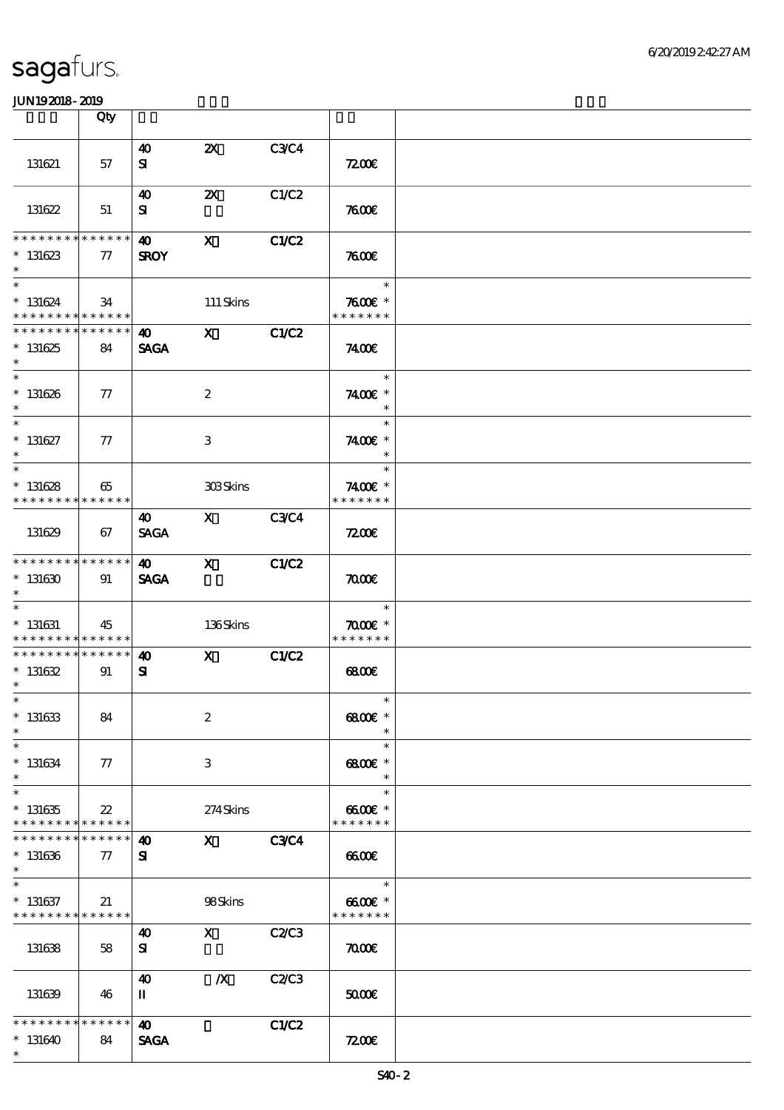|                                                                       | Qty                   |                                      |                                                                                                                                                                                                                                                                                                                                 |              |                                             |  |
|-----------------------------------------------------------------------|-----------------------|--------------------------------------|---------------------------------------------------------------------------------------------------------------------------------------------------------------------------------------------------------------------------------------------------------------------------------------------------------------------------------|--------------|---------------------------------------------|--|
| 131621                                                                | 57                    | $\boldsymbol{\omega}$<br>${\bf s}$   | $\boldsymbol{\mathsf{Z}}$                                                                                                                                                                                                                                                                                                       | <b>C3C4</b>  | 7200E                                       |  |
| 131622                                                                | 51                    | 40<br>${\bf s}$                      | $\boldsymbol{\mathsf{Z}}$                                                                                                                                                                                                                                                                                                       | C1/C2        | 7600                                        |  |
| * * * * * * * *<br>$*131623$<br>$\ast$                                | * * * * * *<br>77     | $\boldsymbol{\omega}$<br><b>SROY</b> | $\boldsymbol{\mathsf{X}}$                                                                                                                                                                                                                                                                                                       | <b>C1/C2</b> | 7600                                        |  |
| $\overline{\ast}$<br>$* 131624$<br>* * * * * * * * * * * * * *        | 34                    |                                      | 111 Skins                                                                                                                                                                                                                                                                                                                       |              | $\ast$<br>$7600$ $*$<br>* * * * * * *       |  |
| * * * * * * * * * * * * * *<br>$*131625$<br>$\ast$                    | 84                    | $\boldsymbol{\omega}$<br><b>SAGA</b> | $X$ $C1/C2$                                                                                                                                                                                                                                                                                                                     |              | 7400E                                       |  |
| $*$<br>$* 131626$<br>$\ast$                                           | $\tau$                |                                      | $\boldsymbol{2}$                                                                                                                                                                                                                                                                                                                |              | $\ast$<br>7400€ *<br>$\ast$                 |  |
| $\ast$<br>$* 131627$<br>$\ast$                                        | $\tau$                |                                      | 3                                                                                                                                                                                                                                                                                                                               |              | $\ast$<br>7400€ *<br>$\ast$                 |  |
| $\ast$<br>$* 131628$<br>* * * * * * * * * * * * * *                   | 65                    |                                      | 308Skins                                                                                                                                                                                                                                                                                                                        |              | $\ast$<br>7400 £*<br>* * * * * * *          |  |
| 131629                                                                | 67                    | 40<br><b>SAGA</b>                    | $\mathbf X$ and $\mathbf X$ and $\mathbf X$ and $\mathbf X$ and $\mathbf X$ and $\mathbf X$ and $\mathbf X$ and $\mathbf X$ and $\mathbf X$ and $\mathbf X$ and $\mathbf X$ and $\mathbf X$ and $\mathbf X$ and $\mathbf X$ and $\mathbf X$ and $\mathbf X$ and $\mathbf X$ and $\mathbf X$ and $\mathbf X$ and $\mathbf X$ and | <b>C3C4</b>  | 7200                                        |  |
| * * * * * * * * * * * * * *<br>$*131630$<br>$\ast$                    | 91                    | 40<br><b>SAGA</b>                    | $\mathbf{X}$                                                                                                                                                                                                                                                                                                                    | C1/C2        | $\pi$                                       |  |
| $\overline{\phantom{0}}$<br>$*$ 131631<br>* * * * * * * * * * * * * * | 45                    |                                      | 136Skins                                                                                                                                                                                                                                                                                                                        |              | $\ast$<br>$\pi$ and $*$<br>* * * * * * *    |  |
| * * * * * * * * * * * * * * *<br>$* 131632$<br>$*$                    | 91                    | $\boldsymbol{\omega}$<br>${\bf s}$   | $\mathbf X$                                                                                                                                                                                                                                                                                                                     | C1/C2        | 68000                                       |  |
| $*$<br>$* 131633$<br>$\ast$                                           | 84                    |                                      | $\boldsymbol{2}$                                                                                                                                                                                                                                                                                                                |              | $\ast$<br>$6800$ $*$                        |  |
| $\ast$<br>$* 131634$<br>$\ast$                                        | $\tau$                |                                      | 3                                                                                                                                                                                                                                                                                                                               |              | $\ast$<br>$6800$ $*$<br>$\ast$              |  |
| $\ast$<br>$*131635$<br>* * * * * * * * * * * * * *                    | $22\,$                |                                      | 274Skins                                                                                                                                                                                                                                                                                                                        |              | $\ast$<br>$6600\text{E}$ *<br>* * * * * * * |  |
| * * * * * * * *<br>$*131636$<br>$\ast$                                | * * * * * *<br>$\tau$ | 40<br>${\bf s}$                      | $\mathbf{x}$                                                                                                                                                                                                                                                                                                                    | <b>C3C4</b>  | 6600                                        |  |
| $\ast$<br>$* 131637$<br>* * * * * * * * * * * * * *                   | 21                    |                                      | 98Skins                                                                                                                                                                                                                                                                                                                         |              | $\ast$<br>$6600E$ *<br>* * * * * * *        |  |
| 131638                                                                | 58                    | $\boldsymbol{\omega}$<br>${\bf s}$   | $\mathbf{X}$                                                                                                                                                                                                                                                                                                                    | <b>C2/C3</b> | $\pi$                                       |  |
| 131639                                                                | 46                    | 40<br>п                              | $\boldsymbol{X}$                                                                                                                                                                                                                                                                                                                | C2/C3        | 5000E                                       |  |
| * * * * * * * *<br>$*131640$<br>$\ast$                                | * * * * * *<br>84     | 40<br><b>SAGA</b>                    |                                                                                                                                                                                                                                                                                                                                 | C1/C2        | 7200                                        |  |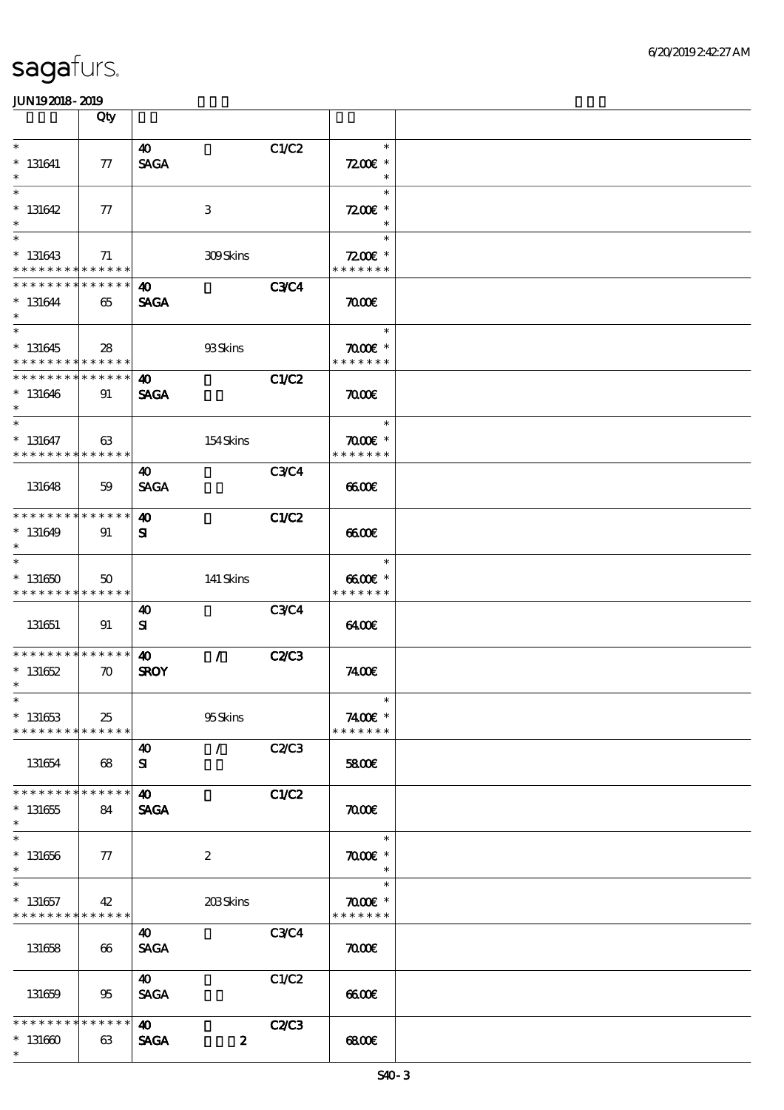|                                                                  | Qty                |                                      |                  |              |                                                        |  |
|------------------------------------------------------------------|--------------------|--------------------------------------|------------------|--------------|--------------------------------------------------------|--|
| $\ast$<br>$* 131641$<br>$\ast$                                   | 77                 | 40<br><b>SAGA</b>                    |                  | C1/C2        | $\ast$<br>$7200$ £ *<br>$\ast$                         |  |
| $\ast$<br>$*131642$<br>$\ast$                                    | 77                 |                                      | $\,3$            |              | $\ast$<br>$7200$ £ *<br>$\ast$                         |  |
| $\ast$<br>$* 131643$<br>* * * * * * * *                          | 71<br>* * * * * *  |                                      | <b>309Skins</b>  |              | $\ast$<br>$7200$ £ *<br>* * * * * * *                  |  |
| * * * * * * *<br>$* 131644$<br>$\ast$                            | * * * * * *<br>65  | 40<br><b>SAGA</b>                    |                  | <b>C3C4</b>  | $\pi$                                                  |  |
| $\overline{\ast}$<br>$*131645$<br>* * * * * * * * * * * * * *    | 28                 |                                      | 93Skins          |              | $\ast$<br>$\pi$ and $*$<br>* * * * * * *               |  |
| * * * * * * * *<br>$*131646$<br>$\ast$                           | * * * * * *<br>91  | $\boldsymbol{\omega}$<br><b>SAGA</b> |                  | <b>C1/C2</b> | $\pi$                                                  |  |
| $\overline{\phantom{0}}$<br>$* 131647$<br>* * * * * * * *        | 63<br>* * * * * *  |                                      | 154Skins         |              | $\ast$<br>$\pi$ $\alpha$ $\epsilon$ *<br>* * * * * * * |  |
| 131648                                                           | 59                 | 40<br><b>SAGA</b>                    |                  | C3C4         | 6600                                                   |  |
| * * * * * * * * * * * * * *<br>$* 131649$<br>$\ast$              | 91                 | $\boldsymbol{\omega}$<br>${\bf s}$   |                  | <b>C1/C2</b> | 6600                                                   |  |
| $\ast$<br>$*131650$<br>* * * * * * * * * * * * * *               | $50^{\circ}$       |                                      | 141 Skins        |              | $\ast$<br>6600€ *<br>* * * * * * *                     |  |
| 131651                                                           | 91                 | 40<br>${\bf s}$                      |                  | <b>C3C4</b>  | 640C                                                   |  |
| ******** <mark>******</mark><br>$* 131652$<br>$\ast$             | $\boldsymbol{\pi}$ | $\boldsymbol{\omega}$<br><b>SROY</b> | $\mathcal{L}$    | <b>C2/C3</b> | 7400E                                                  |  |
| $*$<br>$* 131653$<br>* * * * * * * *                             | 25<br>* * * * * *  |                                      | 95Skins          |              | $*$<br>7400€ *<br>* * * * * * *                        |  |
| 131654                                                           | 68                 | 40<br>${\bf s}$                      | $\mathcal{L}$    | C2C3         | 5800€                                                  |  |
| * * * * * * * *<br>$*131655$<br>$\ast$<br>$\overline{\ast}$      | * * * * * *<br>84  | $\boldsymbol{\omega}$<br><b>SAGA</b> |                  | C1/C2        | $\pi$                                                  |  |
| $* 131656$<br>$\ast$                                             | 77                 |                                      | $\boldsymbol{2}$ |              | $\ast$<br>$\pi$ $\infty$<br>$\ast$                     |  |
| $\ast$<br>$* 131657$<br>* * * * * * * * <mark>* * * * * *</mark> | 42                 |                                      | 203Skins         |              | $\ast$<br>$\pi$ and $*$<br>* * * * * * *               |  |
| 131658                                                           | 66                 | 40<br><b>SAGA</b>                    |                  | <b>C3C4</b>  | $\pi$                                                  |  |
| 131659                                                           | 95                 | 40<br><b>SAGA</b>                    |                  | C1/C2        | 6600                                                   |  |
| * * * * * * *<br>$* 131660$<br>$\ast$                            | * * * * * *<br>63  | 40<br><b>SAGA</b>                    | $\boldsymbol{z}$ | <b>C2/C3</b> | 68000                                                  |  |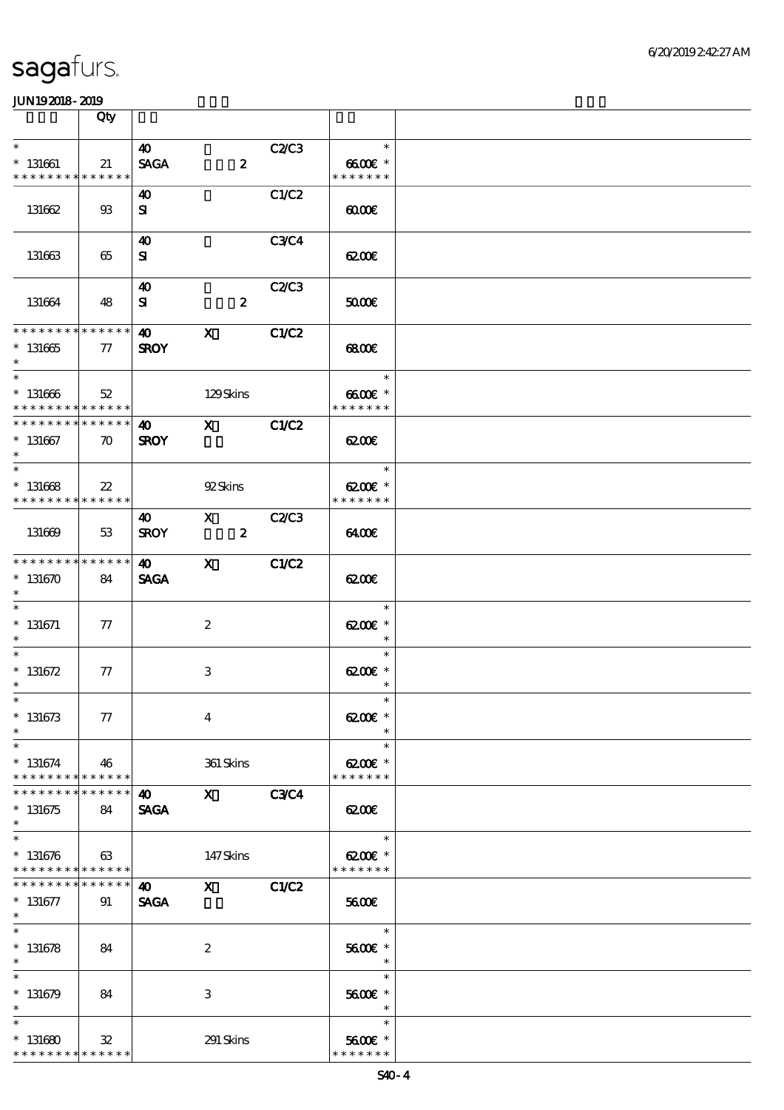|                                                                    | Qty                 |                                      |                                                                                                                                                                                                                                                                                                                                 |              |                                                                  |  |
|--------------------------------------------------------------------|---------------------|--------------------------------------|---------------------------------------------------------------------------------------------------------------------------------------------------------------------------------------------------------------------------------------------------------------------------------------------------------------------------------|--------------|------------------------------------------------------------------|--|
| $\ast$                                                             |                     | 40                                   |                                                                                                                                                                                                                                                                                                                                 | C2C3         | $\ast$                                                           |  |
| $* 131661$<br>* * * * * * * *                                      | 21<br>******        | <b>SAGA</b>                          | $\boldsymbol{z}$                                                                                                                                                                                                                                                                                                                |              | $6600$ $*$<br>* * * * * * *                                      |  |
| 131662                                                             | $\mathfrak{B}$      | 40<br>${\bf s}$                      |                                                                                                                                                                                                                                                                                                                                 | C1/C2        | 00000                                                            |  |
| 131663                                                             | 65                  | 40<br>${\bf s}$                      |                                                                                                                                                                                                                                                                                                                                 | <b>C3C4</b>  | 6200E                                                            |  |
| 131664                                                             | 48                  | 40<br>${\bf s}$                      | $\boldsymbol{z}$                                                                                                                                                                                                                                                                                                                | <b>C2/C3</b> | 50000                                                            |  |
| **************<br>$^*$ 131665<br>$\ast$                            | $\tau$              | $\boldsymbol{\omega}$<br><b>SROY</b> | $\mathbf{x}$                                                                                                                                                                                                                                                                                                                    | C1/C2        | 6800                                                             |  |
| $\ast$<br>$^\ast$ 131666<br>* * * * * * * * * * * * * * *          | 52                  |                                      | 129Skins                                                                                                                                                                                                                                                                                                                        |              | $\overline{\phantom{a}}$<br>$\ast$<br>$6600E$ *<br>* * * * * * * |  |
| * * * * * * * * * * * * * * *<br>$* 131667$<br>$\ast$              | $\boldsymbol{\pi}$  | 40<br><b>SROY</b>                    | $\mathbf X$ and $\mathbf X$ and $\mathbf X$ and $\mathbf X$ and $\mathbf X$ and $\mathbf X$ and $\mathbf X$ and $\mathbf X$ and $\mathbf X$ and $\mathbf X$ and $\mathbf X$ and $\mathbf X$ and $\mathbf X$ and $\mathbf X$ and $\mathbf X$ and $\mathbf X$ and $\mathbf X$ and $\mathbf X$ and $\mathbf X$ and $\mathbf X$ and | C1/C2        | 6200E                                                            |  |
| $\overline{\ast}$<br>$* 131668$<br>* * * * * * * * * * * * * * *   | $22\,$              |                                      | 92Skins                                                                                                                                                                                                                                                                                                                         |              | $\ast$<br>6200€ *<br>* * * * * * *                               |  |
| 131669                                                             | 53                  | 40<br><b>SROY</b>                    | $\mathbf{X}$ and $\mathbf{X}$<br>$\boldsymbol{z}$                                                                                                                                                                                                                                                                               | C2C3         | 6400                                                             |  |
| * * * * * * * * * * * * * * *<br>$*131670$<br>$\ast$               | 84                  | $\boldsymbol{40}$<br><b>SAGA</b>     | $\mathbf{x}$                                                                                                                                                                                                                                                                                                                    | C1/C2        | 6200E                                                            |  |
| $\overline{\ast}$<br>$*$ 131671<br>$\ast$                          | $\tau$              |                                      | $\boldsymbol{z}$                                                                                                                                                                                                                                                                                                                |              | $\ast$<br>$C^*$<br>$\ast$                                        |  |
| $\ast$<br>$* 131672$<br>$\ast$                                     | 77                  |                                      | $\ensuremath{\mathbf{3}}$                                                                                                                                                                                                                                                                                                       |              | $\ast$<br>6200€ *<br>$\ast$                                      |  |
| $*$<br>$* 131673$<br>$\ast$                                        | 77                  |                                      | $\bf{4}$                                                                                                                                                                                                                                                                                                                        |              | $\ast$<br>$C^*$                                                  |  |
| $\ast$<br>$*131674$<br>* * * * * * * *                             | 46<br>* * * * * *   |                                      | 361 Skins                                                                                                                                                                                                                                                                                                                       |              | $\ast$<br>$6200$ $*$<br>* * * * * * *                            |  |
| * * * * * * *<br>$*131675$<br>$\ast$                               | * * * * * *  <br>84 | 40<br><b>SAGA</b>                    | $\mathbf{x}$                                                                                                                                                                                                                                                                                                                    | <b>C3C4</b>  | 6200                                                             |  |
| $\ast$<br>$* 131676$<br>* * * * * * * * <mark>* * * * * * *</mark> | 63                  |                                      | 147Skins                                                                                                                                                                                                                                                                                                                        |              | $\ast$<br>$C^*$<br>* * * * * * *                                 |  |
| * * * * * * *<br>$* 131677$<br>$*$                                 | ******<br>91        | $\boldsymbol{\omega}$<br><b>SAGA</b> | $\mathbf x$                                                                                                                                                                                                                                                                                                                     | C1/C2        | 5600E                                                            |  |
| $\overline{\ast}$<br>$* 131678$<br>$\ast$                          | 84                  |                                      | $\boldsymbol{z}$                                                                                                                                                                                                                                                                                                                |              | $\ast$<br>5600€ *<br>$\ast$                                      |  |
| $\ast$<br>$*131679$<br>$\ast$                                      | 84                  |                                      | $\ensuremath{\mathbf{3}}$                                                                                                                                                                                                                                                                                                       |              | $\ast$<br>5600€ *<br>$\ast$                                      |  |
| $\ast$<br>$*131680$<br>* * * * * * * * * * * * * *                 | $\mathbf{32}$       |                                      | 291 Skins                                                                                                                                                                                                                                                                                                                       |              | $\ast$<br>5600€ *<br>* * * * * * *                               |  |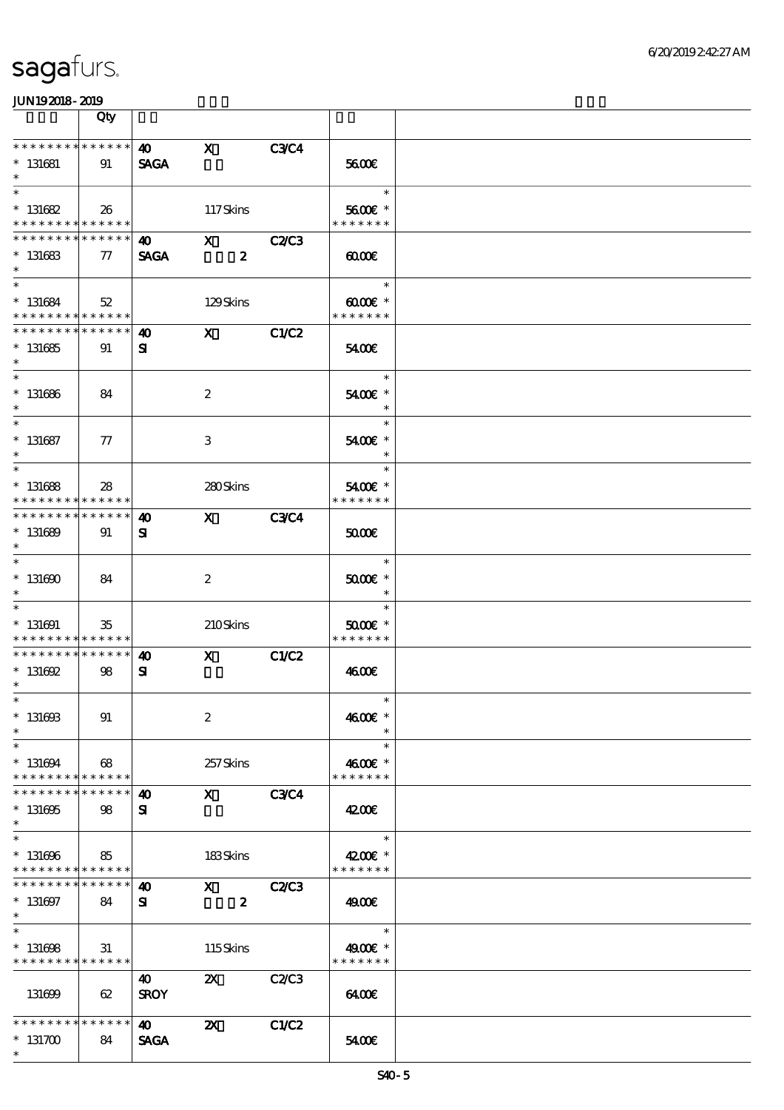|                                                                    | Qty                   |                                      |                                                                                                                                                                                                                                                                                                                                 |              |                                                |  |
|--------------------------------------------------------------------|-----------------------|--------------------------------------|---------------------------------------------------------------------------------------------------------------------------------------------------------------------------------------------------------------------------------------------------------------------------------------------------------------------------------|--------------|------------------------------------------------|--|
| * * * * * * * *<br>$* 131681$<br>$\ast$                            | ******<br>91          | $\boldsymbol{\omega}$<br><b>SAGA</b> | $\mathbf x$                                                                                                                                                                                                                                                                                                                     | <b>C3C4</b>  | 5600E                                          |  |
| $\ast$<br>$* 131682$<br>* * * * * * * * <mark>* * * * * * *</mark> | 26                    |                                      | 117Skins                                                                                                                                                                                                                                                                                                                        |              | $\ast$<br>5600€ *<br>* * * * * * *             |  |
| * * * * * * *<br>$* 131683$<br>$\ast$                              | * * * * * *<br>77     | $\bullet$ $\bullet$<br><b>SAGA</b>   | $\mathbf{x}$<br>$\boldsymbol{z}$                                                                                                                                                                                                                                                                                                | <b>C2/C3</b> | $\omega$                                       |  |
| $\overline{\ast}$<br>$* 131684$<br>* * * * * * * * * * * * * *     | 52                    |                                      | 129Skins                                                                                                                                                                                                                                                                                                                        |              | $\ast$<br>$\omega$ occase $*$<br>* * * * * * * |  |
| * * * * * * * * * * * * * *<br>$* 131685$<br>$\ast$                | 91                    | $\boldsymbol{\omega}$<br>${\bf s}$   | $\mathbf{x}$                                                                                                                                                                                                                                                                                                                    | C1/C2        | 5400E                                          |  |
| $\ast$<br>$* 131686$<br>$\ast$                                     | 84                    |                                      | $\boldsymbol{z}$                                                                                                                                                                                                                                                                                                                |              | $\ast$<br>5400€ *<br>$\ast$                    |  |
| $\ast$<br>$* 131687$<br>$\ast$                                     | $\tau$                |                                      | $\ensuremath{\mathbf{3}}$                                                                                                                                                                                                                                                                                                       |              | $\ast$<br>5400€ *<br>$\ast$                    |  |
| $\ast$<br>$* 131688$<br>* * * * * * * *                            | 28<br>* * * * * *     |                                      | 280Skins                                                                                                                                                                                                                                                                                                                        |              | $\ast$<br>5400€ *<br>* * * * * * *             |  |
| * * * * * * *<br>$* 131689$<br>$\ast$                              | * * * * * *<br>91     | 40<br>${\bf s}$                      | $\mathbf X$ and $\mathbf X$ and $\mathbf X$ and $\mathbf X$ and $\mathbf X$ and $\mathbf X$ and $\mathbf X$ and $\mathbf X$ and $\mathbf X$ and $\mathbf X$ and $\mathbf X$ and $\mathbf X$ and $\mathbf X$ and $\mathbf X$ and $\mathbf X$ and $\mathbf X$ and $\mathbf X$ and $\mathbf X$ and $\mathbf X$ and $\mathbf X$ and | <b>C3C4</b>  | 50000                                          |  |
| $\overline{\ast}$<br>$* 131600$<br>$\ast$                          | 84                    |                                      | $\boldsymbol{2}$                                                                                                                                                                                                                                                                                                                |              | $\ast$<br>$5000$ $*$<br>$\ast$                 |  |
| $\ast$<br>$* 131691$<br>* * * * * * * *                            | 35<br>* * * * * *     |                                      | 210Skins                                                                                                                                                                                                                                                                                                                        |              | $\ast$<br>$5000$ $*$<br>* * * * * * *          |  |
| * * * * * * * *<br>$* 131692$<br>$\ast$                            | $* * * * * * *$<br>98 | $\boldsymbol{\omega}$<br>${\bf s}$   | $\mathbf X$ and $\mathbf X$ and $\mathbf X$ and $\mathbf X$ and $\mathbf X$ and $\mathbf X$ and $\mathbf X$ and $\mathbf X$ and $\mathbf X$ and $\mathbf X$ and $\mathbf X$ and $\mathbf X$ and $\mathbf X$ and $\mathbf X$ and $\mathbf X$ and $\mathbf X$ and $\mathbf X$ and $\mathbf X$ and $\mathbf X$ and $\mathbf X$ and | C1/C2        | 4600E                                          |  |
| $*$<br>$* 13160B$<br>$\ast$                                        | 91                    |                                      | $\boldsymbol{2}$                                                                                                                                                                                                                                                                                                                |              | $\ast$<br>4600€ *                              |  |
| $\ast$<br>$* 131694$<br>* * * * * * * *                            | 68<br>* * * * * *     |                                      | 257Skins                                                                                                                                                                                                                                                                                                                        |              | $\ast$<br>4600€ *<br>* * * * * * *             |  |
| * * * * * * *<br>$* 131695$<br>$\ast$                              | * * * * * * <br>98    | 40<br>${\bf s}$                      | $\mathbf X$ and $\mathbf X$ and $\mathbf X$ and $\mathbf X$ and $\mathbf X$                                                                                                                                                                                                                                                     | <b>C3C4</b>  | 4200E                                          |  |
| $\ast$<br>$* 131696$<br>* * * * * * * * * * * * * *                | 85                    |                                      | 183Skins                                                                                                                                                                                                                                                                                                                        |              | $\ast$<br>4200€ *<br>* * * * * * *             |  |
| * * * * * * *<br>$* 131697$<br>$*$                                 | * * * * * *<br>84     | 40<br>${\bf s}$                      | $\boldsymbol{\mathrm{X}}$<br>$\boldsymbol{z}$                                                                                                                                                                                                                                                                                   | <b>C2/C3</b> | 49.00€                                         |  |
| $\ast$<br>$* 131698$<br>* * * * * * * * * * * * * *                | 31                    |                                      | 115Skins                                                                                                                                                                                                                                                                                                                        |              | $\ast$<br>4900€ *<br>* * * * * * *             |  |
| 131699                                                             | 62                    | 40<br><b>SROY</b>                    | $\boldsymbol{\mathsf{z}}$                                                                                                                                                                                                                                                                                                       | <b>C2/C3</b> | 6400                                           |  |
| * * * * * * * *<br>$*131700$<br>$\ast$                             | ******<br>84          | <b>40</b><br><b>SAGA</b>             | $\boldsymbol{\mathsf{z}}$                                                                                                                                                                                                                                                                                                       | <b>C1/C2</b> | 5400                                           |  |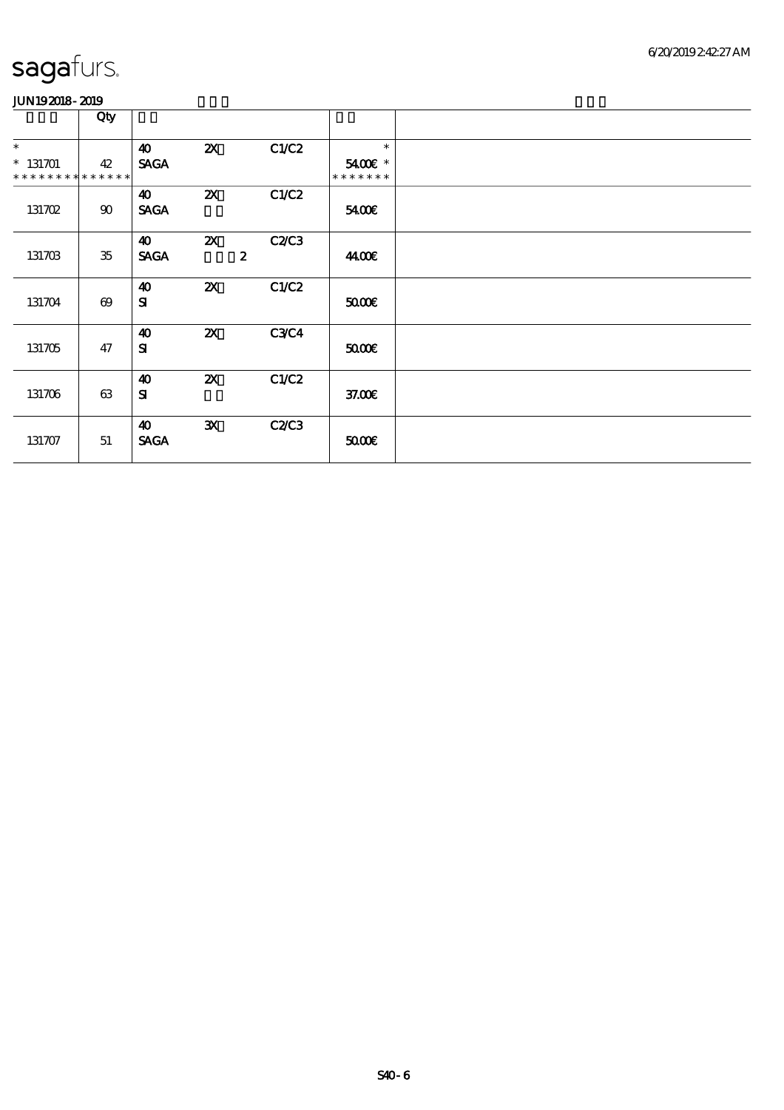|                                                     | Qty                   |                                      |                           |                          |                                    |  |
|-----------------------------------------------------|-----------------------|--------------------------------------|---------------------------|--------------------------|------------------------------------|--|
| $\ast$<br>$* 131701$<br>* * * * * * * * * * * * * * | 42                    | 40<br><b>SAGA</b>                    | $\boldsymbol{\mathsf{Z}}$ | C1/C2                    | $\ast$<br>5400€ *<br>* * * * * * * |  |
| 131702                                              | $90\,$                | 40<br><b>SAGA</b>                    | $\boldsymbol{\mathsf{z}}$ | C1/C2                    | 5400E                              |  |
| 131703                                              | $35\,$                | 40<br><b>SAGA</b>                    | $\boldsymbol{\mathsf{Z}}$ | C2C3<br>$\boldsymbol{z}$ | 44.00€                             |  |
| 131704                                              | $\boldsymbol{\omega}$ | $\boldsymbol{\omega}$<br>${\bf s}$   | $\boldsymbol{\mathsf{Z}}$ | C1/C2                    | 5000                               |  |
| 131705                                              | 47                    | 40<br>${\bf s}$                      | $\boldsymbol{\mathsf{Z}}$ | <b>C3C4</b>              | 5000                               |  |
| 131706                                              | 63                    | $\boldsymbol{\omega}$<br>${\bf s}$   | $\boldsymbol{\mathsf{z}}$ | C1/C2                    | 37.00E                             |  |
| 131707                                              | 51                    | $\boldsymbol{\omega}$<br><b>SAGA</b> | $\mathbf{x}$              | <b>C2/C3</b>             | 5000                               |  |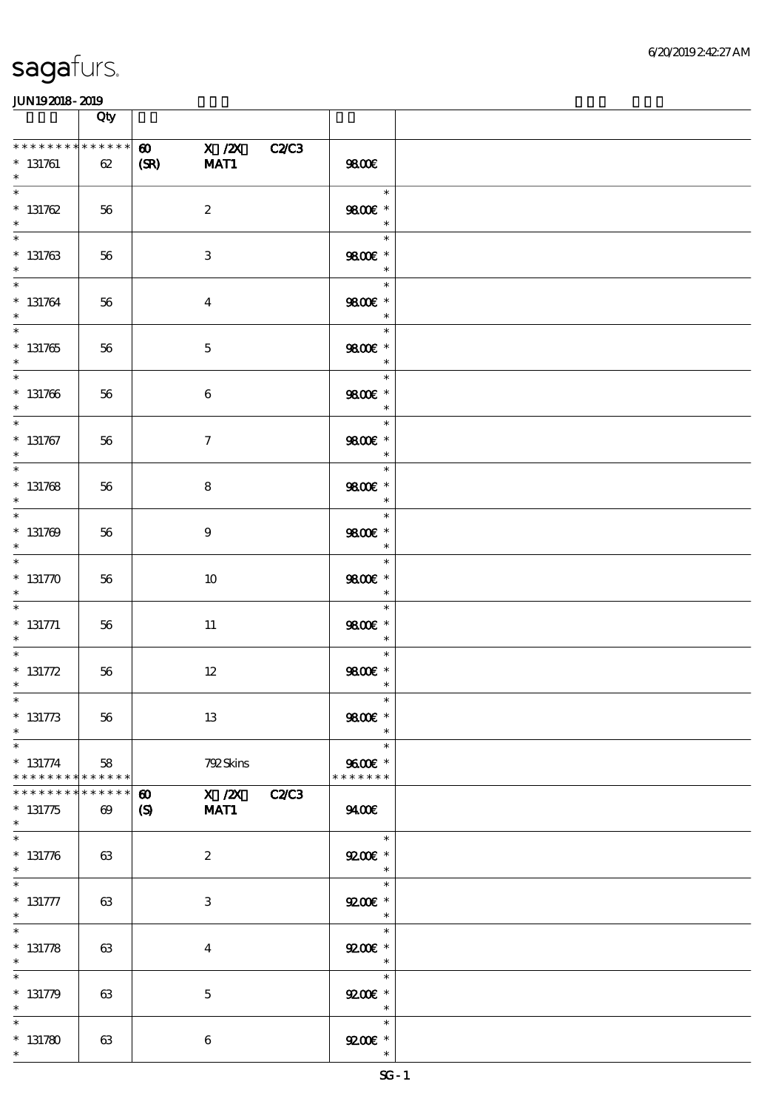|                                                                  | Qty                                  |                               |                           |                                                        |  |
|------------------------------------------------------------------|--------------------------------------|-------------------------------|---------------------------|--------------------------------------------------------|--|
| * * * * * * * * * * * * * *<br>$* 131761$<br>$\ast$              | 62                                   | $\boldsymbol{\omega}$<br>(SR) | X /2X C2/C3<br>MAT1       | 9800€                                                  |  |
| $\ast$<br>$* 131762$<br>$\ast$                                   | 56                                   |                               | $\boldsymbol{2}$          | $\ast$<br>9800€ *<br>$\ast$                            |  |
| $\ast$<br>$* 131763$<br>$\ast$                                   | 56                                   |                               | $\ensuremath{\mathbf{3}}$ | $\ast$<br>9800€ *<br>$\ast$                            |  |
| $\overline{\ast}$<br>$* 131764$<br>$\ast$                        | 56                                   |                               | $\boldsymbol{4}$          | $\ast$<br>9800€ *<br>$\ast$                            |  |
| $\overline{\phantom{0}}$<br>$* 131765$<br>$\ast$                 | 56                                   |                               | $\mathbf 5$               | an an<br>$\ast$<br>9800€ *<br>$\overline{\phantom{a}}$ |  |
| $*$<br>$* 131766$<br>$\ast$                                      | 56                                   |                               | 6                         | $\ast$<br>9800€ *<br>$\overline{\phantom{a}}$          |  |
| $\ast$<br>$* 131767$<br>$\ast$                                   | 56                                   |                               | $\tau$                    | $\ast$<br>9800€ *<br>$\ast$                            |  |
| $\overline{\phantom{0}}$<br>$* 131768$<br>$\ast$                 | 56                                   |                               | 8                         | $\ast$<br>9800€ *<br>$\ast$                            |  |
| $* 131769$<br>$\ast$                                             | 56                                   |                               | 9                         | $\ast$<br>9800€ *                                      |  |
| $\ast$<br>$* 131770$                                             | 56                                   |                               | 10                        | $\ast$<br>9800€ *<br>$\ast$                            |  |
| $\ast$<br>$* 131771$<br>$\ast$                                   | 56                                   |                               | $11\,$                    | $\ast$<br>9800€ *<br>$\ast$                            |  |
| $\ast$<br>$* 131772$<br>$\ast$                                   | 56                                   |                               | $12\,$                    | $\ast$<br>9800€ *<br>$\ast$                            |  |
| $*$<br>$* 131773$<br>$\ast$                                      | 56                                   |                               | 13                        | $\ast$<br>9800€ *<br>$\ast$                            |  |
| $\ast$<br>$* 131774$<br>* * * * * * * * <mark>* * * * * *</mark> | 58                                   |                               | 792Skins                  | $\ast$<br>9600€ *<br>* * * * * * *                     |  |
| * * * * * * *<br>$* 131775$<br>$\ast$                            | * * * * * *<br>$\boldsymbol{\omega}$ | $\boldsymbol{\omega}$<br>(S)  | $X$ / $ZX$ C2/C3<br>MAT1  | 9400                                                   |  |
| $\ast$<br>$* 131776$<br>$\ast$                                   | 63                                   |                               | $\boldsymbol{z}$          | $\ast$<br>$9200$ $*$<br>$\ast$                         |  |
| $* 131777$<br>$\ast$                                             | 63                                   |                               | $\ensuremath{\mathbf{3}}$ | $\ast$<br>$9200$ *<br>$\rightarrow$ $\rightarrow$      |  |
| $\ast$<br>$* 131778$<br>$\ast$                                   | 63                                   |                               | $\overline{\mathbf{4}}$   | $\ast$<br>$9200$ $*$<br>$\ast$                         |  |
| $\ast$<br>$* 131779$<br>$\ast$                                   | 63                                   |                               | $\bf 5$                   | $\ast$<br>$9200$ $*$<br>$\ast$                         |  |
| $\ast$<br>$* 131780$<br>$\ast$                                   | 63                                   |                               | 6                         | $\ast$<br>$9200$ *<br>$\ast$                           |  |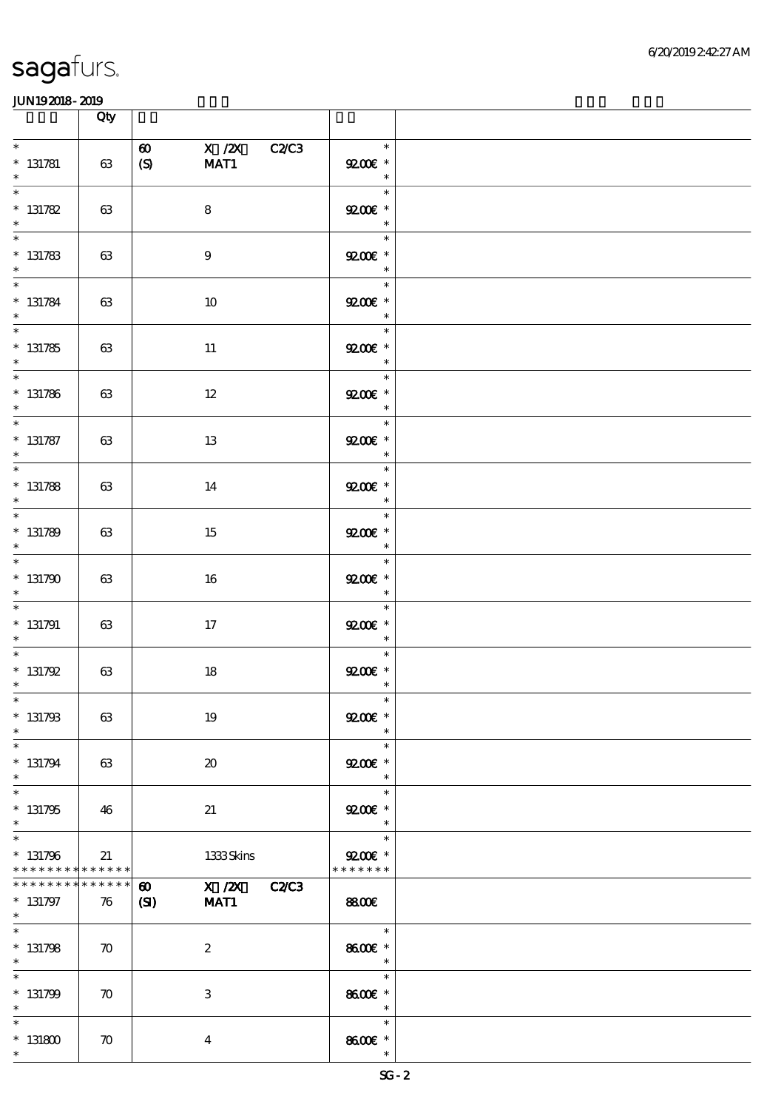|                                                     | Qty                |                                                                                |                                                                                       |  |
|-----------------------------------------------------|--------------------|--------------------------------------------------------------------------------|---------------------------------------------------------------------------------------|--|
| $\ast$<br>$* 131781$<br>$\ast$                      | 63                 | $X$ / $ZX$<br><b>C2C3</b><br>$\boldsymbol{\omega}$<br>$\boldsymbol{S}$<br>MAT1 | $\ast$<br>$Q200E$ *<br>$\ast$                                                         |  |
| $\ast$<br>$* 131782$<br>$\ast$                      | 63                 | $\bf8$                                                                         | $\ast$<br>$9200$<br>$\ast$                                                            |  |
| $\frac{1}{1}$<br>$* 131783$<br>$\ast$               | 63                 | $\boldsymbol{9}$                                                               | $\ast$<br>$9200$ $*$<br>$\ast$                                                        |  |
| $* 131784$<br>$\ast$                                | 63                 | 10                                                                             | Tarihin I<br>$\ast$<br>$\mathbf{Q}\mathbf{C}\mathbf{C}$ *<br>$\ast$                   |  |
| $\overline{\phantom{0}}$<br>$* 131785$<br>$\ast$    | 63                 | 11                                                                             | $\ast$<br>$\mathbf{Q} \mathbf{Q} \mathbf{Q} \mathbf{E}$ *<br>$\ast$                   |  |
| $\overline{\ast}$<br>$* 131786$<br>$\ast$           | 63                 | $12\,$                                                                         | $\ast$<br>$\mathbf{Q} \mathbf{Q} \mathbf{Q} \mathbf{E}$ *<br>$\overline{\phantom{a}}$ |  |
| $\overline{\phantom{0}}$<br>$* 131787$<br>$\ast$    | 63                 | 13                                                                             | $\ast$<br>$9200$ *<br>$\ast$                                                          |  |
| $\overline{\phantom{0}}$<br>$* 131788$<br>$\ast$    | 63                 | 14                                                                             | $\ast$<br>$9200$ *<br>$\overline{\phantom{a}}$                                        |  |
| $\overline{\phantom{0}}$<br>$* 131789$<br>$\ast$    | 63                 | 15                                                                             | $\ast$<br>$\mathbf{Q}\mathbf{C}\mathbf{C}$ *<br>$\ast$                                |  |
| $\overline{\phantom{0}}$<br>$*131790$<br>$\ast$     | 63                 | 16                                                                             | $\ast$<br>$\mathbf{Q}\mathbf{C}\mathbf{C}$ *<br>$\ast$                                |  |
| $\overline{\phantom{0}}$<br>$* 131791$<br>$\ast$    | 63                 | 17                                                                             | $\ast$<br>$9200E$ $^{\ast}$<br>$\overline{\phantom{a}}$                               |  |
| $\overline{\ast}$<br>$* 131792$<br>$*$              | $63\,$             | $18\,$                                                                         | $\ast$<br>$\mathbf{Q} \mathbf{Q} \mathbf{Q} \mathbf{E}$ *<br>$\ast$                   |  |
| $*$ $*$<br>$* 131793$<br>$\ast$                     | 63                 | 19                                                                             | $\ast$<br>$9200$ $*$<br>$\ast$                                                        |  |
| $\ast$<br>$* 131794$<br>$\ast$                      | 63                 | $\boldsymbol{\boldsymbol{\lambda}}$                                            | $\ast$<br>$9200$ $*$<br>$\ast$                                                        |  |
| $\ast$<br>$* 131795$<br>$\ast$                      | 46                 | 21                                                                             | $\ast$<br>$Q200E$ *<br>$\ast$                                                         |  |
| $\ast$<br>$* 131796$<br>* * * * * * * * * * * * * * | 21                 | 1333Skins                                                                      | $\ast$<br>$9200$ *<br>* * * * * * *                                                   |  |
| * * * * * * *<br>$* 131797$<br>$*$                  | * * * * * *<br>76  | X / ZX C2/C3<br>$\boldsymbol{\omega}$<br>MAT1<br>$\mathbf{C}$                  | <b>8800€</b>                                                                          |  |
| $\ast$<br>$* 131798$<br>$\ast$                      | $\boldsymbol{\pi}$ | $\boldsymbol{2}$                                                               | $\ast$<br>8600€ *<br>$\ast$                                                           |  |
| $\ast$<br>$* 131799$<br>$\ast$                      | $\boldsymbol{\pi}$ | $\,3$                                                                          | $\ast$<br>8600€ *<br>$\ast$                                                           |  |
| $\ast$<br>$^*$ 131800 $\,$<br>$\ast$                | $\boldsymbol{\pi}$ | $\boldsymbol{4}$                                                               | $\ast$<br>8600€ *<br>$\ast$                                                           |  |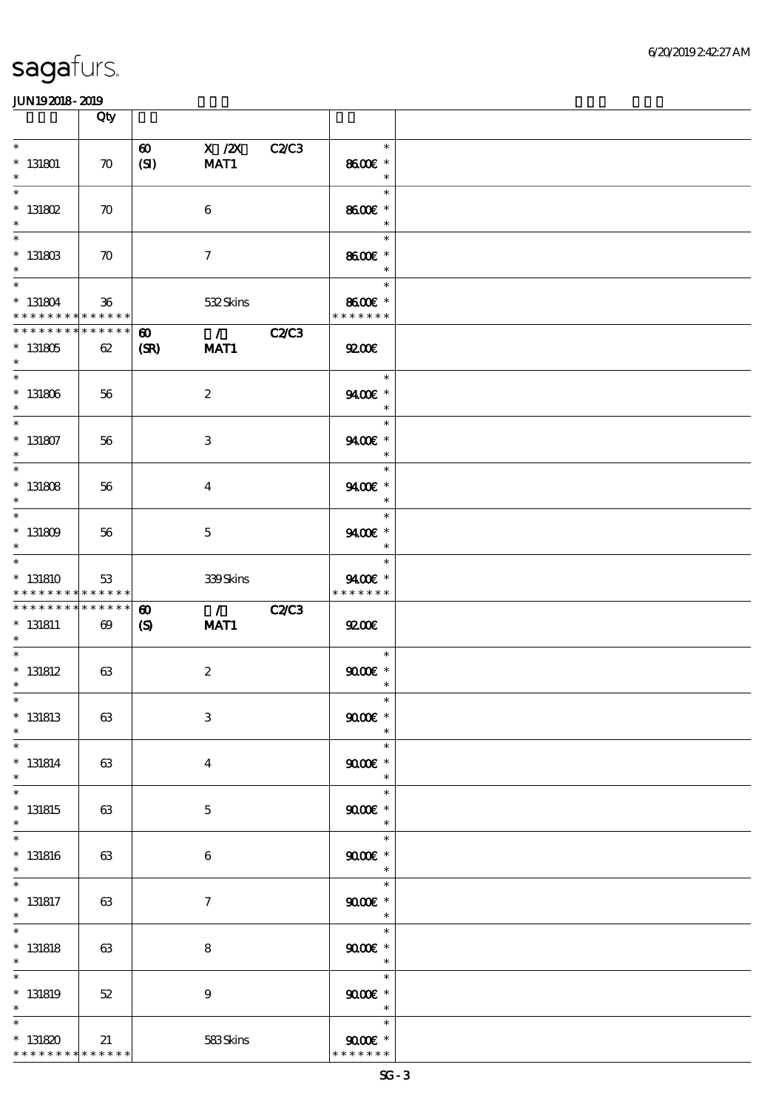|                                                       | Qty                                  |                                                     |                                                                                                                                                                                                                                                                                                                                                                                              |              |                                                         |  |
|-------------------------------------------------------|--------------------------------------|-----------------------------------------------------|----------------------------------------------------------------------------------------------------------------------------------------------------------------------------------------------------------------------------------------------------------------------------------------------------------------------------------------------------------------------------------------------|--------------|---------------------------------------------------------|--|
| $\ast$<br>$*$ 131801<br>$\ast$                        | $\boldsymbol{\pi}$                   | $\boldsymbol{\omega}$<br>(SI)                       | X / ZX<br>MAT1                                                                                                                                                                                                                                                                                                                                                                               | C2C3         | $\ast$<br>8600€ *<br>$\ast$                             |  |
| $\ast$<br>$*$ 131802<br>$\ast$                        | $\boldsymbol{\pi}$                   |                                                     | 6                                                                                                                                                                                                                                                                                                                                                                                            |              | $\ast$<br>8600€ *<br>$\ast$                             |  |
| $\ast$<br>$*$ 131803<br>$\ast$                        | $\boldsymbol{\pi}$                   |                                                     | $\tau$                                                                                                                                                                                                                                                                                                                                                                                       |              | $\ast$<br>8600€ *<br>$\ast$                             |  |
| $\ast$<br>$* 131804$<br>* * * * * * * * * * * * * *   | 36                                   |                                                     | 532Skins                                                                                                                                                                                                                                                                                                                                                                                     |              | $\ast$<br>8600€ *<br>* * * * * * *                      |  |
| ******** <mark>*******</mark><br>$* 131805$<br>$\ast$ | 62                                   | $\boldsymbol{\omega}$<br>(SR)                       | $\overline{C}$ $\overline{C}$ $\overline{C}$ $\overline{C}$ $\overline{C}$ $\overline{C}$ $\overline{C}$ $\overline{C}$ $\overline{C}$ $\overline{C}$ $\overline{C}$ $\overline{C}$ $\overline{C}$ $\overline{C}$ $\overline{C}$ $\overline{C}$ $\overline{C}$ $\overline{C}$ $\overline{C}$ $\overline{C}$ $\overline{C}$ $\overline{C}$ $\overline{C}$ $\overline{C}$ $\overline{$<br>MAT1 |              | 9200                                                    |  |
| $\ast$<br>$^\ast$ 131806<br>$\ast$                    | 56                                   |                                                     | $\boldsymbol{2}$                                                                                                                                                                                                                                                                                                                                                                             |              | $\overline{\phantom{a}}$<br>$\ast$<br>9400€ *<br>$\ast$ |  |
| $\ast$<br>$*$ 131807<br>$\ast$                        | 56                                   |                                                     | 3                                                                                                                                                                                                                                                                                                                                                                                            |              | $\ast$<br>9400€ *<br>$\ast$                             |  |
| $\ast$<br>$*$ 131808<br>$\ast$                        | 56                                   |                                                     | $\overline{4}$                                                                                                                                                                                                                                                                                                                                                                               |              | $\ast$<br>9400€ *<br>$\ast$                             |  |
| $\ast$<br>$*$ 131809<br>$\ast$                        | 56                                   |                                                     | $\mathbf{5}$                                                                                                                                                                                                                                                                                                                                                                                 |              | $\ast$<br>9400€ *<br>$\ast$                             |  |
| $\ast$<br>$*131810$<br>* * * * * * * * * * * * * *    | 53                                   |                                                     | 339Skins                                                                                                                                                                                                                                                                                                                                                                                     |              | $\ast$<br>9400€ *<br>* * * * * * *                      |  |
| * * * * * * * *<br>$* 131811$<br>$\ast$               | * * * * * *<br>$\boldsymbol{\omega}$ | $\boldsymbol{\omega}$<br>$\boldsymbol{\mathcal{S}}$ | $\overline{1}$<br>MAT1                                                                                                                                                                                                                                                                                                                                                                       | <b>C2/C3</b> | 9200                                                    |  |
| $\ast$<br>$*$ 131812<br>$\ast$                        | 63                                   |                                                     | $\boldsymbol{2}$                                                                                                                                                                                                                                                                                                                                                                             |              | $\ast$<br>$9000$ $^{\circ}$<br>$\ast$                   |  |
| $*$<br>$*$ 131813<br>$\ast$                           | 63                                   |                                                     | $\,3$                                                                                                                                                                                                                                                                                                                                                                                        |              | $\ast$<br>$9000$ $*$<br>$\ast$                          |  |
| $\ast$<br>$* 131814$<br>$\ast$                        | 63                                   |                                                     | $\overline{4}$                                                                                                                                                                                                                                                                                                                                                                               |              | $\ast$<br>$90005$ *<br>$\ast$                           |  |
| $\ast$<br>$* 131815$<br>$\ast$                        | 63                                   |                                                     | $\mathbf{5}$                                                                                                                                                                                                                                                                                                                                                                                 |              | $\ast$<br>$9000$ $*$<br>$\ast$                          |  |
| $\ast$<br>$*$ 131816<br>$\ast$                        | 63                                   |                                                     | 6                                                                                                                                                                                                                                                                                                                                                                                            |              | $\ast$<br>$9000$ $*$<br>$\ast$                          |  |
| $*$ 131817<br>$\ast$                                  | 63                                   |                                                     | $\tau$                                                                                                                                                                                                                                                                                                                                                                                       |              | $\ast$<br>$90005$ *<br>$\ast$                           |  |
| $\ast$<br>$*$ 131818<br>$\ast$                        | 63                                   |                                                     | $\bf8$                                                                                                                                                                                                                                                                                                                                                                                       |              | $\ast$<br>$9000$ $*$<br>$\ast$                          |  |
| $\ast$<br>$*$ 131819<br>$\ast$                        | 52                                   |                                                     | $\boldsymbol{9}$                                                                                                                                                                                                                                                                                                                                                                             |              | $\ast$<br>$9000$ $*$<br>$\ast$                          |  |
| $\ast$<br>$* 131820$<br>* * * * * * * * * * * * * *   | 21                                   |                                                     | 583Skins                                                                                                                                                                                                                                                                                                                                                                                     |              | $\ast$<br>$9000 \text{E}$ *<br>* * * * * * *            |  |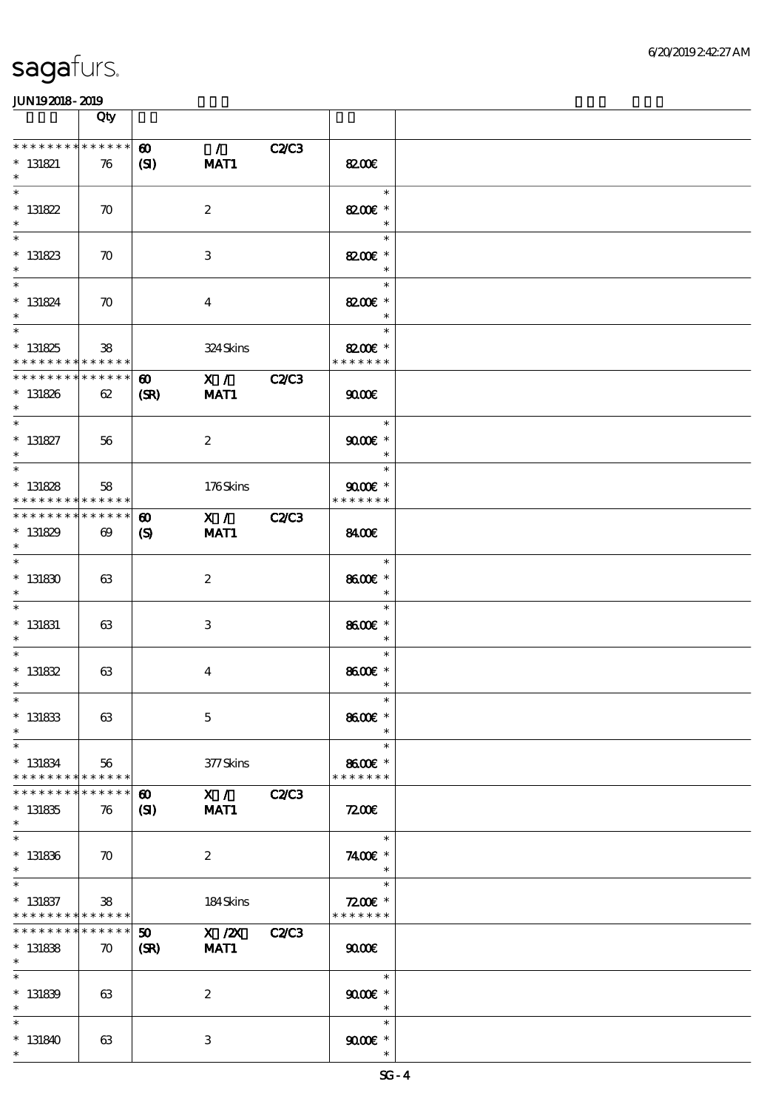|                                                                                    | Qty                               |                                       |                       |              |                                       |  |
|------------------------------------------------------------------------------------|-----------------------------------|---------------------------------------|-----------------------|--------------|---------------------------------------|--|
| * * * * * * * * * * * * * *<br>$*$ 131821<br>$\ast$                                | 76                                | $\boldsymbol{\omega}$<br>(S)          | $\mathcal{L}$<br>MAT1 | C2C3         | 8200€                                 |  |
| $\ast$<br>$* 131822$<br>$\ast$                                                     | $\boldsymbol{\pi}$                |                                       | $\boldsymbol{2}$      |              | $\ast$<br>82006 *<br>$\ast$           |  |
| $\ast$<br>$*131823$<br>$\ast$                                                      | $\boldsymbol{\pi}$                |                                       | 3                     |              | $\ast$<br>8200€ *<br>$\ast$           |  |
| $\ast$<br>$* 131824$<br>$\ast$                                                     | $\boldsymbol{\pi}$                |                                       | $\boldsymbol{4}$      |              | $\ast$<br>8200€ *<br>$\ast$           |  |
| $\overline{\phantom{0}}$<br>$* 131825$<br>* * * * * * * * * * * * * *              | 38                                |                                       | 324Skins              |              | $\ast$<br>8200€ *<br>* * * * * * *    |  |
| **************<br>$* 131826$<br>$*$                                                | 62                                | $\boldsymbol{\omega}$<br>(SR)         | X / C2C3<br>MAT1      |              | 9000                                  |  |
| $\ast$<br>$* 131827$<br>$\ast$                                                     | 56                                |                                       | $\boldsymbol{2}$      |              | $\ast$<br>$9000$ $*$<br>$\ast$        |  |
| $\overline{\ast}$<br>$* 131828$<br>* * * * * * * * <mark>* * * * * * *</mark>      | 58                                |                                       | 176Skins              |              | $\ast$<br>$9000$ $*$<br>* * * * * * * |  |
| * * * * * * * * * * * * * * *<br>$*131829$<br>$\ast$                               | $\boldsymbol{\omega}$             | $\boldsymbol{\omega}$<br>$\mathbf{S}$ | X / C2C3<br>MAT1      |              | 8400                                  |  |
| $\ast$<br>$^\ast$ 131830<br>$\ast$                                                 | 63                                |                                       | $\boldsymbol{2}$      |              | $\ast$<br>8600€ *<br>$\ast$           |  |
| $\ast$<br>$*$ 131831<br>$\ast$                                                     | 63                                |                                       | 3                     |              | $\ast$<br>8600€ *<br>$\ast$           |  |
| $\ast$<br>$* 131832$<br>$\ast$                                                     | 63                                |                                       | $\boldsymbol{4}$      |              | $\ast$<br>8600€ *<br>$\ast$           |  |
| $*$<br>$* 131833$<br>$\ast$                                                        | 63                                |                                       | $\mathbf 5$           |              | $\ast$<br>8600€ *                     |  |
| $\ast$<br>$* 131834$<br>* * * * * * * * <mark>* * * * * *</mark>                   | 56                                |                                       | 377Skins              |              | $\ast$<br>8600€ *<br>* * * * * * *    |  |
| * * * * * * *<br>$* 131835$<br>$\ast$                                              | * * * * * *<br>76                 | $\boldsymbol{\omega}$<br>$\mathbf{C}$ | X / C2C3<br>MAT1      |              | 7200                                  |  |
| $\ast$<br>$* 131836$<br>$\ast$                                                     | $\boldsymbol{\pi}$                |                                       | $\boldsymbol{2}$      |              | $\ast$<br>7400€ *<br>$\ast$           |  |
| $\overline{\phantom{a}}$<br>$*$ 131837<br>* * * * * * * * <mark>* * * * * *</mark> | 38                                |                                       | $184$ Skins           |              | $\ast$<br>$7200$ £ *<br>* * * * * * * |  |
| * * * * * * * *<br>$* 131838$<br>$\ast$                                            | * * * * * *<br>$\boldsymbol{\pi}$ | 50<br>(SR)                            | $X$ / $ZX$<br>MAT1    | <b>C2/C3</b> | $\omega$                              |  |
| $\ast$<br>$* 131839$<br>$\ast$                                                     | 63                                |                                       | $\boldsymbol{2}$      |              | $\ast$<br>$9000$ $*$<br>$\ast$        |  |
| $\ast$<br>$*131840$<br>$\ast$                                                      | 63                                |                                       | $\,3$                 |              | $\ast$<br>$9000$ $*$<br>$\ast$        |  |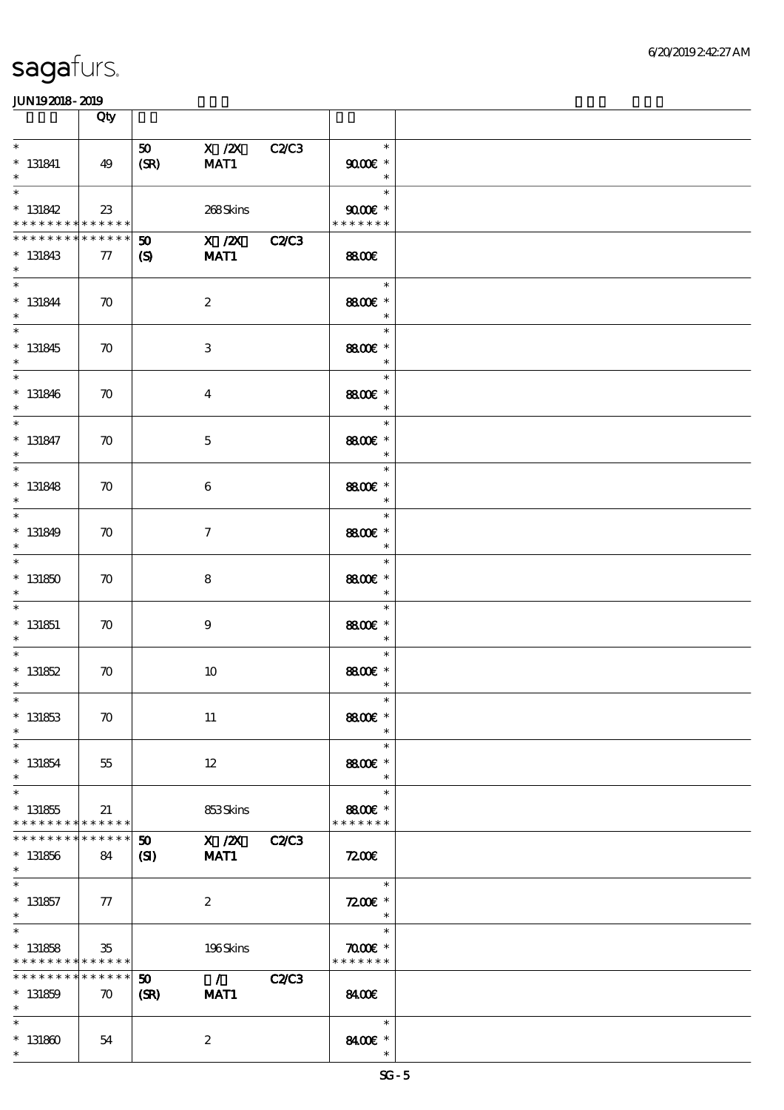|                                                                               | Qty                          |                                    |                            |              |                                          |  |
|-------------------------------------------------------------------------------|------------------------------|------------------------------------|----------------------------|--------------|------------------------------------------|--|
| $\ast$<br>$*$ 131841<br>$\ast$                                                | 49                           | 50 <sub>1</sub><br>(SR)            | $X$ / $ZX$<br>MAT1         | <b>C2/C3</b> | $\ast$<br>$9000$ $*$<br>$\ast$           |  |
| $\ast$<br>$* 131842$<br>* * * * * * * * <mark>* * * * * *</mark>              | 23                           |                                    | 268Skins                   |              | $\ast$<br>$9000$ $*$<br>* * * * * * *    |  |
| * * * * * * * * * * * * * * *<br>$* 131843$<br>$\ast$                         | $\tau$                       | $\boldsymbol{\mathfrak{D}}$<br>(S) | $\overline{X}$ /2X<br>MAT1 | <b>C2/C3</b> | <b>8800€</b>                             |  |
| $\ast$<br>$* 131844$<br>$\ast$                                                | $\boldsymbol{\pi}$           |                                    | $\boldsymbol{2}$           |              | $\ast$<br>8800€ *<br>$\ast$              |  |
| $\overline{\ast}$<br>$* 131845$<br>$\ast$                                     | $\boldsymbol{\pi}$           |                                    | $\,3$                      |              | $\ast$<br>8800€ *<br>$\ast$              |  |
| $\ast$<br>$* 131846$<br>$\ast$                                                | $\boldsymbol{\pi}$           |                                    | $\boldsymbol{4}$           |              | $\ast$<br>8800€ *<br>$\ast$              |  |
| $\ast$<br>$* 131847$<br>$\ast$                                                | $\boldsymbol{\pi}$           |                                    | $\mathbf 5$                |              | $\ast$<br>8800€ *<br>$\ast$              |  |
| $\ast$<br>$* 131848$<br>$\ast$                                                | $\boldsymbol{\pi}$           |                                    | 6                          |              | $\ast$<br>8800€ *<br>$\ast$              |  |
| $\ast$<br>$* 131849$<br>$\ast$                                                | $\boldsymbol{\pi}$           |                                    | $\tau$                     |              | $\ast$<br>8800€ *<br>$\ast$              |  |
| $\ast$<br>$*131850$<br>$\ast$                                                 | $\boldsymbol{\pi}$           |                                    | 8                          |              | $\ast$<br>8800€ *<br>$\ast$              |  |
| $\ast$<br>$*$ 131851<br>$\ast$                                                | $\boldsymbol{\pi}$           |                                    | $\boldsymbol{9}$           |              | $\ast$<br>8800€ *<br>$\ast$              |  |
| $\ast$<br>$* 131852$<br>$\ast$                                                | $\boldsymbol{\pi}$           |                                    | 10                         |              | $\ast$<br>8800€ *<br>$\ast$              |  |
| $*$<br>$* 131853$<br>$\ast$                                                   | $\boldsymbol{\pi}$           |                                    | 11                         |              | $\ast$<br>8800€ *<br>$\ast$              |  |
| $\ast$<br>$* 131854$<br>$\ast$                                                | 55                           |                                    | 12                         |              | $\ast$<br>8800€ *<br>$\ast$              |  |
| $\ast$<br>$* 131855$<br>* * * * * * * * <mark>* * * * * *</mark>              | 21                           |                                    | 853Skins                   |              | $\ast$<br>8800€ *<br>* * * * * * *       |  |
| * * * * * * *<br>$* 131856$<br>$\ast$                                         | * * * * * *  <br>84          | $\boldsymbol{\mathfrak{D}}$<br>(S) | X / ZX C2/C3<br>MAT1       |              | 7200                                     |  |
| $\ast$<br>$* 131857$<br>$*$                                                   | ${\it 77}$                   |                                    | $\boldsymbol{z}$           |              | $\ast$<br>$7200$ £ *<br>$\ast$           |  |
| $\overline{\ast}$<br>$* 131858$<br>* * * * * * * * <mark>* * * * * * *</mark> | $35\,$                       |                                    | 196Skins                   |              | $\ast$<br>$\pi$ and $*$<br>* * * * * * * |  |
| * * * * * * * *<br>$* 131859$<br>$\ast$                                       | ******<br>$\boldsymbol{\pi}$ | 50 <sub>o</sub><br>(SR)            | $\overline{1}$<br>MAT1     | <b>C2/C3</b> | 8400€                                    |  |
| $\ast$<br>$^\ast$ 131860<br>$\ast$                                            | 54                           |                                    | $\boldsymbol{2}$           |              | $\ast$<br>8400€ *<br>$\ast$              |  |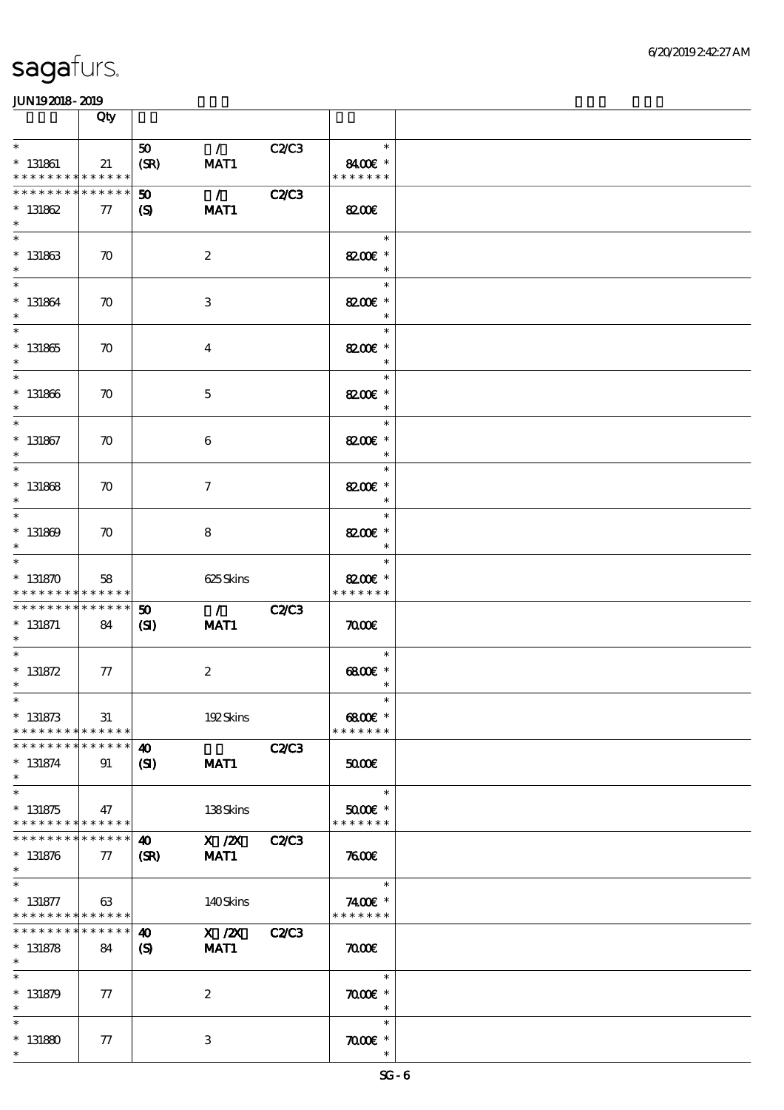|                                                                  | Qty                   |                                                     |                                     |              |                                       |  |
|------------------------------------------------------------------|-----------------------|-----------------------------------------------------|-------------------------------------|--------------|---------------------------------------|--|
| $\ast$<br>$*$ 131861<br>* * * * * * * * * * * * * *              | 21                    | 50<br>(SR)                                          | $\mathcal{L}$<br>MAT1               | C2C3         | $\ast$<br>8400€ *<br>* * * * * * *    |  |
| ********<br>$* 131862$<br>$\ast$                                 | * * * * * *<br>$77\,$ | $\boldsymbol{\mathfrak{D}}$<br>(S)                  | $\mathcal{L}$<br>MAT1               | <b>C2/C3</b> | <b>8200E</b>                          |  |
| $\overline{\ast}$<br>$* 131863$<br>$\ast$                        | $\boldsymbol{\pi}$    |                                                     | $\boldsymbol{2}$                    |              | $\ast$<br>8200€ *<br>$\ast$           |  |
| $\ast$<br>$* 131864$<br>$\ast$                                   | $\boldsymbol{\pi}$    |                                                     | 3                                   |              | $\ast$<br>8200€ *                     |  |
| $\overline{\ast}$<br>$* 131865$<br>$\ast$                        | $\boldsymbol{\pi}$    |                                                     | $\bf{4}$                            |              | $\ast$<br>8200€ *<br>$\ast$           |  |
| $\ast$<br>$* 131866$<br>$\ast$                                   | $\boldsymbol{\pi}$    |                                                     | $\mathbf 5$                         |              | $\ast$<br>8200€ *<br>$\ast$           |  |
| $\ast$<br>$*$ 131867<br>$\ast$                                   | $\boldsymbol{\pi}$    |                                                     | 6                                   |              | $\ast$<br>8200€ *<br>$\ast$           |  |
| $\ast$<br>$* 131868$<br>$\ast$<br>$\ast$                         | $\boldsymbol{\pi}$    |                                                     | $\boldsymbol{\tau}$                 |              | $\ast$<br>8200€ *<br>$\ast$           |  |
| $* 131869$<br>$\ast$<br>$\ast$                                   | $\boldsymbol{\pi}$    |                                                     | 8                                   |              | $\ast$<br>8200€ *<br>$\ast$           |  |
| $* 131870$<br>* * * * * * * * * * * * * *                        | 58                    |                                                     | 625Skins                            |              | $\ast$<br>8200€ *<br>* * * * * * *    |  |
| * * * * * * * * * * * * * * *<br>$* 131871$<br>$*$               | 84                    | $\boldsymbol{\mathfrak{D}}$<br>(S)                  | $\mathcal{L} = \mathcal{L}$<br>MAT1 | <b>C2/C3</b> | $\pi$                                 |  |
| $\ast$<br>$* 131872$<br>$\ast$                                   | ${\it 77}$            |                                                     | $\boldsymbol{2}$                    |              | $\ast$<br>$6800$ $*$<br>$\ast$        |  |
| $*$ $*$<br>$* 131873$<br>* * * * * * * * * * * * * *             | 31                    |                                                     | 192Skins                            |              | $\ast$<br>6800€ *<br>* * * * * * *    |  |
| * * * * * * * *<br>$* 131874$<br>$\ast$<br>$\overline{\ast}$     | * * * * * *<br>91     | $\boldsymbol{\omega}$<br>$\mathbf{C}$               | MAT1                                | <b>C2/C3</b> | 5000                                  |  |
| $* 131875$<br>* * * * * * * * <mark>* * * * * * *</mark>         | 47                    |                                                     | 138Skins                            |              | $\ast$<br>$5000$ $*$<br>* * * * * * * |  |
| * * * * * * * *<br>$* 131876$<br>$\ast$                          | ******<br>77          | 40<br>(SR)                                          | X / ZX<br>MAT1                      | <b>C2/C3</b> | 7600                                  |  |
| $\ast$<br>$* 131877$<br>* * * * * * * * <mark>* * * * * *</mark> | 63                    |                                                     | 140Skins                            |              | $\ast$<br>7400€ *<br>* * * * * * *    |  |
| * * * * * * * *<br>$* 131878$<br>$\ast$                          | $* * * * * * *$<br>84 | $\boldsymbol{\omega}$<br>$\boldsymbol{\mathcal{S}}$ | $X$ / $ZX$<br>MAT1                  | <b>C2/C3</b> | $\pi$                                 |  |
| $\ast$<br>$* 131879$<br>$\ast$                                   | 77                    |                                                     | $\boldsymbol{2}$                    |              | $\ast$<br>$\pi$ $\sigma$<br>$\ast$    |  |
| $\ast$<br>$* 131880$<br>$\ast$                                   | 77                    |                                                     | 3                                   |              | $\ast$<br>$\pi$ $\infty$<br>$\ast$    |  |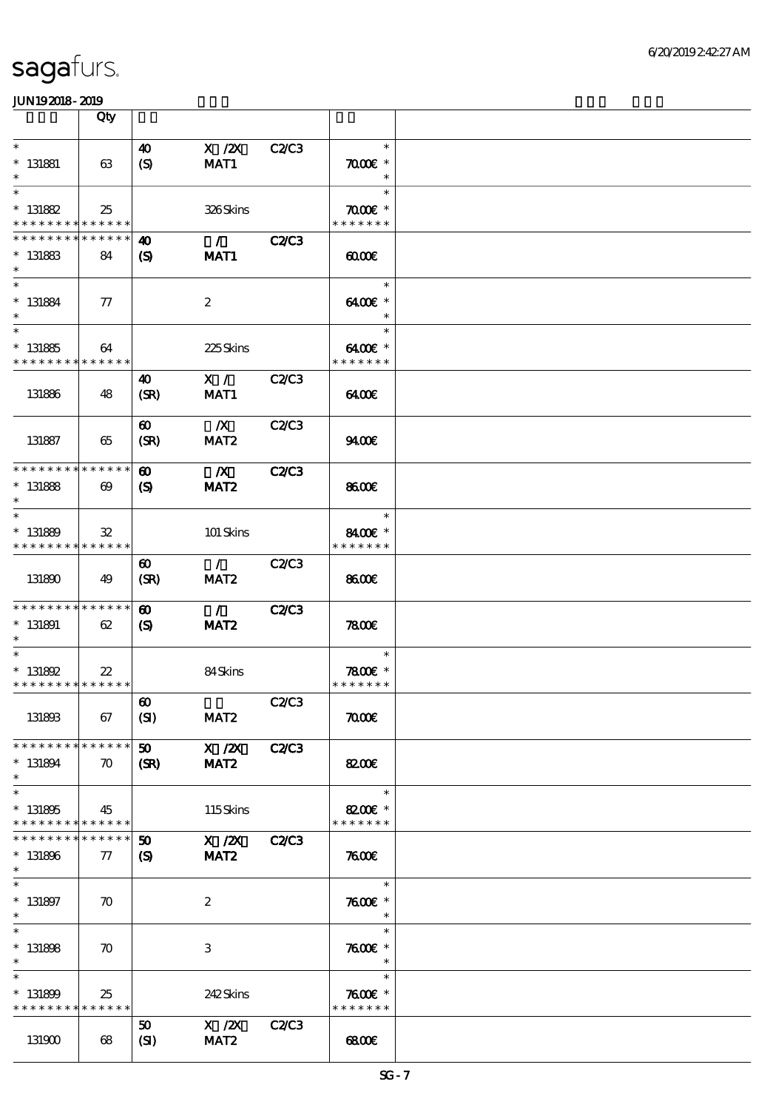|                                                                       | Qty                               |                                                            |                                         |              |                                          |  |
|-----------------------------------------------------------------------|-----------------------------------|------------------------------------------------------------|-----------------------------------------|--------------|------------------------------------------|--|
| $\ast$<br>$*$ 131881<br>$\ast$                                        | 63                                | 40<br>(S)                                                  | $X$ / $ZX$<br>MAT1                      | <b>C2/C3</b> | $\ast$<br>$\pi$ and $*$<br>$\ast$        |  |
| $\ast$<br>$* 131882$<br>* * * * * * * * <mark>* * * * * * *</mark>    | 25                                |                                                            | 326Skins                                |              | $\ast$<br>$\pi$ and $*$<br>* * * * * * * |  |
| * * * * * * * *<br>$* 131883$<br>$\ast$                               | * * * * * *<br>84                 | 40<br>$\mathbf{S}$                                         | $\mathcal{L}$ and $\mathcal{L}$<br>MAT1 | <b>C2/C3</b> | 0000                                     |  |
| $\ast$<br>$* 131884$<br>$\ast$                                        | $\tau$                            |                                                            | $\boldsymbol{2}$                        |              | $\ast$<br>6400€ *<br>$\ast$              |  |
| $\overline{\phantom{1}}$<br>$* 131885$<br>* * * * * * * * * * * * * * | 64                                |                                                            | 225Skins                                |              | $\ast$<br>6400€ *<br>* * * * * * *       |  |
| 131886                                                                | 48                                | 40<br>(SR)                                                 | $\mathbf{X}$ /<br>MAT1                  | C2/C3        | 6400                                     |  |
| 131887                                                                | 65                                | $\boldsymbol{\omega}$<br>(SR)                              | $\mathbb{X}$<br>MAT <sub>2</sub>        | <b>C2/C3</b> | 9400                                     |  |
| * * * * * * * * * * * * * *<br>$* 131888$<br>$\ast$                   | $\boldsymbol{\omega}$             | $\boldsymbol{\omega}$<br>$\boldsymbol{\mathsf{(S)}}$       | $\mathbf{X}$<br>MAT <sub>2</sub>        | <b>C2/C3</b> | 8600€                                    |  |
| $\ast$<br>$* 131889$<br>* * * * * * * * * * * * * *                   | 32                                |                                                            | 101 Skins                               |              | $\ast$<br>8400€ *<br>* * * * * * *       |  |
| 131890                                                                | - 49                              | $\boldsymbol{\omega}$<br>(SR)                              | $\mathcal{L}$<br>MAT <sub>2</sub>       | <b>C2/C3</b> | 8600                                     |  |
| * * * * * * * * * * * * * *<br>$* 131891$<br>$\ast$                   | 62                                | $\boldsymbol{\omega}$<br>$\mathbf{S}$                      | $\mathcal{L}$<br>MAT <sub>2</sub>       | <b>C2/C3</b> | 7800                                     |  |
| $\ast$<br>$* 131892$<br>* * * * * * * * * * * * * * *                 | $22\,$                            |                                                            | 84Skins                                 |              | $\ast$<br>7800 £*<br>* * * * * * *       |  |
| 131893                                                                | 67                                | $\boldsymbol{\omega}$<br>(SI)                              | MAT <sub>2</sub>                        | <b>C2/C3</b> | $\pi$                                    |  |
| * * * * * * * *<br>$* 131894$<br>$\ast$                               | * * * * * *<br>$\boldsymbol{\pi}$ | 50 <sub>2</sub><br>(SR)                                    | X / ZX<br>MAT <sub>2</sub>              | <b>C2/C3</b> | <b>82006</b>                             |  |
| $\ast$<br>$* 131895$<br>* * * * * * * * * * * * * *                   | 45                                |                                                            | 115Skins                                |              | $\ast$<br>8200€ *<br>* * * * * * *       |  |
| * * * * * * * *<br>$* 131896$<br>$\ast$                               | * * * * * *<br>$\tau$             | $\boldsymbol{\mathfrak{w}}$<br>$\boldsymbol{\mathrm{(S)}}$ | $X$ / $ZX$<br>MAT <sub>2</sub>          | <b>C2/C3</b> | 7600                                     |  |
| $\ast$<br>$* 131897$<br>$\ast$                                        | $\boldsymbol{\pi}$                |                                                            | $\boldsymbol{z}$                        |              | $\ast$<br>$7600$ $*$<br>$\ast$           |  |
| $\ast$<br>$* 131808$<br>$\ast$                                        | $\boldsymbol{\pi}$                |                                                            | 3                                       |              | $\ast$<br>$7600$ $*$<br>$\ast$           |  |
| $\ast$<br>$* 131809$<br>* * * * * * * * * * * * * *                   | 25                                |                                                            | 242Skins                                |              | $\ast$<br>$7600$ $*$<br>* * * * * * *    |  |
| 131900                                                                | 68                                | 50<br>(SI)                                                 | X / ZX<br>MAT <sub>2</sub>              | <b>C2/C3</b> | 68000                                    |  |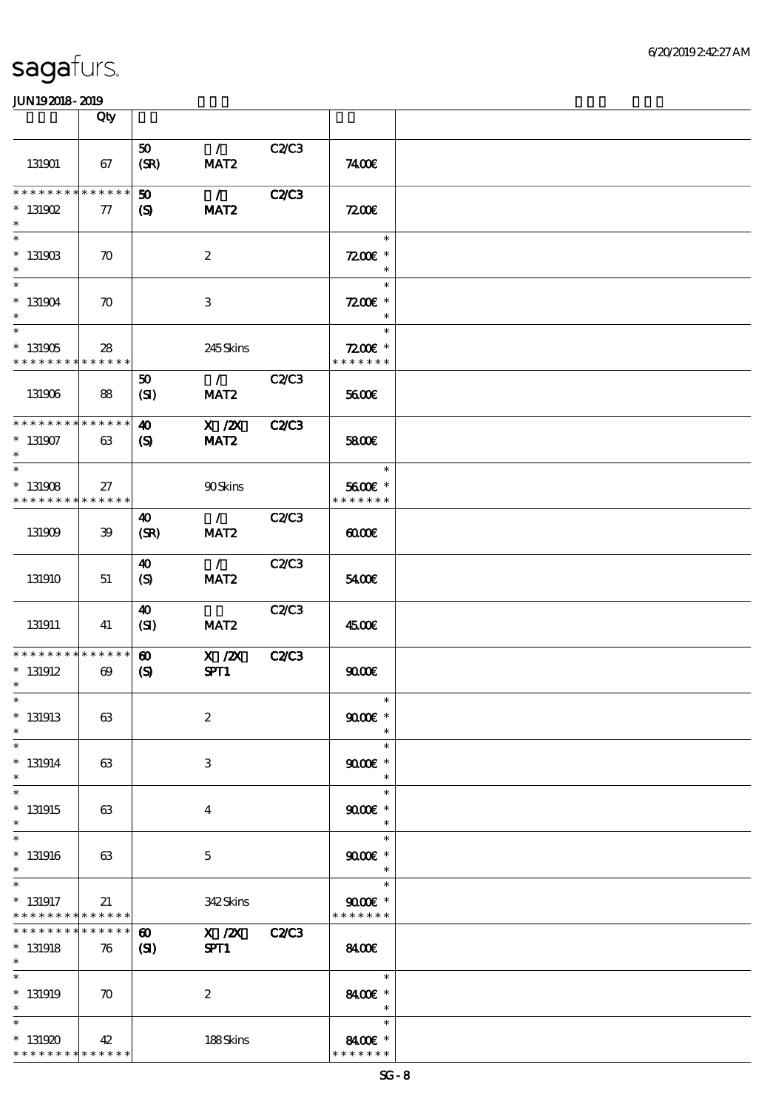|                                                           | Qty                                  |                                                      |                                                     |              |                                       |  |
|-----------------------------------------------------------|--------------------------------------|------------------------------------------------------|-----------------------------------------------------|--------------|---------------------------------------|--|
| 131901                                                    | 67                                   | 50 <sub>1</sub><br>(SR)                              | $\mathcal{L}$<br>MAT <sub>2</sub>                   | C2C3         | 7400E                                 |  |
| ********<br>$*$ 131902<br>$\ast$                          | * * * * * *<br>$\tau$                | $\boldsymbol{\omega}$<br>$\boldsymbol{\omega}$       | $\mathcal{L}$<br>MAT <sub>2</sub>                   | <b>C2/C3</b> | 7200E                                 |  |
| $\ast$<br>$*$ 131903<br>$\ast$                            | $\boldsymbol{\pi}$                   |                                                      | $\boldsymbol{2}$                                    |              | $\ast$<br>$7200$ £ *<br>$\ast$        |  |
| $\overline{\ast}$<br>$*131904$<br>$\ast$                  | $\boldsymbol{\pi}$                   |                                                      | 3                                                   |              | $\ast$<br>$7200$ £ *<br>$\ast$        |  |
| $\overline{\phantom{1}}$<br>$*$ 131905<br>* * * * * * * * | 28<br>* * * * * *                    |                                                      | 245Skins                                            |              | $\ast$<br>$7200E$ *<br>* * * * * * *  |  |
| 131906                                                    | 88                                   | 50<br>(SI)                                           | $\mathcal{L}$ and $\mathcal{L}$<br>MAT <sub>2</sub> | <b>C2C3</b>  | 5600E                                 |  |
| * * * * * * * * * * * * * *<br>$* 131907$<br>$\ast$       | 63                                   | $\boldsymbol{\omega}$<br>$\boldsymbol{\mathrm{(S)}}$ | $X$ / $ZX$<br>MAT <sub>2</sub>                      | <b>C2/C3</b> | 5800€                                 |  |
| $\ast$<br>$*131908$<br>* * * * * * * * * * * * * *        | 27                                   |                                                      | <b>90Skins</b>                                      |              | $\ast$<br>5600€ *<br>* * * * * * *    |  |
| 131909                                                    | 39                                   | 40<br>(SR)                                           | $\mathcal{L}$<br>MAT <sub>2</sub>                   | <b>C2/C3</b> | 0000                                  |  |
| 131910                                                    | 51                                   | 40<br>$\boldsymbol{S}$                               | $\mathcal{L}$<br>MAT <sub>2</sub>                   | <b>C2/C3</b> | 5400E                                 |  |
| 131911                                                    | 41                                   | 40<br>(SI)                                           | MAT <sub>2</sub>                                    | C2/C3        | 4500€                                 |  |
| * * * * * * * *<br>$*$ 131912<br>$\ast$                   | * * * * * *<br>$\boldsymbol{\omega}$ | $\boldsymbol{\omega}$<br>$\boldsymbol{\mathrm{(S)}}$ | $X$ / $ZX$<br>SPT1                                  | C2C3         | 9000                                  |  |
| $*$<br>$*131913$<br>$\ast$                                | 63                                   |                                                      | $\boldsymbol{2}$                                    |              | $\ast$<br>$9000$ $*$<br>$\ast$        |  |
| $\ast$<br>$* 131914$<br>$\ast$                            | 63                                   |                                                      | 3                                                   |              | $\ast$<br>$9000$ $*$<br>$\ast$        |  |
| $\ast$<br>$*131915$<br>$\ast$                             | 63                                   |                                                      | $\overline{4}$                                      |              | $\ast$<br>$9000$ $*$<br>$\ast$        |  |
| $\ast$<br>$*131916$<br>$\ast$                             | 63                                   |                                                      | 5                                                   |              | $\ast$<br>$9000$ $*$<br>$\ast$        |  |
| $\ast$<br>$*$ 131917<br>* * * * * * * *                   | 21<br>* * * * * *                    |                                                      | 342Skins                                            |              | $\ast$<br>$9000$ $*$<br>* * * * * * * |  |
| * * * * * * * *<br>$* 131918$<br>$\ast$                   | * * * * * *<br>76                    | $\boldsymbol{\omega}$<br>(S)                         | X / ZX C2/C3<br>SPT1                                |              | 8400€                                 |  |
| $\ast$<br>$*$ 131919<br>$\ast$                            | $\boldsymbol{\pi}$                   |                                                      | $\boldsymbol{2}$                                    |              | $\ast$<br>8400€ *<br>$\ast$           |  |
| $\ast$<br>$*131920$<br>* * * * * * * * * * * * * *        | 42                                   |                                                      | 188Skins                                            |              | $\ast$<br>8400€ *<br>* * * * * * *    |  |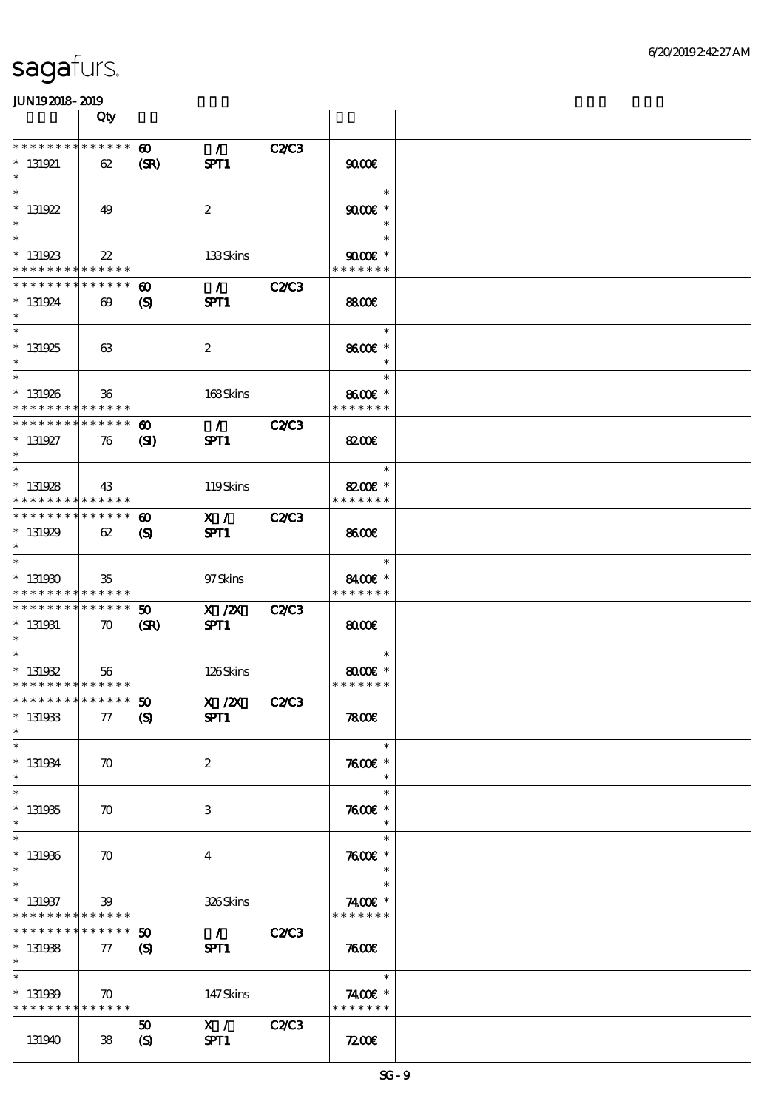|                                                        | Qty                                  |                                     |                       |              |                                                   |  |
|--------------------------------------------------------|--------------------------------------|-------------------------------------|-----------------------|--------------|---------------------------------------------------|--|
| * * * * * * * *<br>$* 131921$<br>$\ast$                | ******<br>62                         | $\boldsymbol{\omega}$<br>(SR)       | $\mathcal{L}$<br>SPT1 | <b>C2/C3</b> | 9000                                              |  |
| $\ast$<br>$*$ 131922<br>$\ast$                         | 49                                   |                                     | $\boldsymbol{2}$      |              | $\ast$<br>$9000$ $\varepsilon$ *<br>$\ast$        |  |
| $\ast$<br>$*131923$<br>* * * * * * * * * * * * * *     | $22\,$                               |                                     | 133Skins              |              | $\ast$<br>$9000$ $\varepsilon$ *<br>* * * * * * * |  |
| * * * * * * * *<br>$* 131924$<br>$\ast$                | * * * * * *<br>$\boldsymbol{\omega}$ | $\boldsymbol{\omega}$<br>(S)        | $\mathcal{L}$<br>SPT1 | <b>C2/C3</b> | 8800€                                             |  |
| $\overline{\phantom{0}}$<br>$* 131925$<br>$\ast$       | 63                                   |                                     | $\boldsymbol{2}$      |              | $\ast$<br>8600€ *<br>$\ast$                       |  |
| $\ast$<br>$* 131926$<br>* * * * * * * * * * * * * *    | $36\phantom{1}$                      |                                     | 168Skins              |              | $\ast$<br>8600€ *<br>* * * * * * *                |  |
| * * * * * * * *<br>$* 131927$<br>$\ast$                | * * * * * *<br>76                    | $\boldsymbol{\omega}$<br>(S)        | $\mathcal{L}$<br>SPT1 | <b>C2/C3</b> | <b>82006</b>                                      |  |
| $\ast$<br>$* 131928$<br>* * * * * * * * * * * * * *    | 43                                   |                                     | 119Skins              |              | $\ast$<br>8200€ *<br>* * * * * * *                |  |
| * * * * * * * *<br>$*131929$<br>$\ast$                 | * * * * * *<br>62                    | $\boldsymbol{\omega}$<br>(S)        | X /<br>SPT1           | <b>C2C3</b>  | 8600                                              |  |
| $\ast$<br>$*131930$<br>* * * * * * * * * * * * * *     | 35                                   |                                     | 97Skins               |              | $\ast$<br>8400€ *<br>* * * * * * *                |  |
| * * * * * * * * * * * * * *<br>$*$ 131931<br>$*$       | $\boldsymbol{\pi}$                   | $\boldsymbol{\mathfrak{w}}$<br>(SR) | $X$ / $ZX$<br>SPT1    | <b>C2/C3</b> | $\omega$                                          |  |
| $\ast$<br>$* 131932$<br>* * * * * * * * * * * * * *    | 56                                   |                                     | 126Skins              |              | $\ast$<br>$8000$ $*$<br>* * * * * * *             |  |
| *************** 50<br>$* 131933$<br>$\ast$             | 77                                   | $\boldsymbol{\mathrm{(S)}}$         | X / ZX<br>SPT1        | <b>C2/C3</b> | 7800E                                             |  |
| $\ast$<br>$* 131934$<br>$\ast$                         | $\boldsymbol{\pi}$                   |                                     | $\boldsymbol{2}$      |              | $\ast$<br>$7600$ $*$<br>$\ast$                    |  |
| $\ast$<br>$* 131935$<br>$\ast$<br>$\ast$               | $\boldsymbol{\pi}$                   |                                     | 3                     |              | $\ast$<br>$7600$ $*$<br>$\ast$                    |  |
| $* 131936$<br>$\ast$<br>$\ast$                         | $\boldsymbol{\pi}$                   |                                     | $\bf{4}$              |              | $\ast$<br>$7600$ $*$<br>$\ast$                    |  |
| $* 131937$<br>* * * * * * * * <mark>* * * * * *</mark> | 39                                   |                                     | 326Skins              |              | $\ast$<br>7400€ *<br>* * * * * * *                |  |
| * * * * * * * *<br>$* 131938$<br>$\ast$<br>$\ast$      | $\ast\ast\ast\ast\ast\ast$<br>77     | 50<br>$\boldsymbol{S}$              | $\mathcal{L}$<br>SPT1 | <b>C2C3</b>  | 7600<br>$\ast$                                    |  |
| $* 131939$<br>* * * * * * * * <mark>* * * * * *</mark> | $\boldsymbol{\pi}$                   |                                     | 147Skins              |              | 7400€ *<br>* * * * * * *                          |  |
| 131940                                                 | 38                                   | 50<br>$\boldsymbol{S}$              | X /<br>SPT1           | <b>C2/C3</b> | 7200E                                             |  |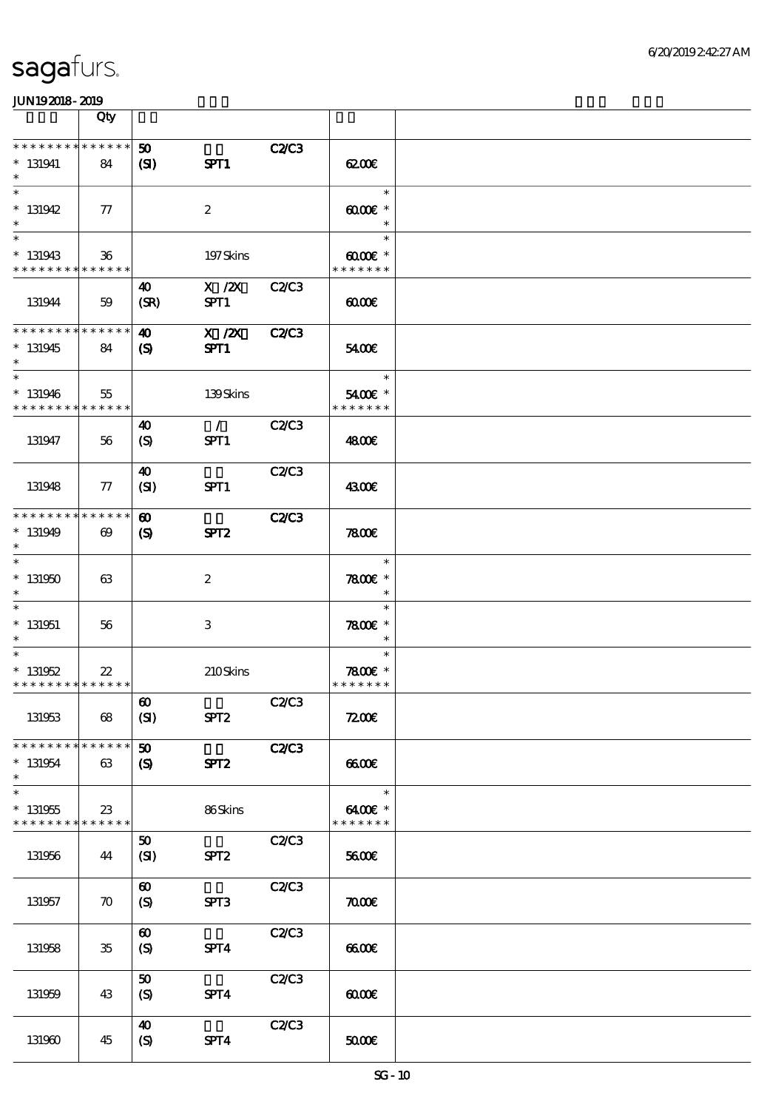|                                                     | Qty                   |                                                     |                       |              |                                              |  |
|-----------------------------------------------------|-----------------------|-----------------------------------------------------|-----------------------|--------------|----------------------------------------------|--|
| * * * * * * * * * * * * * *<br>$* 131941$<br>$\ast$ | 84                    | 50<br>(S)                                           | SPT1                  | C2C3         | 6200E                                        |  |
| $\ast$<br>$* 131942$<br>$\ast$                      | $\tau$                |                                                     | $\boldsymbol{2}$      |              | $\ast$<br>$0000 \times$<br>$\ast$            |  |
| $\ast$<br>$* 131943$<br>* * * * * * * * * * * * * * | $36\,$                |                                                     | 197Skins              |              | $\ast$<br>$6000 \text{E}$ *<br>* * * * * * * |  |
| 131944                                              | 59                    | 40<br>(SR)                                          | $X$ / $ZX$<br>SPT1    | <b>C2/C3</b> | 00000                                        |  |
| * * * * * * * * * * * * * *<br>$*131945$<br>$\ast$  | 84                    | $\boldsymbol{\omega}$<br>$\boldsymbol{\mathcal{S}}$ | $X$ / $ZX$<br>SPT1    | <b>C2/C3</b> | 5400E                                        |  |
| $\ast$<br>$* 131946$<br>* * * * * * * * * * * * * * | 55                    |                                                     | 139Skins              |              | $\ast$<br>5400€ *<br>* * * * * * *           |  |
| 131947                                              | 56                    | 40<br>(S)                                           | $\mathcal{L}$<br>SPT1 | <b>C2/C3</b> | 4800€                                        |  |
| 131948                                              | 77                    | 40<br>(SI)                                          | SPT1                  | <b>C2/C3</b> | 4300€                                        |  |
| * * * * * * * * * * * * * *<br>$*131949$<br>$\ast$  | $\boldsymbol{\omega}$ | $\boldsymbol{\omega}$<br>$\mathbf{S}$               | SPT <sub>2</sub>      | <b>C2/C3</b> | 7800                                         |  |
| $\ast$<br>$* 131950$<br>$\ast$                      | 63                    |                                                     | $\boldsymbol{2}$      |              | $\ast$<br>$7800$ $*$<br>$\ast$               |  |
| $\ast$<br>$*$ 131951<br>$\ast$                      | 56                    |                                                     | 3                     |              | $\ast$<br>$7800$ $*$<br>$\ast$               |  |
| $\ast$<br>$* 131952$<br>* * * * * * * * * * * * * * | $22\,$                |                                                     | 210Skins              |              | $\ast$<br>$7800$ $*$<br>* * * * * * *        |  |
| 131953                                              | 68                    | $\pmb{\infty}$<br>(SI)                              | SPT <sub>2</sub>      | <b>C2/C3</b> | 7200E                                        |  |
| * * * * * * * * * * * * * *<br>$* 131954$<br>$\ast$ | 63                    | 50<br>$\mathbf{S}$                                  | SPT <sub>2</sub>      | <b>C2/C3</b> | 6600E                                        |  |
| $\ast$<br>$* 131955$<br>* * * * * * * * * * * * * * | $23\,$                |                                                     | 86Skins               |              | $\ast$<br>6400€ *<br>* * * * * * *           |  |
| 131956                                              | 44                    | 50<br>(SI)                                          | SPT <sub>2</sub>      | C2C3         | 5600E                                        |  |
| 131957                                              | $\boldsymbol{\pi}$    | $\boldsymbol{\omega}$<br>$\boldsymbol{S}$           | SPT3                  | C2C3         | $\pi$                                        |  |
| 131958                                              | $35\,$                | $\boldsymbol{\omega}$<br>(S)                        | SPT4                  | C2/C3        | 6600E                                        |  |
| 131959                                              | 43                    | 50<br>(S)                                           | SPT4                  | C2C3         | 0000                                         |  |
| 131960                                              | 45                    | $\boldsymbol{\omega}$<br>$\boldsymbol{S}$           | SPT4                  | C2/C3        | 50000                                        |  |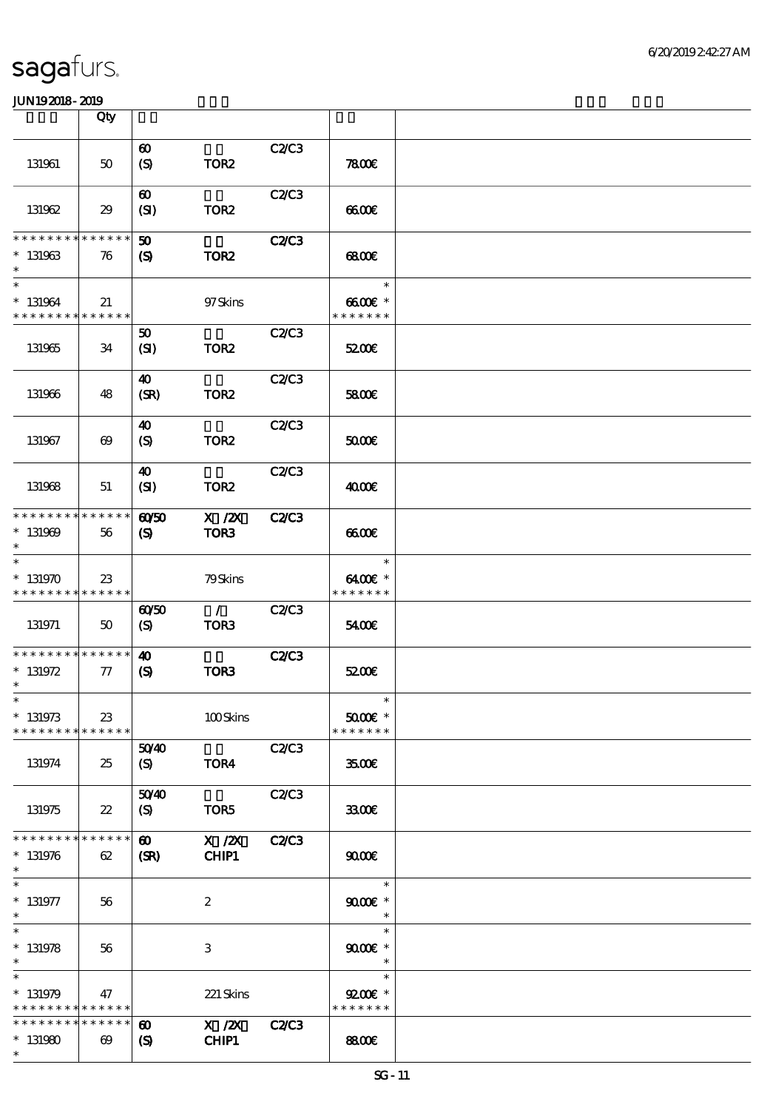|                                         | Qty                                  |                                                           |                       |              |                                       |  |
|-----------------------------------------|--------------------------------------|-----------------------------------------------------------|-----------------------|--------------|---------------------------------------|--|
| 131961                                  | $50\,$                               | $\boldsymbol{\omega}$<br>(S)                              | TOR <sub>2</sub>      | C2C3         | 7800                                  |  |
| 131962                                  | 29                                   | $\boldsymbol{\omega}$<br>(SI)                             | TOR <sub>2</sub>      | <b>C2/C3</b> | 6600                                  |  |
| * * * * * * * *<br>$* 131963$<br>$\ast$ | * * * * * *<br>76                    | $\boldsymbol{\mathfrak{D}}$<br>$\boldsymbol{\mathcal{S}}$ | TOR <sub>2</sub>      | <b>C2/C3</b> | 68000                                 |  |
| $\ast$<br>$* 131964$<br>* * * * * * * * | 21<br>* * * * * *                    |                                                           | 97Skins               |              | $\ast$<br>$6600E$ *<br>* * * * * * *  |  |
| 131965                                  | 34                                   | 50<br>(SI)                                                | TOR <sub>2</sub>      | <b>C2/C3</b> | 5200E                                 |  |
| 131966                                  | 48                                   | 40<br>(SR)                                                | TOR <sub>2</sub>      | C2C3         | 5800€                                 |  |
| 131967                                  | $\boldsymbol{\omega}$                | 40<br>(S)                                                 | TOR <sub>2</sub>      | C2/C3        | 50000                                 |  |
| 131968                                  | 51                                   | 40<br>(SI)                                                | TOR <sub>2</sub>      | <b>C2/C3</b> | 4000€                                 |  |
| * * * * * * * *<br>$* 131969$<br>$\ast$ | * * * * * *<br>56                    | $\omega$ 50<br>$\boldsymbol{\mathsf{(S)}}$                | $X$ / $ZX$<br>TOR3    | <b>C2/C3</b> | 6600                                  |  |
| $\ast$<br>$*131970$<br>* * * * * * * *  | 23<br>* * * * * *                    |                                                           | 79Skins               |              | $\ast$<br>6400€ *<br>* * * * * * *    |  |
| 131971                                  | 50                                   | $\omega$ 50<br>$\boldsymbol{S}$                           | $\mathcal{L}$<br>TOR3 | C2C3         | 5400E                                 |  |
| * * * * * * * *<br>$* 131972$<br>$\ast$ | * * * * * *<br>77                    | $\boldsymbol{\omega}$<br>$\boldsymbol{\mathsf{(S)}}$      | TOR3                  | <b>C2/C3</b> | 5200E                                 |  |
| $\ast$<br>$*$ 131973<br>* * * * * * * * | $23\,$<br>* * * * * *                |                                                           | 100Skins              |              | $\ast$<br>$5000$ $*$<br>* * * * * * * |  |
| 131974                                  | 25                                   | 5040<br>(S)                                               | TOR4                  | C2/C3        | 3500E                                 |  |
| 131975                                  | $22\,$                               | 5040<br>$\boldsymbol{S}$                                  | TOR5                  | C2/C3        | 3300                                  |  |
| * * * * * * * *<br>$* 131976$<br>$\ast$ | * * * * * *<br>62                    | $\boldsymbol{\omega}$<br>(SR)                             | $X$ / $ZX$<br>CHIP1   | <b>C2/C3</b> | 9000                                  |  |
| $*$ 131977<br>$\ast$                    | 56                                   |                                                           | $\boldsymbol{z}$      |              | $\ast$<br>$9000$ $*$<br>$\ast$        |  |
| $\ast$<br>$* 131978$<br>$\ast$          | 56                                   |                                                           | 3                     |              | $\ast$<br>$9000$ $*$<br>$\ast$        |  |
| $\ast$<br>$* 131979$<br>* * * * * * * * | 47<br>* * * * * *                    |                                                           | 221 Skins             |              | $\ast$<br>$9200$ $*$<br>* * * * * * * |  |
| * * * * * * * *<br>$*131980$<br>$\ast$  | * * * * * *<br>$\boldsymbol{\omega}$ | $\boldsymbol{\omega}$<br>$\boldsymbol{\mathrm{(S)}}$      | $X$ / $ZX$<br>CHIP1   | <b>C2/C3</b> | <b>8800€</b>                          |  |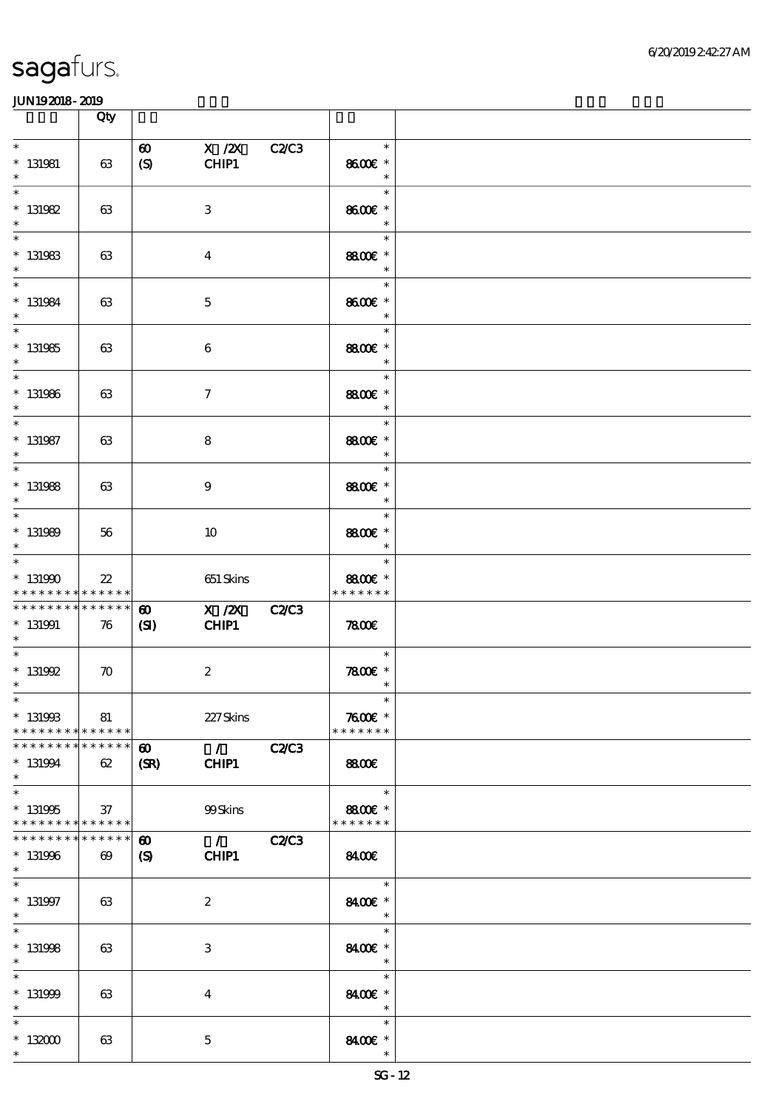|                                                                   | Qty                                  |                                           |                                          |              |                                               |  |
|-------------------------------------------------------------------|--------------------------------------|-------------------------------------------|------------------------------------------|--------------|-----------------------------------------------|--|
| $\ast$<br>$* 131981$<br>$\ast$                                    | 63                                   | $\boldsymbol{\omega}$<br>(S)              | $X$ /2 $X$<br>CHIP1                      | C2C3         | $\ast$<br>8600€ *<br>$\ast$                   |  |
| $\ast$<br>$* 131982$<br>$\ast$                                    | 63                                   |                                           | $\,3$                                    |              | $\ast$<br>8600€ *<br>$\ast$                   |  |
| $\ast$<br>$* 131983$<br>$\ast$                                    | 63                                   |                                           | $\overline{4}$                           |              | $\ast$<br>8800€ *<br>$\ast$                   |  |
| $\overline{\ast}$<br>$* 131984$<br>$\ast$                         | 63                                   |                                           | $\mathbf 5$                              |              | $\ast$<br>8600€ *<br>$\ast$                   |  |
| $\overline{\phantom{0}}$<br>$* 131985$<br>$\ast$                  | 63                                   |                                           | $\boldsymbol{6}$                         |              | $\ast$<br>8800€ *<br>$\overline{\phantom{a}}$ |  |
| $\begin{array}{c c}\n\hline\n\end{array}$<br>$*$ 131986<br>$\ast$ | 63                                   |                                           | $\tau$                                   |              | $\ast$<br>8800€ *<br>$\overline{\phantom{a}}$ |  |
| $\ast$<br>$*$ 131987<br>$\ast$                                    | 63                                   |                                           | 8                                        |              | $\ast$<br>8800€ *<br>$\ast$                   |  |
| $\overline{\ast}$<br>$* 131988$<br>$\ast$                         | 63                                   |                                           | $\boldsymbol{9}$                         |              | $\ast$<br>8800€ *<br>$\ast$                   |  |
| $\ast$<br>$* 131989$<br>$\ast$                                    | 56                                   |                                           | 10                                       |              | $\ast$<br>8800€ *<br>$\ast$                   |  |
| $\ast$<br>$*131990$<br>* * * * * * * *                            | $22\,$<br>* * * * * *                |                                           | 651 Skins                                |              | $\ast$<br>8800€ *<br>* * * * * * *            |  |
| * * * * * * * *<br>$* 131991$<br>$\ast$                           | * * * * * *<br>76                    | $\boldsymbol{\omega}$<br>(S)              | X / ZX C2/C3<br>CHIP1                    |              | 7800                                          |  |
| $\ast$<br>$*$ 131992<br>$\ast$                                    | $\boldsymbol{\pi}$                   |                                           | $\boldsymbol{2}$                         |              | $\ast$<br>$7800$ $*$<br>$\ast$                |  |
| $*$<br>$* 13199B$<br>* * * * * * * *                              | 81<br>$\ast\ast\ast\ast\ast\ast$     |                                           | 227Skins                                 |              | $\ast$<br>$7600$ $*$<br>* * * * * * *         |  |
| * * * * * * * *<br>$* 131994$<br>$\ast$                           | * * * * * *<br>62                    | $\boldsymbol{\omega}$<br>(SR)             | $\mathcal{L}$ and $\mathcal{L}$<br>CHIP1 | C2C3         | <b>8800€</b>                                  |  |
| $\ast$<br>$* 131995$<br>* * * * * * * * * * * * * *               | 37                                   |                                           | 99Skins                                  |              | $\ast$<br>8800€ *<br>* * * * * * *            |  |
| * * * * * * * *<br>$* 131996$<br>$\ast$                           | * * * * * *<br>$\boldsymbol{\omega}$ | $\boldsymbol{\omega}$<br>$\boldsymbol{S}$ | $\mathcal{L}$<br>CHIP1                   | <b>C2/C3</b> | 8400E                                         |  |
| $\ast$<br>$* 131997$<br>$\ast$                                    | 63                                   |                                           | $\boldsymbol{z}$                         |              | $\ast$<br>8400€ *<br>$\ast$                   |  |
| $\ast$<br>$* 131998$<br>$\ast$                                    | 63                                   |                                           | 3                                        |              | $\ast$<br>8400€ *<br>$\ast$                   |  |
| $\ast$<br>$* 131999$<br>$\ast$                                    | 63                                   |                                           | $\overline{\mathbf{4}}$                  |              | $\ast$<br>8400€ *<br>$\ast$                   |  |
| $\ast$<br>$*132000$<br>$\ast$                                     | 63                                   |                                           | $\mathbf{5}$                             |              | $\ast$<br>8400€ *<br>$\ast$                   |  |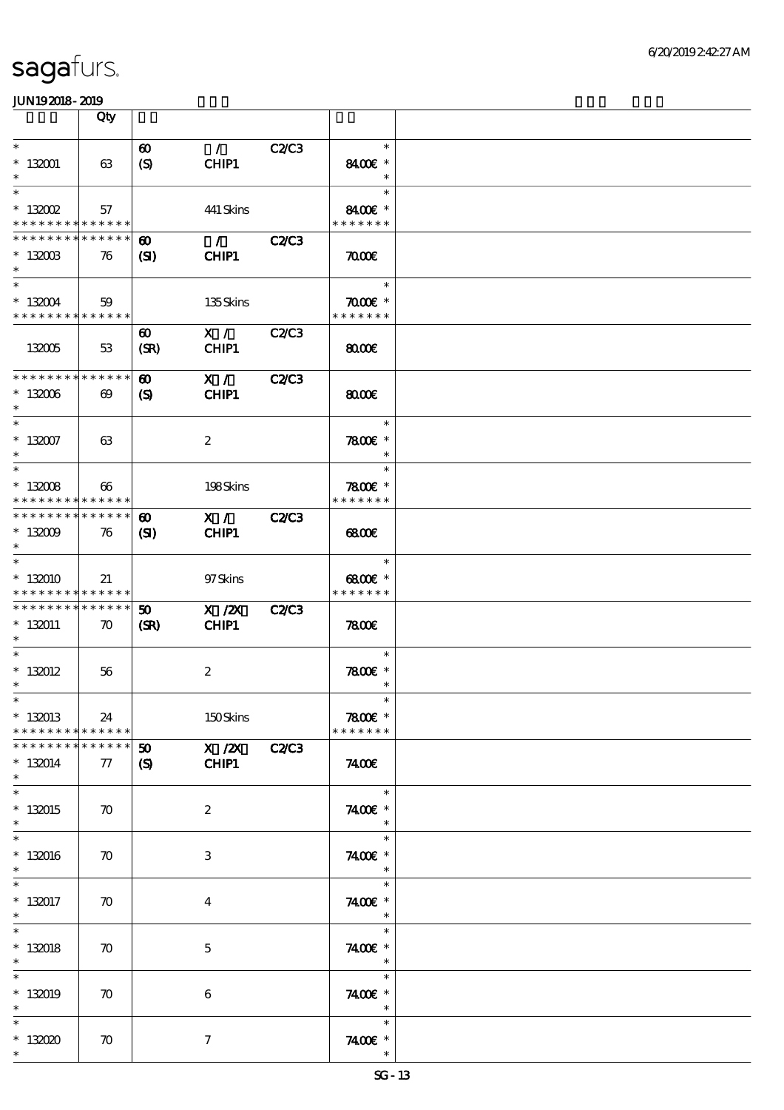|                                                                             | Qty                   |                                     |                                          |              |                                              |  |
|-----------------------------------------------------------------------------|-----------------------|-------------------------------------|------------------------------------------|--------------|----------------------------------------------|--|
| $\ast$                                                                      |                       | $\boldsymbol{\omega}$               | $\mathcal{L}$                            | C2C3         | $\ast$                                       |  |
| $* 132001$<br>$\ast$                                                        | 63                    | (S)                                 | CHIP1                                    |              | 8400€ *<br>$\ast$                            |  |
| $\ast$<br>$*$ 132002                                                        | 57                    |                                     | 441 Skins                                |              | $\ast$<br>8400€ *                            |  |
| * * * * * * * * * * * * * *                                                 |                       |                                     |                                          |              | * * * * * * *                                |  |
| * * * * * * * * * * * * * *<br>$*132003$                                    | 76                    | ⊕<br>(SI)                           | $\mathcal{L}$ and $\mathcal{L}$<br>CHIP1 | C2C3         | $\pi$                                        |  |
| $\ast$<br>$\ast$                                                            |                       |                                     |                                          |              | $\ast$                                       |  |
| $*132004$<br>* * * * * * * * * * * * * *                                    | 59                    |                                     | 135Skins                                 |              | $\pi$ $\alpha$ $\epsilon$ *<br>* * * * * * * |  |
|                                                                             |                       | $\boldsymbol{\omega}$               | X /                                      | <b>C2/C3</b> |                                              |  |
| 132005                                                                      | 53                    | (SR)                                | CHIP1                                    |              | 8000                                         |  |
| * * * * * * * * * * * * * *                                                 |                       | $\boldsymbol{\omega}$               | X /                                      | C2C3         |                                              |  |
| $*132006$<br>$\ast$                                                         | $\boldsymbol{\omega}$ | $\mathbf{S}$                        | CHIP1                                    |              | 800E                                         |  |
| $\ast$<br>$* 132007$                                                        | 63                    |                                     | $\boldsymbol{2}$                         |              | $\ast$<br>7800€ *                            |  |
| $\ast$<br>$\ast$                                                            |                       |                                     |                                          |              | $\ast$<br>$\ast$                             |  |
| $* 13008$                                                                   | $\boldsymbol{\omega}$ |                                     | 198Skins                                 |              | $7800$ £ *                                   |  |
| * * * * * * * * <mark>* * * * * * *</mark><br>******** <mark>*******</mark> |                       | $\boldsymbol{\omega}$               | X / C2/C3                                |              | * * * * * * *                                |  |
| $*13009$<br>$\ast$                                                          | 76                    | (S)                                 | CHIP1                                    |              | 6800                                         |  |
| $\ast$                                                                      |                       |                                     |                                          |              | $\ast$                                       |  |
| $*132010$<br>* * * * * * * * * * * * * *                                    | 21                    |                                     | 97Skins                                  |              | $6800$ $\varepsilon$ *<br>* * * * * * *      |  |
| * * * * * * * * * * * * * * *<br>$*132011$                                  | $\boldsymbol{\pi}$    | $\boldsymbol{\mathfrak{D}}$<br>(SR) | $X$ / $ZX$<br>CHIP1                      | <b>C2/C3</b> | 7800                                         |  |
| $\ast$<br>$\ast$                                                            |                       |                                     |                                          |              |                                              |  |
| $* 132012$                                                                  | 56                    |                                     | $\boldsymbol{2}$                         |              | $\ast$<br>$7800$ $*$                         |  |
| $\ast$<br>$*$                                                               |                       |                                     |                                          |              | $\ast$<br>$\ast$                             |  |
| $* 132013$<br>* * * * * * * * * * * * * *                                   | 24                    |                                     | 150Skins                                 |              | 7800€ *<br>* * * * * * *                     |  |
| * * * * * * * *                                                             | * * * * * *           | $\boldsymbol{\mathfrak{D}}$         | X / ZX C2/C3                             |              |                                              |  |
| $* 132014$<br>$\ast$                                                        | 77                    | $\mathbf{S}$                        | CHIP1                                    |              | 7400E                                        |  |
| $\ast$<br>$*132015$                                                         | $\boldsymbol{\pi}$    |                                     | $\boldsymbol{2}$                         |              | $\ast$<br>7400€ *                            |  |
| $\ast$                                                                      |                       |                                     |                                          |              | $\ast$                                       |  |
| $\ast$<br>$*132016$                                                         | $\boldsymbol{\pi}$    |                                     | 3                                        |              | $\ast$<br>7400€ *                            |  |
| $\ast$<br>$\ast$                                                            |                       |                                     |                                          |              | $\ast$<br>$\ast$                             |  |
| $* 132017$<br>$\ast$                                                        | $\boldsymbol{\pi}$    |                                     | $\overline{4}$                           |              | 7400€ *<br>$\ast$                            |  |
| $\ast$                                                                      |                       |                                     |                                          |              | $\ast$                                       |  |
| $* 132018$<br>$\ast$                                                        | 70                    |                                     | $\mathbf 5$                              |              | 7400€ *<br>$\ast$                            |  |
| $\ast$<br>$*132019$                                                         | $\boldsymbol{\pi}$    |                                     | $\boldsymbol{6}$                         |              | $\ast$<br>7400 £*                            |  |
| $\ast$<br>$\ast$                                                            |                       |                                     |                                          |              | $\ast$<br>$\ast$                             |  |
| $*132020$                                                                   | $\boldsymbol{\pi}$    |                                     | $\tau$                                   |              | 7400 £*                                      |  |
| $\ast$                                                                      |                       |                                     |                                          |              |                                              |  |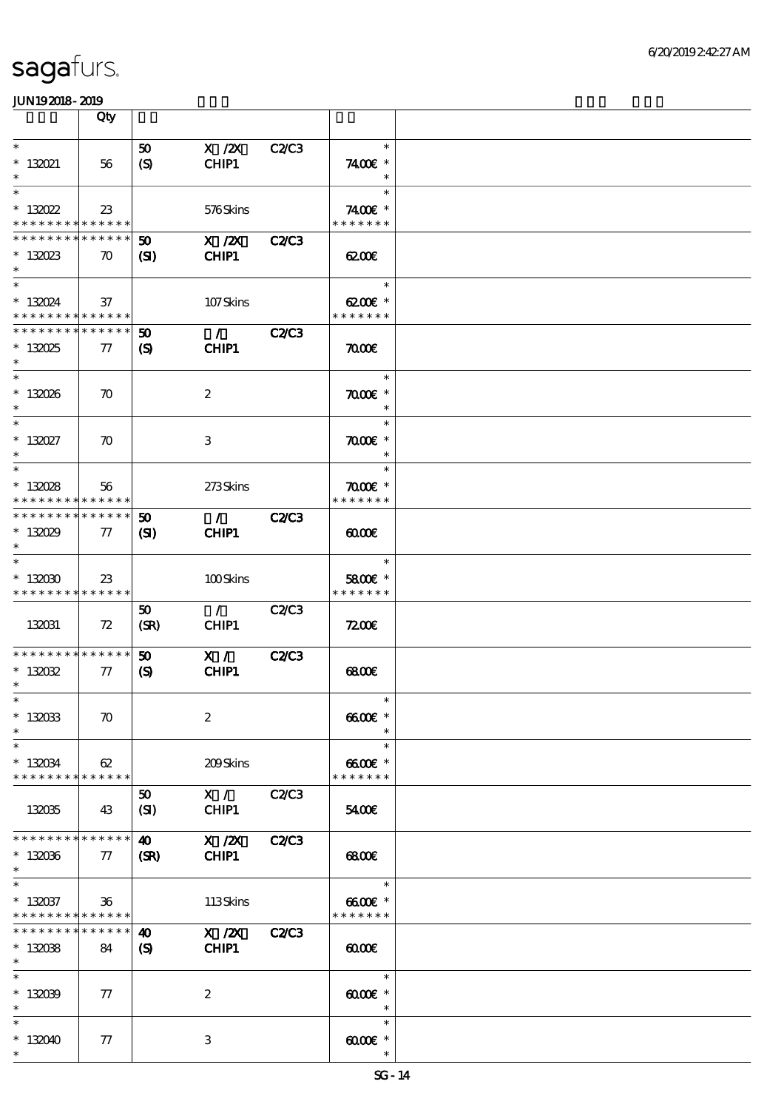|                                            | Qty                |                             |                                   |              |                             |  |
|--------------------------------------------|--------------------|-----------------------------|-----------------------------------|--------------|-----------------------------|--|
| $\ast$                                     |                    |                             | $X$ / $ZX$                        | <b>C2/C3</b> | $\ast$                      |  |
|                                            |                    | 50                          |                                   |              |                             |  |
| $* 132021$<br>$\ast$                       | 56                 | (S)                         | CHIP1                             |              | 7400€ *<br>$\ast$           |  |
| $\ast$                                     |                    |                             |                                   |              | $\ast$                      |  |
|                                            |                    |                             |                                   |              |                             |  |
| $*13022$                                   | 23                 |                             | 576Skins                          |              | 7400€ *                     |  |
| * * * * * * * * <mark>* * * * * *</mark>   |                    |                             |                                   |              | * * * * * * *               |  |
| * * * * * * * * <mark>* * * * * * *</mark> |                    | $\boldsymbol{\mathfrak{D}}$ | $X$ / $ZX$                        | <b>C2/C3</b> |                             |  |
| $*13023$                                   | $\boldsymbol{\pi}$ | (SI)                        | CHIP1                             |              | 6200                        |  |
| $\ast$                                     |                    |                             |                                   |              |                             |  |
| $\ast$                                     |                    |                             |                                   |              | $\ast$                      |  |
| $* 13024$                                  | 37                 |                             | 107Skins                          |              | 6200€ *                     |  |
| * * * * * * * * * * * * * *                |                    |                             |                                   |              | * * * * * * *               |  |
| * * * * * * * * * * * * * *                |                    | $\boldsymbol{\omega}$       | $\mathcal{L}$ and $\mathcal{L}$   | <b>C2/C3</b> |                             |  |
| $*13025$                                   | $\tau$             | $\boldsymbol{\mathcal{S}}$  | CHIP1                             |              | $\pi$                       |  |
| $\ast$                                     |                    |                             |                                   |              |                             |  |
| $\ast$                                     |                    |                             |                                   |              | $\ast$                      |  |
| $* 132026$                                 | $\boldsymbol{\pi}$ |                             | $\boldsymbol{2}$                  |              | $\pi$ $\sigma$              |  |
| $\ast$                                     |                    |                             |                                   |              | $\ast$                      |  |
| $\ast$                                     |                    |                             |                                   |              | $\ast$                      |  |
| $* 13027$                                  | $\boldsymbol{\pi}$ |                             | 3                                 |              | $\pi$ $\alpha$ $\epsilon$ * |  |
| $\ast$                                     |                    |                             |                                   |              | $\ast$                      |  |
| $\ast$                                     |                    |                             |                                   |              | $\ast$                      |  |
| $* 13028$                                  | 56                 |                             | 273Skins                          |              | $\pi$ and $*$               |  |
| * * * * * * * * <mark>* * * * * *</mark> * |                    |                             |                                   |              | * * * * * * *               |  |
| * * * * * * * * * * * * * *                |                    | $\boldsymbol{50}$           | $\mathcal{L} \subset \mathcal{L}$ | <b>C2/C3</b> |                             |  |
| $*13029$                                   | $77\,$             | (SD)                        | CHIP1                             |              | 0000                        |  |
| $\ast$                                     |                    |                             |                                   |              |                             |  |
| $\ast$                                     |                    |                             |                                   |              | $\ast$                      |  |
| $*13000$                                   | $23\,$             |                             | 100Skins                          |              | 5800€ *                     |  |
| * * * * * * * * * * * * * *                |                    |                             |                                   |              | * * * * * * *               |  |
|                                            |                    | 50                          | $\mathcal{L}$                     | <b>C2/C3</b> |                             |  |
| 132031                                     | 72                 | (SR)                        | CHIP1                             |              | 7200                        |  |
|                                            |                    |                             |                                   |              |                             |  |
| * * * * * * * * * * * * * *                |                    | 50                          | X /                               | <b>C2/C3</b> |                             |  |
| $* 13002$                                  | $\pi$              | (S)                         | CHIP1                             |              | 68000                       |  |
| $\ast$                                     |                    |                             |                                   |              |                             |  |
| $*$                                        |                    |                             |                                   |              | $\ast$                      |  |
| $* 13003$                                  | $\boldsymbol{\pi}$ |                             | $\boldsymbol{2}$                  |              | $6600E$ *                   |  |
| $\ast$                                     |                    |                             |                                   |              | $\ast$                      |  |
| $\ast$                                     |                    |                             |                                   |              | $\ast$                      |  |
| $* 130034$                                 | 62                 |                             | 209Skins                          |              | $6600$ $*$                  |  |
| * * * * * * * * * * * * * *                |                    |                             |                                   |              | * * * * * * *               |  |
|                                            |                    | 50                          | X / C2C3                          |              |                             |  |
| 132035                                     | 43                 | (SI)                        | CHIP1                             |              | 5400E                       |  |
|                                            |                    |                             |                                   |              |                             |  |
| * * * * * * * * <mark>* * * * * * *</mark> |                    | $\boldsymbol{\omega}$       | $X$ / $ZX$                        | <b>C2/C3</b> |                             |  |
| $*13006$                                   | $\pi$              | (SR)                        | CHIP1                             |              | 68000                       |  |
| $\ast$                                     |                    |                             |                                   |              |                             |  |
| $\ast$                                     |                    |                             |                                   |              | $\ast$                      |  |
| $* 132037$                                 | $36\phantom{.0}$   |                             | 113Skins                          |              | $6600E$ *                   |  |
| * * * * * * * * <mark>* * * * * *</mark> * |                    |                             |                                   |              | * * * * * * *               |  |
| * * * * * * * *                            | * * * * * *        | $\boldsymbol{\omega}$       | $X$ / $ZX$                        | <b>C2/C3</b> |                             |  |
| $*13008$                                   | 84                 | $\boldsymbol{S}$            | CHIP1                             |              | $\omega$                    |  |
| $\ast$                                     |                    |                             |                                   |              |                             |  |
| $\ast$                                     |                    |                             |                                   |              | $\ast$                      |  |
| $*132039$                                  | $\tau$             |                             | $\boldsymbol{2}$                  |              | $6000 \times$               |  |
| $\ast$                                     |                    |                             |                                   |              | $\ast$                      |  |
| $\ast$                                     |                    |                             |                                   |              | $\ast$                      |  |
| $*132040$                                  | 77                 |                             | 3                                 |              | $60005$ *                   |  |
| $\ast$                                     |                    |                             |                                   |              | $\ast$                      |  |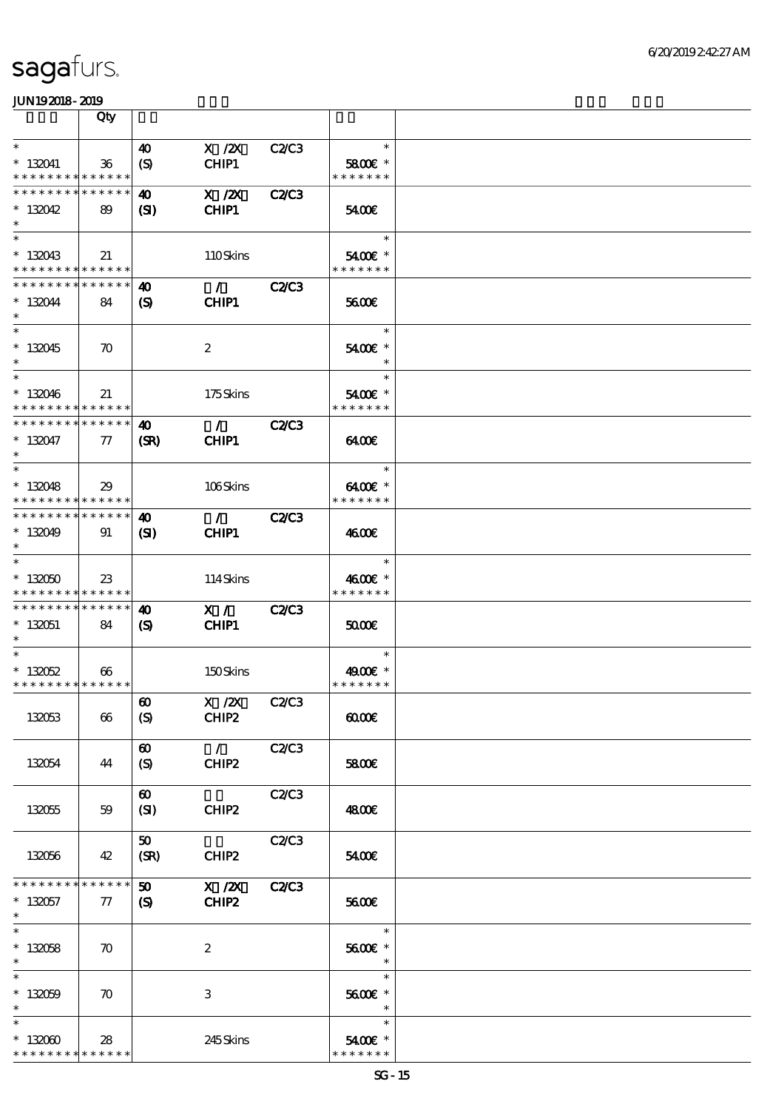|                                                        | Qty                   |                                                      |                                   |              |                                  |  |
|--------------------------------------------------------|-----------------------|------------------------------------------------------|-----------------------------------|--------------|----------------------------------|--|
| $\ast$                                                 |                       | $\boldsymbol{\omega}$                                | $X$ / $ZX$                        | C2/C3        | $\ast$                           |  |
| $* 132041$<br>* * * * * * * * <mark>* * * * * *</mark> | 36                    | $\boldsymbol{S}$                                     | CHIP1                             |              | 5800€ *<br>* * * * * * *         |  |
| * * * * * * * * * * * * * *                            |                       | 40                                                   | $X$ / $ZX$                        | <b>C2/C3</b> |                                  |  |
| $*132042$<br>$\ast$                                    | 89                    | $\mathbf{S}$                                         | CHIP1                             |              | 5400E                            |  |
| $\ast$<br>$*132043$                                    | 21                    |                                                      | 110Skins                          |              | $\ast$<br>$5400$ $\varepsilon$ * |  |
| * * * * * * * * * * * * * *                            |                       |                                                      |                                   |              | * * * * * * *                    |  |
| * * * * * * * * * * * * * *                            |                       | 40                                                   | $\mathcal{L}$                     | <b>C2/C3</b> |                                  |  |
| $* 132044$<br>$\ast$                                   | 84                    | (S)                                                  | <b>CHIP1</b>                      |              | 5600E                            |  |
| $\overline{\phantom{0}}$<br>$* 132045$<br>$\ast$       | $\boldsymbol{\pi}$    |                                                      | $\boldsymbol{2}$                  |              | $\ast$<br>5400€ *<br>$\ast$      |  |
| $\ast$<br>$* 132046$                                   | 21                    |                                                      | 175Skins                          |              | $\ast$<br>5400 £*                |  |
| * * * * * * * * * * * * * *                            |                       |                                                      |                                   |              | * * * * * * *                    |  |
| * * * * * * * * * * * * * *                            |                       | $\boldsymbol{\omega}$                                | $\mathcal{F}$ and $\mathcal{F}$   | <b>C2/C3</b> |                                  |  |
| $* 132047$<br>$\ast$                                   | $\pi$                 | (SR)                                                 | CHIP1                             |              | 6400E                            |  |
| $\ast$                                                 |                       |                                                      |                                   |              | $\ast$                           |  |
| $*132048$<br>* * * * * * * * * * * * * *               | 29                    |                                                      | 106Skins                          |              | $6400E$ *<br>* * * * * * *       |  |
| * * * * * * * * * * * * * *                            |                       | 40                                                   | $\mathcal{L} \subset \mathcal{L}$ | <b>C2/C3</b> |                                  |  |
| $*13049$<br>$\ast$                                     | 91                    | $\mathbf{S}$                                         | CHIP1                             |              | 4600E                            |  |
| $\ast$                                                 |                       |                                                      |                                   |              | $\ast$                           |  |
| $*132050$<br>* * * * * * * * * * * * * *               | $23\,$                |                                                      | 114Skins                          |              | 4600€ *<br>* * * * * * *         |  |
| * * * * * * * * * * * * * *                            |                       | 40                                                   | X /                               | <b>C2/C3</b> |                                  |  |
| $*132051$<br>$*$                                       | 84                    | $\mathbf{S}$                                         | CHIP1                             |              | 5000                             |  |
| $\ast$                                                 |                       |                                                      |                                   |              | $\ast$                           |  |
| $* 13052$                                              | $\boldsymbol{\omega}$ |                                                      | 150Skins                          |              | 4900 £*                          |  |
| * * * * * * * * * * * * * *                            |                       |                                                      |                                   |              | * * * * * * *                    |  |
| 132053                                                 | 66                    | $\boldsymbol{\omega}$<br>$\boldsymbol{\mathrm{(S)}}$ | $X \, /ZX$<br>CHIP2               | C2/C3        | $\omega$                         |  |
|                                                        |                       | $\boldsymbol{\omega}$                                | $\mathcal{L}$                     | <b>C2/C3</b> |                                  |  |
| 132054                                                 | 44                    | $\boldsymbol{S}$                                     | CHIP2                             |              | 5800€                            |  |
|                                                        |                       | $\boldsymbol{\omega}$                                |                                   | <b>C2/C3</b> |                                  |  |
| 132055                                                 | 59                    | (SI)                                                 | CHIP2                             |              | 4800E                            |  |
|                                                        |                       | 50                                                   |                                   | C2/C3        |                                  |  |
| 132056                                                 | 42                    | (SR)                                                 | CHIP2                             |              | 5400E                            |  |
| * * * * * * * * * * * * * *                            |                       | 50                                                   | X / ZX                            | <b>C2/C3</b> |                                  |  |
| $*132057$<br>$*$                                       | 77                    | $\mathbf{S}$                                         | CHIP2                             |              | 5600E                            |  |
| $\overline{\ast}$                                      |                       |                                                      |                                   |              | $\ast$                           |  |
| $* 132058$<br>$\ast$                                   | $\boldsymbol{\pi}$    |                                                      | $\boldsymbol{2}$                  |              | 5600€ *<br>$\ast$                |  |
| $\ast$                                                 |                       |                                                      |                                   |              | $\ast$                           |  |
| $*13059$<br>$\ast$                                     | $\boldsymbol{\pi}$    |                                                      | $\,3$                             |              | 5600€ *                          |  |
| $\ast$                                                 |                       |                                                      |                                   |              | $\ast$                           |  |
| $*132060$<br>* * * * * * * * * * * * * *               | 28                    |                                                      | 245Skins                          |              | 5400€ *<br>* * * * * * *         |  |
|                                                        |                       |                                                      |                                   |              |                                  |  |